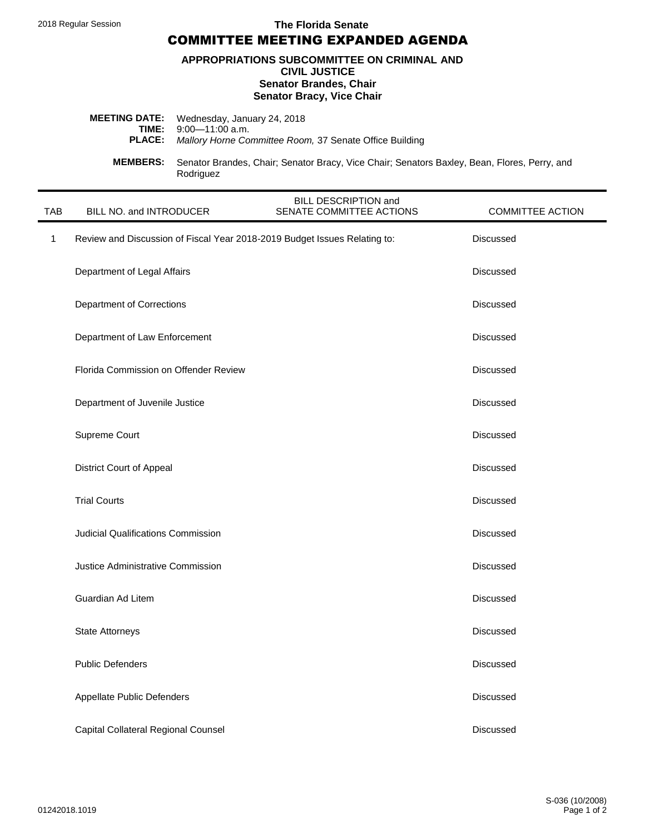2018 Regular Session

The Florida Senate

**COMMITTEE MEETING EXPANDED AGENDA** 

#### APPROPRIATIONS SUBCOMMITTEE ON CRIMINAL AND **CIVIL JUSTICE Senator Brandes, Chair Senator Bracy, Vice Chair**

|                 | <b>MEETING DATE:</b> Wednesday, January 24, 2018<br><b>TIME:</b> $9:00-11:00$ a.m.<br><b>PLACE:</b> Mallory Horne Committee Room, 37 Senate Office Building |
|-----------------|-------------------------------------------------------------------------------------------------------------------------------------------------------------|
| <b>MEMBERS:</b> | Senator Brandes, Chair; Senator Bracy, Vice Chair; Senators Baxley, Bean, Flores, Perry, and<br>Rodriguez                                                   |

| <b>TAB</b>   | BILL NO. and INTRODUCER                                                   | BILL DESCRIPTION and<br>SENATE COMMITTEE ACTIONS | <b>COMMITTEE ACTION</b> |
|--------------|---------------------------------------------------------------------------|--------------------------------------------------|-------------------------|
| $\mathbf{1}$ | Review and Discussion of Fiscal Year 2018-2019 Budget Issues Relating to: |                                                  | <b>Discussed</b>        |
|              | Department of Legal Affairs                                               |                                                  | <b>Discussed</b>        |
|              | Department of Corrections                                                 |                                                  | <b>Discussed</b>        |
|              | Department of Law Enforcement                                             |                                                  | <b>Discussed</b>        |
|              | Florida Commission on Offender Review                                     |                                                  | <b>Discussed</b>        |
|              | Department of Juvenile Justice                                            |                                                  | <b>Discussed</b>        |
|              | Supreme Court                                                             |                                                  | Discussed               |
|              | <b>District Court of Appeal</b>                                           |                                                  | <b>Discussed</b>        |
|              | <b>Trial Courts</b>                                                       |                                                  | <b>Discussed</b>        |
|              | <b>Judicial Qualifications Commission</b>                                 |                                                  | <b>Discussed</b>        |
|              | Justice Administrative Commission                                         |                                                  | <b>Discussed</b>        |
|              | Guardian Ad Litem                                                         |                                                  | <b>Discussed</b>        |
|              | <b>State Attorneys</b>                                                    |                                                  | Discussed               |
|              | <b>Public Defenders</b>                                                   |                                                  | Discussed               |
|              | Appellate Public Defenders                                                |                                                  | Discussed               |
|              | Capital Collateral Regional Counsel                                       |                                                  | <b>Discussed</b>        |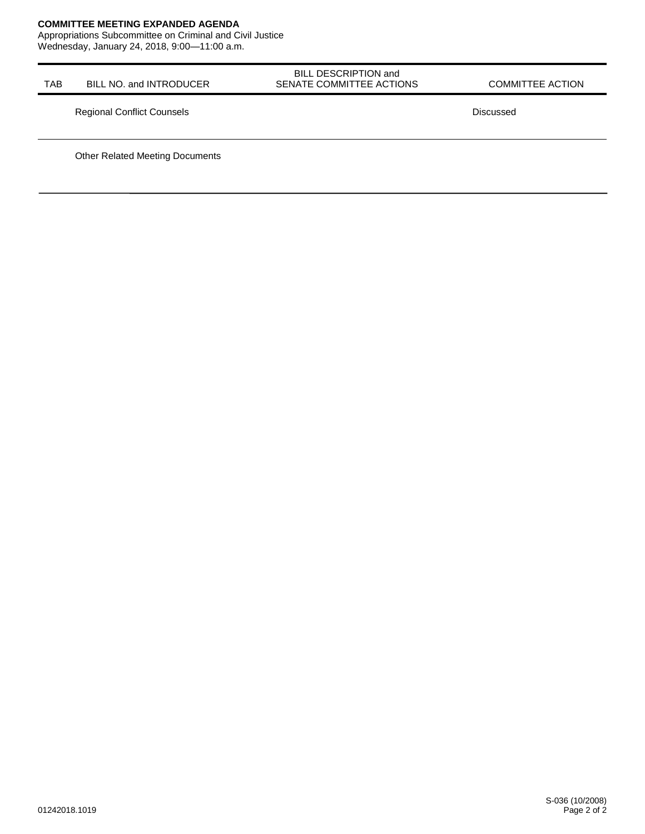#### **COMMITTEE MEETING EXPANDED AGENDA**

Appropriations Subcommittee on Criminal and Civil Justice Wednesday, January 24, 2018, 9:00-11:00 a.m.

| <b>TAB</b> | BILL NO. and INTRODUCER           | BILL DESCRIPTION and<br>SENATE COMMITTEE ACTIONS | <b>COMMITTEE ACTION</b> |
|------------|-----------------------------------|--------------------------------------------------|-------------------------|
|            | <b>Regional Conflict Counsels</b> |                                                  | Discussed               |

**Other Related Meeting Documents**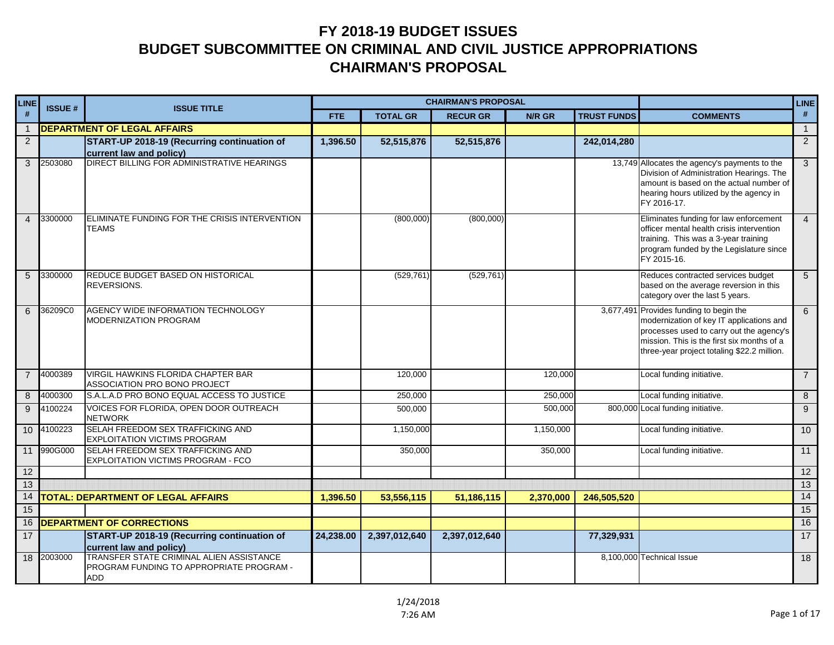| <b>LINE</b>    | <b>ISSUE#</b> | <b>ISSUE TITLE</b>                                                                          |            |                 | <b>CHAIRMAN'S PROPOSAL</b> |               |                    |                                                                                                                                                                                                                              | <b>LINE</b>     |
|----------------|---------------|---------------------------------------------------------------------------------------------|------------|-----------------|----------------------------|---------------|--------------------|------------------------------------------------------------------------------------------------------------------------------------------------------------------------------------------------------------------------------|-----------------|
| #              |               |                                                                                             | <b>FTE</b> | <b>TOTAL GR</b> | <b>RECUR GR</b>            | <b>N/R GR</b> | <b>TRUST FUNDS</b> | <b>COMMENTS</b>                                                                                                                                                                                                              | $\#$            |
| $\overline{1}$ |               | <b>DEPARTMENT OF LEGAL AFFAIRS</b>                                                          |            |                 |                            |               |                    |                                                                                                                                                                                                                              | $\overline{1}$  |
| $\overline{2}$ |               | START-UP 2018-19 (Recurring continuation of<br>current law and policy)                      | 1,396.50   | 52,515,876      | 52,515,876                 |               | 242,014,280        |                                                                                                                                                                                                                              | 2               |
| 3              | 2503080       | DIRECT BILLING FOR ADMINISTRATIVE HEARINGS                                                  |            |                 |                            |               |                    | 13,749 Allocates the agency's payments to the<br>Division of Administration Hearings. The<br>amount is based on the actual number of<br>hearing hours utilized by the agency in<br>FY 2016-17.                               | 3               |
|                | 4 3300000     | ELIMINATE FUNDING FOR THE CRISIS INTERVENTION<br>TEAMS                                      |            | (800,000)       | (800,000)                  |               |                    | Eliminates funding for law enforcement<br>officer mental health crisis intervention<br>training. This was a 3-year training<br>program funded by the Legislature since<br>FY 2015-16.                                        | $\overline{4}$  |
| 5              | 3300000       | REDUCE BUDGET BASED ON HISTORICAL<br>REVERSIONS.                                            |            | (529, 761)      | (529, 761)                 |               |                    | Reduces contracted services budget<br>based on the average reversion in this<br>category over the last 5 years.                                                                                                              | 5               |
| 6              | 36209C0       | AGENCY WIDE INFORMATION TECHNOLOGY<br>MODERNIZATION PROGRAM                                 |            |                 |                            |               |                    | 3,677,491 Provides funding to begin the<br>modernization of key IT applications and<br>processes used to carry out the agency's<br>mission. This is the first six months of a<br>three-year project totaling \$22.2 million. | $6\overline{6}$ |
| $\overline{7}$ | 4000389       | VIRGIL HAWKINS FLORIDA CHAPTER BAR<br>ASSOCIATION PRO BONO PROJECT                          |            | 120,000         |                            | 120.000       |                    | Local funding initiative.                                                                                                                                                                                                    | $\overline{7}$  |
| 8              | 4000300       | S.A.L.A.D PRO BONO EQUAL ACCESS TO JUSTICE                                                  |            | 250,000         |                            | 250,000       |                    | Local funding initiative.                                                                                                                                                                                                    | 8               |
| 9              | 4100224       | VOICES FOR FLORIDA, OPEN DOOR OUTREACH<br><b>NETWORK</b>                                    |            | 500,000         |                            | 500,000       |                    | 800,000 Local funding initiative.                                                                                                                                                                                            | 9               |
|                | 10 4100223    | SELAH FREEDOM SEX TRAFFICKING AND<br><b>EXPLOITATION VICTIMS PROGRAM</b>                    |            | 1,150,000       |                            | 1,150,000     |                    | Local funding initiative.                                                                                                                                                                                                    | 10              |
| 11             | 990G000       | SELAH FREEDOM SEX TRAFFICKING AND<br><b>EXPLOITATION VICTIMS PROGRAM - FCO</b>              |            | 350,000         |                            | 350,000       |                    | Local funding initiative.                                                                                                                                                                                                    | 11              |
| 12             |               |                                                                                             |            |                 |                            |               |                    |                                                                                                                                                                                                                              | 12              |
| 13             |               |                                                                                             |            |                 |                            |               |                    |                                                                                                                                                                                                                              | 13              |
| 14             |               | <b>TOTAL: DEPARTMENT OF LEGAL AFFAIRS</b>                                                   | 1,396.50   | 53,556,115      | 51,186,115                 | 2,370,000     | 246,505,520        |                                                                                                                                                                                                                              | 14              |
| 15             |               |                                                                                             |            |                 |                            |               |                    |                                                                                                                                                                                                                              | 15              |
| 16             |               | <b>DEPARTMENT OF CORRECTIONS</b>                                                            |            |                 |                            |               |                    |                                                                                                                                                                                                                              | 16              |
| 17             |               | START-UP 2018-19 (Recurring continuation of<br>current law and policy)                      | 24,238.00  | 2,397,012,640   | 2,397,012,640              |               | 77,329,931         |                                                                                                                                                                                                                              | $\overline{17}$ |
| 18             | 2003000       | TRANSFER STATE CRIMINAL ALIEN ASSISTANCE<br>PROGRAM FUNDING TO APPROPRIATE PROGRAM -<br>ADD |            |                 |                            |               |                    | 8,100,000 Technical Issue                                                                                                                                                                                                    | 18              |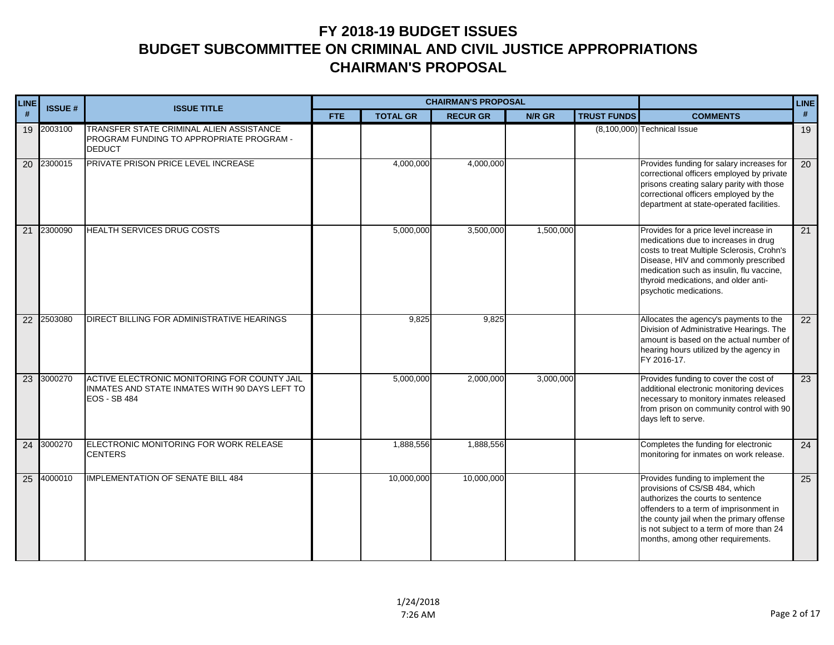| <b>LINE</b>     | <b>ISSUE#</b> | <b>ISSUE TITLE</b>                                                                                                    |            |                 | <b>CHAIRMAN'S PROPOSAL</b> |           |                    | LINE                                                                                                                                                                                                                                                                               |                 |
|-----------------|---------------|-----------------------------------------------------------------------------------------------------------------------|------------|-----------------|----------------------------|-----------|--------------------|------------------------------------------------------------------------------------------------------------------------------------------------------------------------------------------------------------------------------------------------------------------------------------|-----------------|
| #               |               |                                                                                                                       | <b>FTE</b> | <b>TOTAL GR</b> | <b>RECUR GR</b>            | N/R GR    | <b>TRUST FUNDS</b> | <b>COMMENTS</b>                                                                                                                                                                                                                                                                    | #               |
|                 | 19 2003100    | TRANSFER STATE CRIMINAL ALIEN ASSISTANCE<br>PROGRAM FUNDING TO APPROPRIATE PROGRAM -<br><b>DEDUCT</b>                 |            |                 |                            |           |                    | $(8,100,000)$ Technical Issue                                                                                                                                                                                                                                                      | 19              |
| $\overline{20}$ | 2300015       | PRIVATE PRISON PRICE LEVEL INCREASE                                                                                   |            | 4,000,000       | 4,000,000                  |           |                    | Provides funding for salary increases for<br>correctional officers employed by private<br>prisons creating salary parity with those<br>correctional officers employed by the<br>department at state-operated facilities.                                                           | 20              |
| $\overline{21}$ | 2300090       | HEALTH SERVICES DRUG COSTS                                                                                            |            | 5,000,000       | 3,500,000                  | 1,500,000 |                    | Provides for a price level increase in<br>medications due to increases in drug<br>costs to treat Multiple Sclerosis, Crohn's<br>Disease, HIV and commonly prescribed<br>medication such as insulin, flu vaccine,<br>thyroid medications, and older anti-<br>psychotic medications. | $\overline{21}$ |
| $\overline{22}$ | 2503080       | DIRECT BILLING FOR ADMINISTRATIVE HEARINGS                                                                            |            | 9,825           | 9,825                      |           |                    | Allocates the agency's payments to the<br>Division of Administrative Hearings. The<br>amount is based on the actual number of<br>hearing hours utilized by the agency in<br>FY 2016-17.                                                                                            | $\overline{22}$ |
| $\overline{23}$ | 3000270       | ACTIVE ELECTRONIC MONITORING FOR COUNTY JAIL<br>INMATES AND STATE INMATES WITH 90 DAYS LEFT TO<br><b>EOS - SB 484</b> |            | 5,000,000       | 2,000,000                  | 3,000,000 |                    | Provides funding to cover the cost of<br>additional electronic monitoring devices<br>necessary to monitory inmates released<br>from prison on community control with 90<br>days left to serve.                                                                                     | 23              |
| 24              | 3000270       | ELECTRONIC MONITORING FOR WORK RELEASE<br><b>CENTERS</b>                                                              |            | 1,888,556       | 1,888,556                  |           |                    | Completes the funding for electronic<br>monitoring for inmates on work release.                                                                                                                                                                                                    | 24              |
|                 | 25 4000010    | <b>IMPLEMENTATION OF SENATE BILL 484</b>                                                                              |            | 10,000,000      | 10,000,000                 |           |                    | Provides funding to implement the<br>provisions of CS/SB 484, which<br>authorizes the courts to sentence<br>offenders to a term of imprisonment in<br>the county jail when the primary offense<br>is not subject to a term of more than 24<br>months, among other requirements.    | 25              |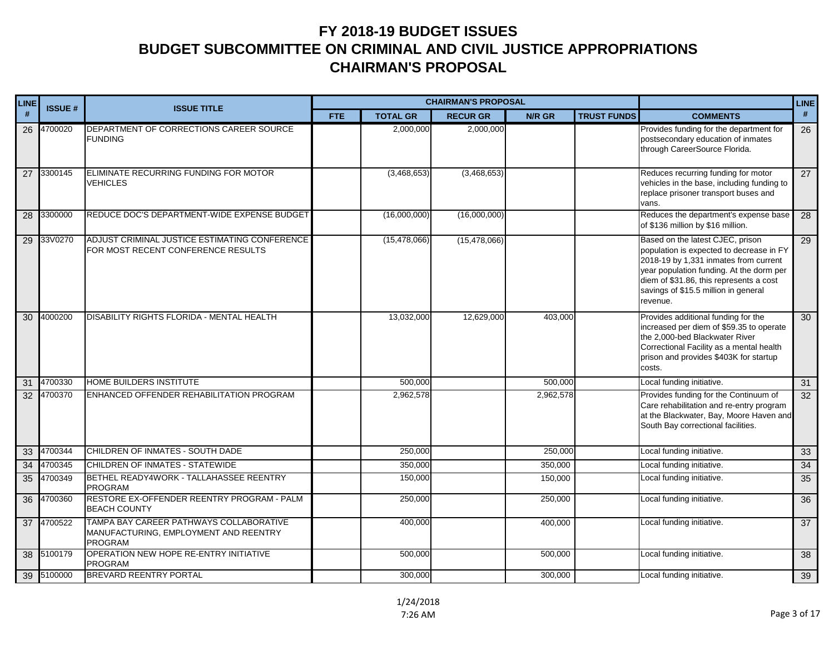| LINE | <b>ISSUE#</b> | <b>ISSUE TITLE</b>                                                                                 |            |                 | <b>CHAIRMAN'S PROPOSAL</b> |           |                    | <b>LINE</b>                                                                                                                                                                                                                                                      |    |
|------|---------------|----------------------------------------------------------------------------------------------------|------------|-----------------|----------------------------|-----------|--------------------|------------------------------------------------------------------------------------------------------------------------------------------------------------------------------------------------------------------------------------------------------------------|----|
| #    |               |                                                                                                    | <b>FTE</b> | <b>TOTAL GR</b> | <b>RECUR GR</b>            | N/R GR    | <b>TRUST FUNDS</b> | <b>COMMENTS</b>                                                                                                                                                                                                                                                  | #  |
| 26   | 4700020       | DEPARTMENT OF CORRECTIONS CAREER SOURCE<br><b>FUNDING</b>                                          |            | 2,000,000       | 2,000,000                  |           |                    | Provides funding for the department for<br>postsecondary education of inmates<br>through CareerSource Florida.                                                                                                                                                   | 26 |
| 27   | 3300145       | ELIMINATE RECURRING FUNDING FOR MOTOR<br><b>VEHICLES</b>                                           |            | (3,468,653)     | (3,468,653)                |           |                    | Reduces recurring funding for motor<br>vehicles in the base, including funding to<br>replace prisoner transport buses and<br>vans.                                                                                                                               | 27 |
| 28   | 3300000       | REDUCE DOC'S DEPARTMENT-WIDE EXPENSE BUDGET                                                        |            | (16,000,000)    | (16,000,000)               |           |                    | Reduces the department's expense base<br>of \$136 million by \$16 million.                                                                                                                                                                                       | 28 |
| 29   | 33V0270       | ADJUST CRIMINAL JUSTICE ESTIMATING CONFERENCE<br>FOR MOST RECENT CONFERENCE RESULTS                |            | (15, 478, 066)  | (15, 478, 066)             |           |                    | Based on the latest CJEC, prison<br>population is expected to decrease in FY<br>2018-19 by 1,331 inmates from current<br>year population funding. At the dorm per<br>diem of \$31.86, this represents a cost<br>savings of \$15.5 million in general<br>revenue. | 29 |
| 30   | 4000200       | DISABILITY RIGHTS FLORIDA - MENTAL HEALTH                                                          |            | 13,032,000      | 12,629,000                 | 403,000   |                    | Provides additional funding for the<br>increased per diem of \$59.35 to operate<br>the 2,000-bed Blackwater River<br>Correctional Facility as a mental health<br>prison and provides \$403K for startup<br>costs.                                                | 30 |
| 31   | 4700330       | <b>HOME BUILDERS INSTITUTE</b>                                                                     |            | 500,000         |                            | 500,000   |                    | Local funding initiative.                                                                                                                                                                                                                                        | 31 |
|      | 32 4700370    | ENHANCED OFFENDER REHABILITATION PROGRAM                                                           |            | 2,962,578       |                            | 2,962,578 |                    | Provides funding for the Continuum of<br>Care rehabilitation and re-entry program<br>at the Blackwater, Bay, Moore Haven and<br>South Bay correctional facilities.                                                                                               | 32 |
| 33   | 4700344       | CHILDREN OF INMATES - SOUTH DADE                                                                   |            | 250,000         |                            | 250,000   |                    | Local funding initiative.                                                                                                                                                                                                                                        | 33 |
| 34   | 4700345       | CHILDREN OF INMATES - STATEWIDE                                                                    |            | 350,000         |                            | 350,000   |                    | Local funding initiative.                                                                                                                                                                                                                                        | 34 |
| 35   | 4700349       | BETHEL READY4WORK - TALLAHASSEE REENTRY<br>PROGRAM                                                 |            | 150,000         |                            | 150,000   |                    | Local funding initiative.                                                                                                                                                                                                                                        | 35 |
| 36   | 4700360       | RESTORE EX-OFFENDER REENTRY PROGRAM - PALM<br><b>BEACH COUNTY</b>                                  |            | 250,000         |                            | 250,000   |                    | Local funding initiative.                                                                                                                                                                                                                                        | 36 |
| 37   | 4700522       | TAMPA BAY CAREER PATHWAYS COLLABORATIVE<br>MANUFACTURING, EMPLOYMENT AND REENTRY<br><b>PROGRAM</b> |            | 400,000         |                            | 400,000   |                    | Local funding initiative.                                                                                                                                                                                                                                        | 37 |
| 38   | 5100179       | OPERATION NEW HOPE RE-ENTRY INITIATIVE<br><b>PROGRAM</b>                                           |            | 500,000         |                            | 500,000   |                    | Local funding initiative.                                                                                                                                                                                                                                        | 38 |
|      | 39 5100000    | <b>BREVARD REENTRY PORTAL</b>                                                                      |            | 300,000         |                            | 300,000   |                    | Local funding initiative.                                                                                                                                                                                                                                        | 39 |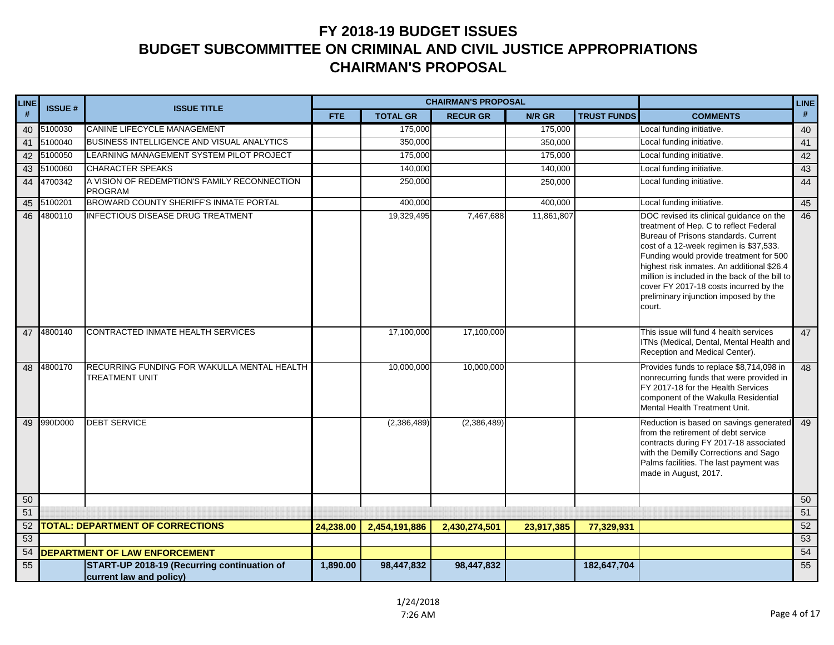| LINE | <b>ISSUE#</b> | <b>ISSUE TITLE</b>                                                     |            |                 | <b>CHAIRMAN'S PROPOSAL</b> |            |                    | <b>LINE</b>                                                                                                                                                                                                                                                                                                                                                                                                  |      |
|------|---------------|------------------------------------------------------------------------|------------|-----------------|----------------------------|------------|--------------------|--------------------------------------------------------------------------------------------------------------------------------------------------------------------------------------------------------------------------------------------------------------------------------------------------------------------------------------------------------------------------------------------------------------|------|
| $\#$ |               |                                                                        | <b>FTE</b> | <b>TOTAL GR</b> | <b>RECUR GR</b>            | N/R GR     | <b>TRUST FUNDS</b> | <b>COMMENTS</b>                                                                                                                                                                                                                                                                                                                                                                                              | $\#$ |
| 40   | 5100030       | CANINE LIFECYCLE MANAGEMENT                                            |            | 175,000         |                            | 175,000    |                    | Local funding initiative.                                                                                                                                                                                                                                                                                                                                                                                    | 40   |
| 41   | 5100040       | BUSINESS INTELLIGENCE AND VISUAL ANALYTICS                             |            | 350,000         |                            | 350,000    |                    | Local funding initiative.                                                                                                                                                                                                                                                                                                                                                                                    | 41   |
| 42   | 5100050       | LEARNING MANAGEMENT SYSTEM PILOT PROJECT                               |            | 175,000         |                            | 175,000    |                    | Local funding initiative.                                                                                                                                                                                                                                                                                                                                                                                    | 42   |
| 43   | 5100060       | <b>CHARACTER SPEAKS</b>                                                |            | 140,000         |                            | 140,000    |                    | Local funding initiative.                                                                                                                                                                                                                                                                                                                                                                                    | 43   |
| 44   | 4700342       | A VISION OF REDEMPTION'S FAMILY RECONNECTION<br><b>PROGRAM</b>         |            | 250,000         |                            | 250,000    |                    | Local funding initiative.                                                                                                                                                                                                                                                                                                                                                                                    | 44   |
| 45   | 5100201       | BROWARD COUNTY SHERIFF'S INMATE PORTAL                                 |            | 400,000         |                            | 400,000    |                    | Local funding initiative.                                                                                                                                                                                                                                                                                                                                                                                    | 45   |
| 46   | 4800110       | <b>INFECTIOUS DISEASE DRUG TREATMENT</b>                               |            | 19,329,495      | 7,467,688                  | 11,861,807 |                    | DOC revised its clinical quidance on the<br>treatment of Hep. C to reflect Federal<br>Bureau of Prisons standards, Current<br>cost of a 12-week regimen is \$37,533.<br>Funding would provide treatment for 500<br>highest risk inmates. An additional \$26.4<br>million is included in the back of the bill to<br>cover FY 2017-18 costs incurred by the<br>preliminary injunction imposed by the<br>court. | 46   |
| 47   | 4800140       | CONTRACTED INMATE HEALTH SERVICES                                      |            | 17,100,000      | 17,100,000                 |            |                    | This issue will fund 4 health services<br>ITNs (Medical, Dental, Mental Health and<br>Reception and Medical Center).                                                                                                                                                                                                                                                                                         | 47   |
| 48   | 4800170       | RECURRING FUNDING FOR WAKULLA MENTAL HEALTH<br><b>TREATMENT UNIT</b>   |            | 10,000,000      | 10,000,000                 |            |                    | Provides funds to replace \$8,714,098 in<br>nonrecurring funds that were provided in<br>FY 2017-18 for the Health Services<br>component of the Wakulla Residential<br>Mental Health Treatment Unit.                                                                                                                                                                                                          | 48   |
|      | 49 990D000    | <b>DEBT SERVICE</b>                                                    |            | (2,386,489)     | (2,386,489)                |            |                    | Reduction is based on savings generated<br>from the retirement of debt service<br>contracts during FY 2017-18 associated<br>with the Demilly Corrections and Sago<br>Palms facilities. The last payment was<br>made in August, 2017.                                                                                                                                                                         | 49   |
| 50   |               |                                                                        |            |                 |                            |            |                    |                                                                                                                                                                                                                                                                                                                                                                                                              | 50   |
| 51   |               |                                                                        |            |                 |                            |            |                    |                                                                                                                                                                                                                                                                                                                                                                                                              | 51   |
| 52   |               | <b>TOTAL: DEPARTMENT OF CORRECTIONS</b>                                | 24,238.00  | 2,454,191,886   | 2,430,274,501              | 23,917,385 | 77,329,931         |                                                                                                                                                                                                                                                                                                                                                                                                              | 52   |
| 53   |               |                                                                        |            |                 |                            |            |                    |                                                                                                                                                                                                                                                                                                                                                                                                              | 53   |
| 54   |               | <b>DEPARTMENT OF LAW ENFORCEMENT</b>                                   |            |                 |                            |            |                    |                                                                                                                                                                                                                                                                                                                                                                                                              | 54   |
| 55   |               | START-UP 2018-19 (Recurring continuation of<br>current law and policy) | 1,890.00   | 98,447,832      | 98,447,832                 |            | 182,647,704        |                                                                                                                                                                                                                                                                                                                                                                                                              | 55   |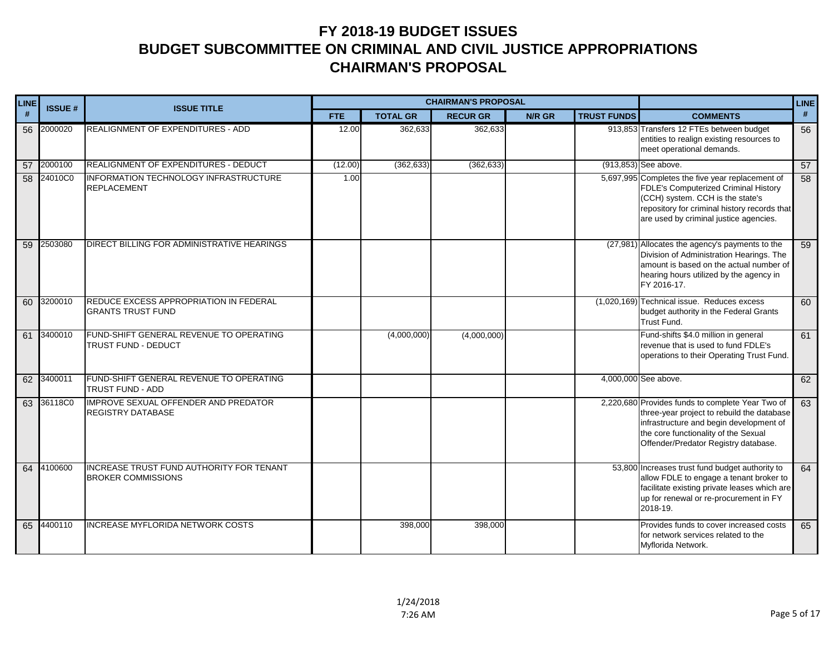| LINE | <b>ISSUE#</b> | <b>ISSUE TITLE</b>                                                    |            |                 | <b>CHAIRMAN'S PROPOSAL</b> |        |                    | <b>LINE</b>                                                                                                                                                                                                               |    |
|------|---------------|-----------------------------------------------------------------------|------------|-----------------|----------------------------|--------|--------------------|---------------------------------------------------------------------------------------------------------------------------------------------------------------------------------------------------------------------------|----|
| #    |               |                                                                       | <b>FTE</b> | <b>TOTAL GR</b> | <b>RECUR GR</b>            | N/R GR | <b>TRUST FUNDS</b> | <b>COMMENTS</b>                                                                                                                                                                                                           | #  |
| 56   | 2000020       | REALIGNMENT OF EXPENDITURES - ADD                                     | 12.00      | 362,633         | 362,633                    |        |                    | 913,853 Transfers 12 FTEs between budget<br>entities to realign existing resources to<br>meet operational demands.                                                                                                        | 56 |
| 57   | 2000100       | REALIGNMENT OF EXPENDITURES - DEDUCT                                  | (12.00)    | (362, 633)      | (362, 633)                 |        |                    | (913,853) See above.                                                                                                                                                                                                      | 57 |
|      | 58 24010C0    | INFORMATION TECHNOLOGY INFRASTRUCTURE<br><b>REPLACEMENT</b>           | 1.00       |                 |                            |        |                    | 5,697,995 Completes the five year replacement of<br>FDLE's Computerized Criminal History<br>(CCH) system. CCH is the state's<br>repository for criminal history records that<br>are used by criminal justice agencies.    | 58 |
| 59   | 2503080       | DIRECT BILLING FOR ADMINISTRATIVE HEARINGS                            |            |                 |                            |        |                    | (27,981) Allocates the agency's payments to the<br>Division of Administration Hearings. The<br>amount is based on the actual number of<br>hearing hours utilized by the agency in<br>FY 2016-17.                          | 59 |
|      | 60 3200010    | REDUCE EXCESS APPROPRIATION IN FEDERAL<br><b>GRANTS TRUST FUND</b>    |            |                 |                            |        |                    | (1,020,169) Technical issue. Reduces excess<br>budget authority in the Federal Grants<br>Trust Fund.                                                                                                                      | 60 |
| 61   | 3400010       | FUND-SHIFT GENERAL REVENUE TO OPERATING<br>TRUST FUND - DEDUCT        |            | (4,000,000)     | (4,000,000)                |        |                    | Fund-shifts \$4.0 million in general<br>revenue that is used to fund FDLE's<br>operations to their Operating Trust Fund.                                                                                                  | 61 |
| 62   | 3400011       | FUND-SHIFT GENERAL REVENUE TO OPERATING<br><b>TRUST FUND - ADD</b>    |            |                 |                            |        |                    | 4,000,000 See above.                                                                                                                                                                                                      | 62 |
| 63   | 36118C0       | <b>IMPROVE SEXUAL OFFENDER AND PREDATOR</b><br>REGISTRY DATABASE      |            |                 |                            |        |                    | 2,220,680 Provides funds to complete Year Two of<br>three-year project to rebuild the database<br>infrastructure and begin development of<br>the core functionality of the Sexual<br>Offender/Predator Registry database. | 63 |
|      | 64 4100600    | INCREASE TRUST FUND AUTHORITY FOR TENANT<br><b>BROKER COMMISSIONS</b> |            |                 |                            |        |                    | 53,800 Increases trust fund budget authority to<br>allow FDLE to engage a tenant broker to<br>facilitate existing private leases which are<br>up for renewal or re-procurement in FY<br>2018-19.                          | 64 |
| 65   | 4400110       | <b>INCREASE MYFLORIDA NETWORK COSTS</b>                               |            | 398,000         | 398,000                    |        |                    | Provides funds to cover increased costs<br>for network services related to the<br>Myflorida Network.                                                                                                                      | 65 |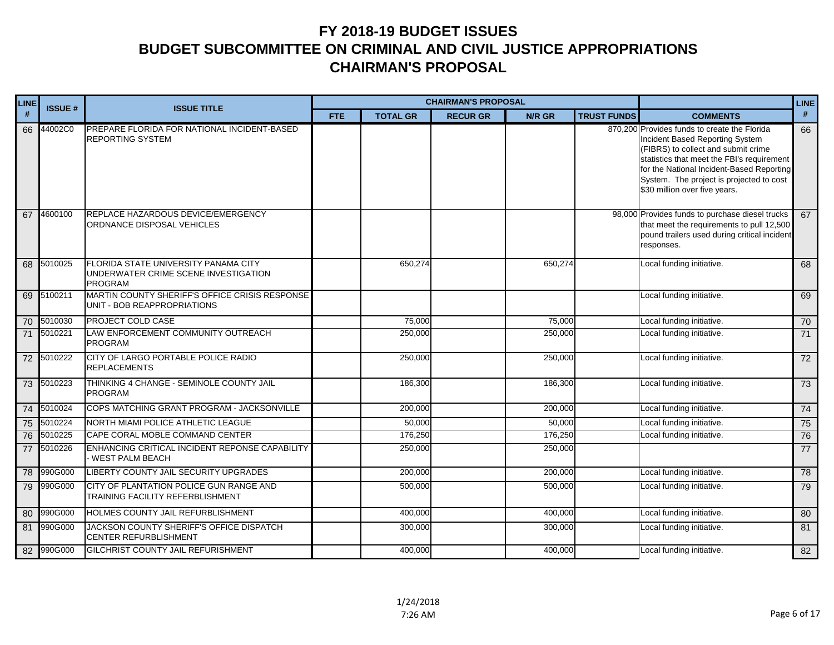| LINE            | <b>ISSUE#</b> | <b>ISSUE TITLE</b>                                                                             |            |                 | <b>CHAIRMAN'S PROPOSAL</b> |               |                    | <b>LINE</b>                                                                                                                                                                                                                                                                                    |                 |
|-----------------|---------------|------------------------------------------------------------------------------------------------|------------|-----------------|----------------------------|---------------|--------------------|------------------------------------------------------------------------------------------------------------------------------------------------------------------------------------------------------------------------------------------------------------------------------------------------|-----------------|
| #               |               |                                                                                                | <b>FTE</b> | <b>TOTAL GR</b> | <b>RECUR GR</b>            | <b>N/R GR</b> | <b>TRUST FUNDS</b> | <b>COMMENTS</b>                                                                                                                                                                                                                                                                                | #               |
| 66              | 44002C0       | PREPARE FLORIDA FOR NATIONAL INCIDENT-BASED<br><b>REPORTING SYSTEM</b>                         |            |                 |                            |               |                    | 870,200 Provides funds to create the Florida<br>Incident Based Reporting System<br>(FIBRS) to collect and submit crime<br>statistics that meet the FBI's requirement<br>for the National Incident-Based Reporting<br>System. The project is projected to cost<br>\$30 million over five years. | 66              |
| 67              | 4600100       | REPLACE HAZARDOUS DEVICE/EMERGENCY<br>ORDNANCE DISPOSAL VEHICLES                               |            |                 |                            |               |                    | 98,000 Provides funds to purchase diesel trucks<br>that meet the requirements to pull 12,500<br>pound trailers used during critical incident<br>responses.                                                                                                                                     | 67              |
| 68              | 5010025       | FLORIDA STATE UNIVERSITY PANAMA CITY<br>UNDERWATER CRIME SCENE INVESTIGATION<br><b>PROGRAM</b> |            | 650,274         |                            | 650,274       |                    | Local funding initiative.                                                                                                                                                                                                                                                                      | 68              |
| 69              | 5100211       | MARTIN COUNTY SHERIFF'S OFFICE CRISIS RESPONSE<br>UNIT - BOB REAPPROPRIATIONS                  |            |                 |                            |               |                    | Local funding initiative.                                                                                                                                                                                                                                                                      | 69              |
|                 | 70 5010030    | PROJECT COLD CASE                                                                              |            | 75,000          |                            | 75,000        |                    | Local funding initiative.                                                                                                                                                                                                                                                                      | 70              |
| $\overline{71}$ | 5010221       | LAW ENFORCEMENT COMMUNITY OUTREACH<br><b>PROGRAM</b>                                           |            | 250,000         |                            | 250,000       |                    | Local funding initiative.                                                                                                                                                                                                                                                                      | $\overline{71}$ |
|                 | 72 5010222    | CITY OF LARGO PORTABLE POLICE RADIO<br><b>REPLACEMENTS</b>                                     |            | 250,000         |                            | 250,000       |                    | Local funding initiative.                                                                                                                                                                                                                                                                      | $\overline{72}$ |
|                 | 73 5010223    | THINKING 4 CHANGE - SEMINOLE COUNTY JAIL<br><b>PROGRAM</b>                                     |            | 186,300         |                            | 186,300       |                    | Local funding initiative.                                                                                                                                                                                                                                                                      | 73              |
| 74              | 5010024       | COPS MATCHING GRANT PROGRAM - JACKSONVILLE                                                     |            | 200,000         |                            | 200,000       |                    | Local funding initiative.                                                                                                                                                                                                                                                                      | 74              |
|                 | 75 5010224    | NORTH MIAMI POLICE ATHLETIC LEAGUE                                                             |            | 50,000          |                            | 50,000        |                    | Local funding initiative.                                                                                                                                                                                                                                                                      | 75              |
|                 | 76 5010225    | CAPE CORAL MOBLE COMMAND CENTER                                                                |            | 176,250         |                            | 176,250       |                    | Local funding initiative.                                                                                                                                                                                                                                                                      | 76              |
|                 | 77 5010226    | ENHANCING CRITICAL INCIDENT REPONSE CAPABILITY<br>WEST PALM BEACH                              |            | 250,000         |                            | 250,000       |                    |                                                                                                                                                                                                                                                                                                | 77              |
|                 | 78 990G000    | LIBERTY COUNTY JAIL SECURITY UPGRADES                                                          |            | 200,000         |                            | 200,000       |                    | Local funding initiative.                                                                                                                                                                                                                                                                      | 78              |
| 79              | 990G000       | CITY OF PLANTATION POLICE GUN RANGE AND<br>TRAINING FACILITY REFERBLISHMENT                    |            | 500,000         |                            | 500,000       |                    | Local funding initiative.                                                                                                                                                                                                                                                                      | 79              |
| 80              | 990G000       | <b>HOLMES COUNTY JAIL REFURBLISHMENT</b>                                                       |            | 400,000         |                            | 400,000       |                    | Local funding initiative.                                                                                                                                                                                                                                                                      | 80              |
| 81              | 990G000       | JACKSON COUNTY SHERIFF'S OFFICE DISPATCH<br><b>CENTER REFURBLISHMENT</b>                       |            | 300,000         |                            | 300,000       |                    | Local funding initiative.                                                                                                                                                                                                                                                                      | 81              |
| 82              | 990G000       | GILCHRIST COUNTY JAIL REFURISHMENT                                                             |            | 400,000         |                            | 400,000       |                    | Local funding initiative.                                                                                                                                                                                                                                                                      | 82              |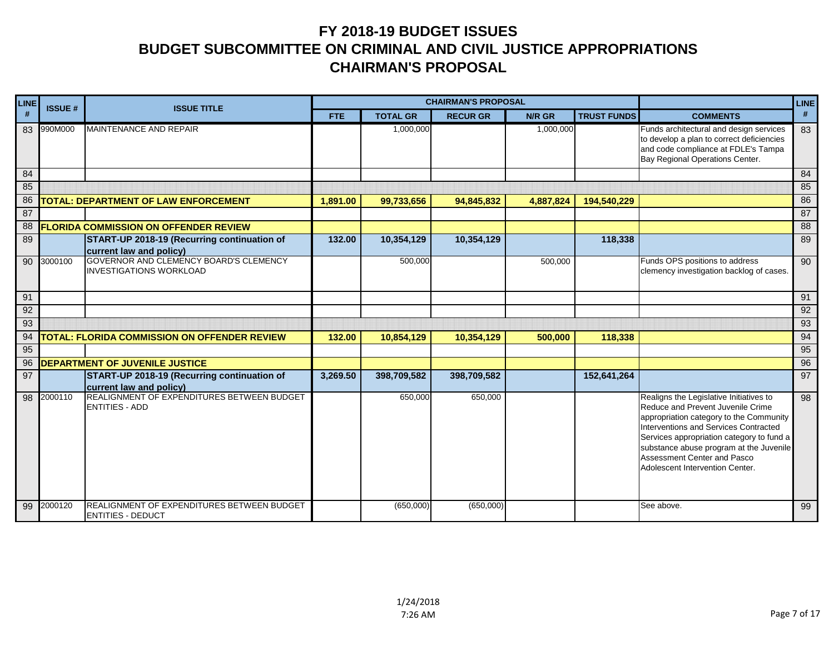| <b>LINE</b> | <b>ISSUE#</b> | <b>ISSUE TITLE</b>                                                       |            |                 | <b>CHAIRMAN'S PROPOSAL</b> |           |                    |                                                                                                                                                                                                                                                                                                                            | <b>LINE</b> |
|-------------|---------------|--------------------------------------------------------------------------|------------|-----------------|----------------------------|-----------|--------------------|----------------------------------------------------------------------------------------------------------------------------------------------------------------------------------------------------------------------------------------------------------------------------------------------------------------------------|-------------|
| #           |               |                                                                          | <b>FTE</b> | <b>TOTAL GR</b> | <b>RECUR GR</b>            | N/R GR    | <b>TRUST FUNDS</b> | <b>COMMENTS</b>                                                                                                                                                                                                                                                                                                            | #           |
| 83          | 990M000       | <b>MAINTENANCE AND REPAIR</b>                                            |            | 1,000,000       |                            | 1,000,000 |                    | Funds architectural and design services<br>to develop a plan to correct deficiencies<br>and code compliance at FDLE's Tampa<br>Bay Regional Operations Center.                                                                                                                                                             | 83          |
| 84          |               |                                                                          |            |                 |                            |           |                    |                                                                                                                                                                                                                                                                                                                            | 84          |
| 85          |               |                                                                          |            |                 |                            |           |                    |                                                                                                                                                                                                                                                                                                                            | 85          |
| 86          |               | TOTAL: DEPARTMENT OF LAW ENFORCEMENT                                     | 1,891.00   | 99,733,656      | 94,845,832                 | 4,887,824 | 194,540,229        |                                                                                                                                                                                                                                                                                                                            | 86          |
| 87          |               |                                                                          |            |                 |                            |           |                    |                                                                                                                                                                                                                                                                                                                            | 87          |
| 88          |               | <b>FLORIDA COMMISSION ON OFFENDER REVIEW</b>                             |            |                 |                            |           |                    |                                                                                                                                                                                                                                                                                                                            | 88          |
| 89          |               | START-UP 2018-19 (Recurring continuation of<br>current law and policy)   | 132.00     | 10,354,129      | 10,354,129                 |           | 118,338            |                                                                                                                                                                                                                                                                                                                            | 89          |
| 90          | 3000100       | GOVERNOR AND CLEMENCY BOARD'S CLEMENCY<br><b>INVESTIGATIONS WORKLOAD</b> |            | 500,000         |                            | 500,000   |                    | Funds OPS positions to address<br>clemency investigation backlog of cases.                                                                                                                                                                                                                                                 | 90          |
| 91          |               |                                                                          |            |                 |                            |           |                    |                                                                                                                                                                                                                                                                                                                            | 91          |
| 92          |               |                                                                          |            |                 |                            |           |                    |                                                                                                                                                                                                                                                                                                                            | 92          |
| 93          |               |                                                                          |            |                 |                            |           |                    |                                                                                                                                                                                                                                                                                                                            | 93          |
| 94          |               | <b>TOTAL: FLORIDA COMMISSION ON OFFENDER REVIEW</b>                      | 132.00     | 10,854,129      | 10,354,129                 | 500,000   | 118,338            |                                                                                                                                                                                                                                                                                                                            | 94          |
| 95          |               |                                                                          |            |                 |                            |           |                    |                                                                                                                                                                                                                                                                                                                            | 95          |
| 96          |               | <b>DEPARTMENT OF JUVENILE JUSTICE</b>                                    |            |                 |                            |           |                    |                                                                                                                                                                                                                                                                                                                            | 96          |
| 97          |               | START-UP 2018-19 (Recurring continuation of<br>current law and policy)   | 3,269.50   | 398,709,582     | 398,709,582                |           | 152,641,264        |                                                                                                                                                                                                                                                                                                                            | 97          |
| 98          | 2000110       | REALIGNMENT OF EXPENDITURES BETWEEN BUDGET<br><b>ENTITIES - ADD</b>      |            | 650,000         | 650,000                    |           |                    | Realigns the Legislative Initiatives to<br>Reduce and Prevent Juvenile Crime<br>appropriation category to the Community<br>Interventions and Services Contracted<br>Services appropriation category to fund a<br>substance abuse program at the Juvenile<br>Assessment Center and Pasco<br>Adolescent Intervention Center. | 98          |
| 99          | 2000120       | REALIGNMENT OF EXPENDITURES BETWEEN BUDGET<br><b>ENTITIES - DEDUCT</b>   |            | (650,000)       | (650,000)                  |           |                    | See above.                                                                                                                                                                                                                                                                                                                 | 99          |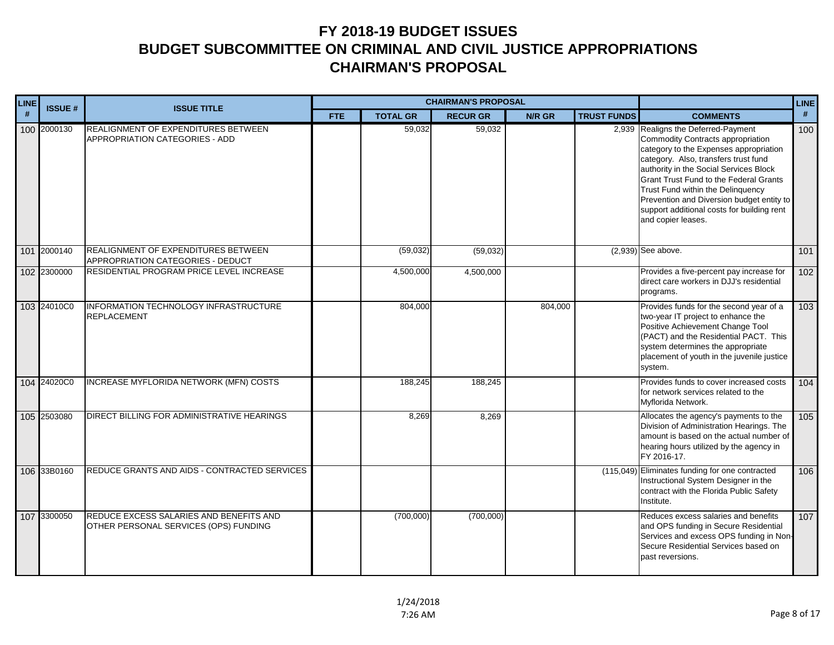| LINE | <b>ISSUE#</b> | <b>ISSUE TITLE</b>                                                               |            |                 | <b>CHAIRMAN'S PROPOSAL</b> |         |                    | <b>LINE</b>                                                                                                                                                                                                                                                                                                                                                                                                 |     |
|------|---------------|----------------------------------------------------------------------------------|------------|-----------------|----------------------------|---------|--------------------|-------------------------------------------------------------------------------------------------------------------------------------------------------------------------------------------------------------------------------------------------------------------------------------------------------------------------------------------------------------------------------------------------------------|-----|
| #    |               |                                                                                  | <b>FTE</b> | <b>TOTAL GR</b> | <b>RECUR GR</b>            | N/R GR  | <b>TRUST FUNDS</b> | <b>COMMENTS</b>                                                                                                                                                                                                                                                                                                                                                                                             | #   |
|      | 100 2000130   | REALIGNMENT OF EXPENDITURES BETWEEN<br><b>APPROPRIATION CATEGORIES - ADD</b>     |            | 59,032          | 59,032                     |         |                    | 2,939 Realigns the Deferred-Payment<br>Commodity Contracts appropriation<br>category to the Expenses appropriation<br>category. Also, transfers trust fund<br>authority in the Social Services Block<br><b>Grant Trust Fund to the Federal Grants</b><br>Trust Fund within the Delinguency<br>Prevention and Diversion budget entity to<br>support additional costs for building rent<br>and copier leases. | 100 |
|      | 101 2000140   | REALIGNMENT OF EXPENDITURES BETWEEN<br>APPROPRIATION CATEGORIES - DEDUCT         |            | (59,032)        | (59,032)                   |         |                    | $(2,939)$ See above.                                                                                                                                                                                                                                                                                                                                                                                        | 101 |
|      | 102 2300000   | RESIDENTIAL PROGRAM PRICE LEVEL INCREASE                                         |            | 4,500,000       | 4,500,000                  |         |                    | Provides a five-percent pay increase for<br>direct care workers in DJJ's residential<br>programs.                                                                                                                                                                                                                                                                                                           | 102 |
|      | 103 24010C0   | INFORMATION TECHNOLOGY INFRASTRUCTURE<br><b>REPLACEMENT</b>                      |            | 804,000         |                            | 804,000 |                    | Provides funds for the second year of a<br>two-year IT project to enhance the<br>Positive Achievement Change Tool<br>(PACT) and the Residential PACT. This<br>system determines the appropriate<br>placement of youth in the juvenile justice<br>system.                                                                                                                                                    | 103 |
|      | 104 24020C0   | INCREASE MYFLORIDA NETWORK (MFN) COSTS                                           |            | 188,245         | 188,245                    |         |                    | Provides funds to cover increased costs<br>for network services related to the<br>Myflorida Network.                                                                                                                                                                                                                                                                                                        | 104 |
|      | 105 2503080   | DIRECT BILLING FOR ADMINISTRATIVE HEARINGS                                       |            | 8,269           | 8,269                      |         |                    | Allocates the agency's payments to the<br>Division of Administration Hearings. The<br>amount is based on the actual number of<br>hearing hours utilized by the agency in<br>FY 2016-17.                                                                                                                                                                                                                     | 105 |
|      | 106 33B0160   | REDUCE GRANTS AND AIDS - CONTRACTED SERVICES                                     |            |                 |                            |         |                    | (115,049) Eliminates funding for one contracted<br>Instructional System Designer in the<br>contract with the Florida Public Safety<br>Institute.                                                                                                                                                                                                                                                            | 106 |
|      | 107 3300050   | REDUCE EXCESS SALARIES AND BENEFITS AND<br>OTHER PERSONAL SERVICES (OPS) FUNDING |            | (700,000)       | (700,000)                  |         |                    | Reduces excess salaries and benefits<br>and OPS funding in Secure Residential<br>Services and excess OPS funding in Non-<br>Secure Residential Services based on<br>past reversions.                                                                                                                                                                                                                        | 107 |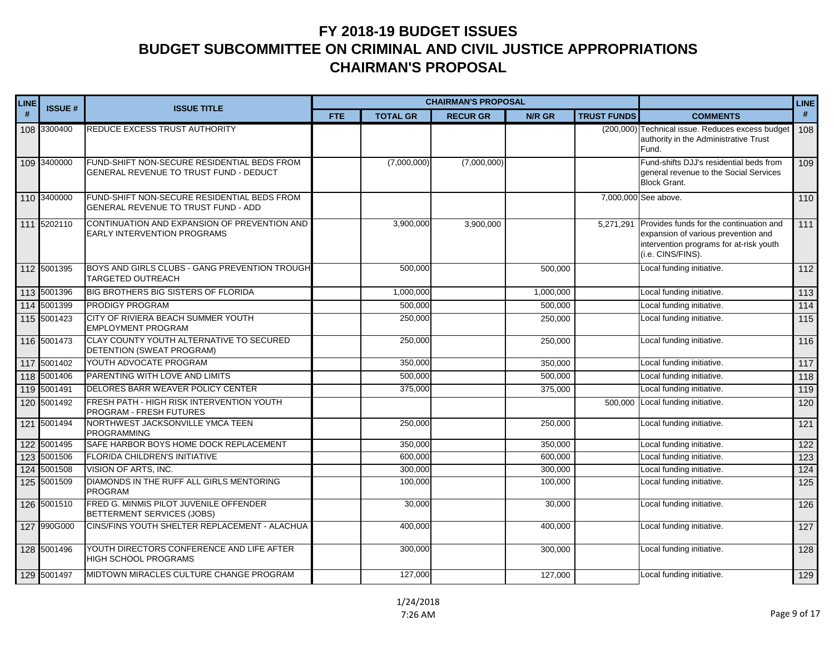| <b>LINE</b> | <b>ISSUE#</b> | <b>ISSUE TITLE</b>                                                                    |            |                 | <b>CHAIRMAN'S PROPOSAL</b> |           |                    | <b>LINE</b>                                                                                                                                    |                   |
|-------------|---------------|---------------------------------------------------------------------------------------|------------|-----------------|----------------------------|-----------|--------------------|------------------------------------------------------------------------------------------------------------------------------------------------|-------------------|
| #           |               |                                                                                       | <b>FTE</b> | <b>TOTAL GR</b> | <b>RECUR GR</b>            | N/R GR    | <b>TRUST FUNDS</b> | <b>COMMENTS</b>                                                                                                                                | #                 |
|             | 108 3300400   | REDUCE EXCESS TRUST AUTHORITY                                                         |            |                 |                            |           |                    | (200,000) Technical issue. Reduces excess budget<br>authority in the Administrative Trust<br>Fund.                                             | 108               |
|             | 109 3400000   | FUND-SHIFT NON-SECURE RESIDENTIAL BEDS FROM<br>GENERAL REVENUE TO TRUST FUND - DEDUCT |            | (7,000,000)     | (7,000,000)                |           |                    | Fund-shifts DJJ's residential beds from<br>general revenue to the Social Services<br><b>Block Grant.</b>                                       | 109               |
|             | 110 3400000   | FUND-SHIFT NON-SECURE RESIDENTIAL BEDS FROM<br>GENERAL REVENUE TO TRUST FUND - ADD    |            |                 |                            |           |                    | 7,000,000 See above.                                                                                                                           | 110               |
|             | 111 5202110   | CONTINUATION AND EXPANSION OF PREVENTION AND<br>EARLY INTERVENTION PROGRAMS           |            | 3,900,000       | 3,900,000                  |           | 5,271,291          | Provides funds for the continuation and<br>expansion of various prevention and<br>intervention programs for at-risk youth<br>(i.e. CINS/FINS). | $\overline{111}$  |
|             | 112 5001395   | BOYS AND GIRLS CLUBS - GANG PREVENTION TROUGH<br>TARGETED OUTREACH                    |            | 500,000         |                            | 500,000   |                    | Local funding initiative.                                                                                                                      | $112$             |
|             | 113 5001396   | BIG BROTHERS BIG SISTERS OF FLORIDA                                                   |            | 1,000,000       |                            | 1,000,000 |                    | Local funding initiative.                                                                                                                      | $\overline{113}$  |
|             | 114 5001399   | <b>PRODIGY PROGRAM</b>                                                                |            | 500,000         |                            | 500,000   |                    | Local funding initiative.                                                                                                                      | $114$             |
|             | 115 5001423   | CITY OF RIVIERA BEACH SUMMER YOUTH<br><b>EMPLOYMENT PROGRAM</b>                       |            | 250,000         |                            | 250,000   |                    | Local funding initiative.                                                                                                                      | $\frac{115}{115}$ |
|             | 116 5001473   | CLAY COUNTY YOUTH ALTERNATIVE TO SECURED<br>DETENTION (SWEAT PROGRAM)                 |            | 250,000         |                            | 250,000   |                    | Local funding initiative.                                                                                                                      | 116               |
|             | 117 5001402   | YOUTH ADVOCATE PROGRAM                                                                |            | 350,000         |                            | 350,000   |                    | Local funding initiative.                                                                                                                      | 117               |
|             | 118 5001406   | PARENTING WITH LOVE AND LIMITS                                                        |            | 500,000         |                            | 500,000   |                    | Local funding initiative.                                                                                                                      | $\overline{118}$  |
|             | 119 5001491   | DELORES BARR WEAVER POLICY CENTER                                                     |            | 375,000         |                            | 375,000   |                    | Local funding initiative.                                                                                                                      | 119               |
|             | 120 5001492   | FRESH PATH - HIGH RISK INTERVENTION YOUTH<br>PROGRAM - FRESH FUTURES                  |            |                 |                            |           |                    | 500,000 Local funding initiative.                                                                                                              | 120               |
|             | 121 5001494   | NORTHWEST JACKSONVILLE YMCA TEEN<br><b>PROGRAMMING</b>                                |            | 250,000         |                            | 250,000   |                    | Local funding initiative.                                                                                                                      | 121               |
|             | 122 5001495   | SAFE HARBOR BOYS HOME DOCK REPLACEMENT                                                |            | 350,000         |                            | 350,000   |                    | Local funding initiative.                                                                                                                      | $\overline{122}$  |
|             | 123 5001506   | FLORIDA CHILDREN'S INITIATIVE                                                         |            | 600,000         |                            | 600,000   |                    | Local funding initiative.                                                                                                                      | $\overline{123}$  |
|             | 124 5001508   | <b>VISION OF ARTS, INC.</b>                                                           |            | 300,000         |                            | 300,000   |                    | Local funding initiative.                                                                                                                      | 124               |
|             | 125 5001509   | DIAMONDS IN THE RUFF ALL GIRLS MENTORING<br><b>PROGRAM</b>                            |            | 100,000         |                            | 100,000   |                    | Local funding initiative.                                                                                                                      | 125               |
|             | 126 5001510   | FRED G. MINMIS PILOT JUVENILE OFFENDER<br>BETTERMENT SERVICES (JOBS)                  |            | 30,000          |                            | 30,000    |                    | Local funding initiative.                                                                                                                      | 126               |
|             | 127 990G000   | CINS/FINS YOUTH SHELTER REPLACEMENT - ALACHUA                                         |            | 400,000         |                            | 400,000   |                    | Local funding initiative.                                                                                                                      | 127               |
|             | 128 5001496   | YOUTH DIRECTORS CONFERENCE AND LIFE AFTER<br><b>HIGH SCHOOL PROGRAMS</b>              |            | 300,000         |                            | 300,000   |                    | Local funding initiative.                                                                                                                      | 128               |
|             | 129 5001497   | MIDTOWN MIRACLES CULTURE CHANGE PROGRAM                                               |            | 127,000         |                            | 127,000   |                    | Local funding initiative.                                                                                                                      | 129               |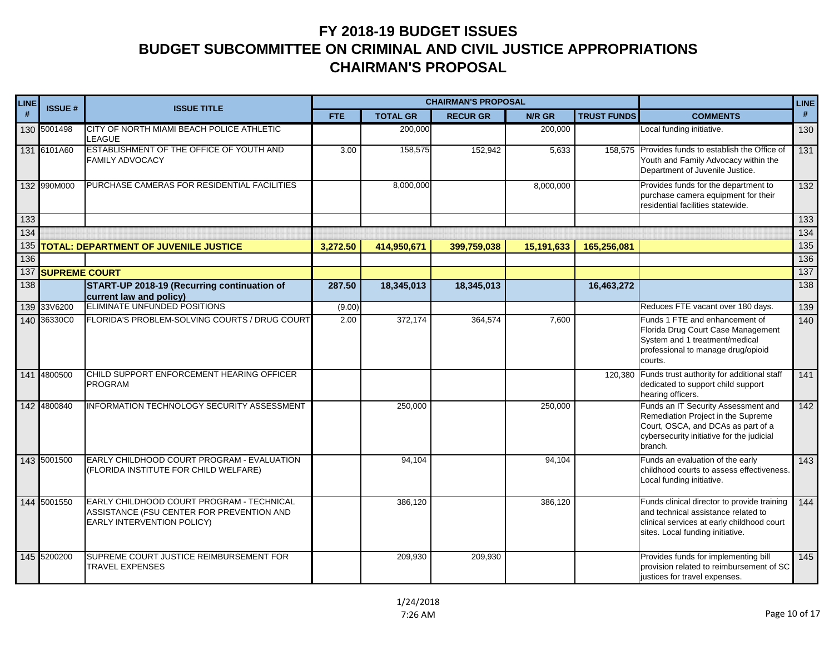| <b>LINE</b> | <b>ISSUE#</b>     | <b>ISSUE TITLE</b>                                                                                                   |            | <b>CHAIRMAN'S PROPOSAL</b> |                 |               | <b>LINE</b>        |                                                                                                                                                                         |                  |
|-------------|-------------------|----------------------------------------------------------------------------------------------------------------------|------------|----------------------------|-----------------|---------------|--------------------|-------------------------------------------------------------------------------------------------------------------------------------------------------------------------|------------------|
| #           |                   |                                                                                                                      | <b>FTE</b> | <b>TOTAL GR</b>            | <b>RECUR GR</b> | <b>N/R GR</b> | <b>TRUST FUNDS</b> | <b>COMMENTS</b>                                                                                                                                                         | #                |
|             | 130 5001498       | CITY OF NORTH MIAMI BEACH POLICE ATHLETIC<br><b>LEAGUE</b>                                                           |            | 200,000                    |                 | 200,000       |                    | Local funding initiative.                                                                                                                                               | 130              |
|             | 131 6101A60       | ESTABLISHMENT OF THE OFFICE OF YOUTH AND<br><b>FAMILY ADVOCACY</b>                                                   | 3.00       | 158,575                    | 152,942         | 5,633         |                    | 158,575 Provides funds to establish the Office of<br>Youth and Family Advocacy within the<br>Department of Juvenile Justice.                                            | 131              |
|             | 132 990M000       | PURCHASE CAMERAS FOR RESIDENTIAL FACILITIES                                                                          |            | 8,000,000                  |                 | 8,000,000     |                    | Provides funds for the department to<br>purchase camera equipment for their<br>residential facilities statewide.                                                        | 132              |
| 133         |                   |                                                                                                                      |            |                            |                 |               |                    |                                                                                                                                                                         | 133              |
| 134         |                   |                                                                                                                      |            |                            |                 |               |                    |                                                                                                                                                                         | 134              |
| 135         |                   | TOTAL: DEPARTMENT OF JUVENILE JUSTICE                                                                                | 3,272.50   | 414,950,671                | 399,759,038     | 15,191,633    | 165,256,081        |                                                                                                                                                                         | 135              |
| 136         |                   |                                                                                                                      |            |                            |                 |               |                    |                                                                                                                                                                         | 136<br>137       |
| 138         | 137 SUPREME COURT | START-UP 2018-19 (Recurring continuation of                                                                          | 287.50     | 18,345,013                 | 18,345,013      |               | 16,463,272         |                                                                                                                                                                         | 138              |
|             |                   | current law and policy)                                                                                              |            |                            |                 |               |                    |                                                                                                                                                                         |                  |
|             | 139 33 V6200      | ELIMINATE UNFUNDED POSITIONS                                                                                         | (9.00)     |                            |                 |               |                    | Reduces FTE vacant over 180 days.                                                                                                                                       | 139              |
|             | 140 36330C0       | FLORIDA'S PROBLEM-SOLVING COURTS / DRUG COURT                                                                        | 2.00       | 372,174                    | 364,574         | 7,600         |                    | Funds 1 FTE and enhancement of<br>Florida Drug Court Case Management<br>System and 1 treatment/medical<br>professional to manage drug/opioid<br>courts.                 | 140              |
|             | 141 4800500       | CHILD SUPPORT ENFORCEMENT HEARING OFFICER<br><b>PROGRAM</b>                                                          |            |                            |                 |               |                    | 120,380 Funds trust authority for additional staff<br>dedicated to support child support<br>hearing officers.                                                           | $141$            |
|             | 142 4800840       | INFORMATION TECHNOLOGY SECURITY ASSESSMENT                                                                           |            | 250,000                    |                 | 250,000       |                    | Funds an IT Security Assessment and<br>Remediation Project in the Supreme<br>Court, OSCA, and DCAs as part of a<br>cybersecurity initiative for the judicial<br>branch. | 142              |
|             | 143 5001500       | EARLY CHILDHOOD COURT PROGRAM - EVALUATION<br>(FLORIDA INSTITUTE FOR CHILD WELFARE)                                  |            | 94,104                     |                 | 94,104        |                    | Funds an evaluation of the early<br>childhood courts to assess effectiveness.<br>Local funding initiative.                                                              | 143              |
|             | 144 5001550       | EARLY CHILDHOOD COURT PROGRAM - TECHNICAL<br>ASSISTANCE (FSU CENTER FOR PREVENTION AND<br>EARLY INTERVENTION POLICY) |            | 386,120                    |                 | 386,120       |                    | Funds clinical director to provide training<br>and technical assistance related to<br>clinical services at early childhood court<br>sites. Local funding initiative.    | 144              |
|             | 145 5200200       | SUPREME COURT JUSTICE REIMBURSEMENT FOR<br><b>TRAVEL EXPENSES</b>                                                    |            | 209,930                    | 209,930         |               |                    | Provides funds for implementing bill<br>provision related to reimbursement of SC<br>justices for travel expenses.                                                       | $\overline{145}$ |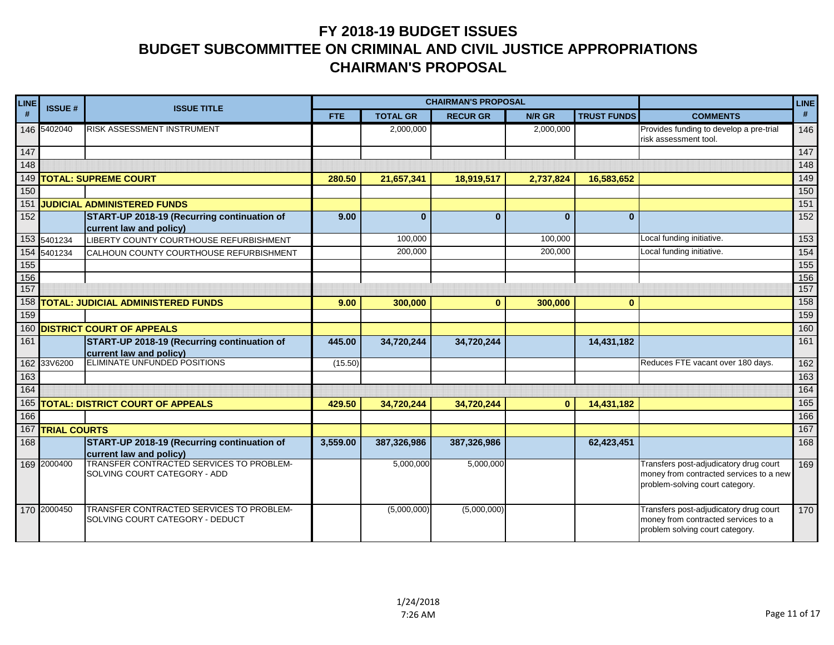| <b>LINE</b> | <b>ISSUE#</b><br><b>ISSUE TITLE</b> |                                                                                 |            |                 | <b>CHAIRMAN'S PROPOSAL</b> |           |                    |                                                                                                                      | <b>LINE</b>       |
|-------------|-------------------------------------|---------------------------------------------------------------------------------|------------|-----------------|----------------------------|-----------|--------------------|----------------------------------------------------------------------------------------------------------------------|-------------------|
| #           |                                     |                                                                                 | <b>FTE</b> | <b>TOTAL GR</b> | <b>RECUR GR</b>            | N/R GR    | <b>TRUST FUNDS</b> | <b>COMMENTS</b>                                                                                                      | #                 |
|             | 146 5402040                         | <b>RISK ASSESSMENT INSTRUMENT</b>                                               |            | 2,000,000       |                            | 2,000,000 |                    | Provides funding to develop a pre-trial<br>risk assessment tool.                                                     | 146               |
| 147         |                                     |                                                                                 |            |                 |                            |           |                    |                                                                                                                      | $\frac{147}{147}$ |
| 148         |                                     |                                                                                 |            |                 |                            |           |                    |                                                                                                                      | 148               |
|             |                                     | 149 TOTAL: SUPREME COURT                                                        | 280.50     | 21,657,341      | 18,919,517                 | 2,737,824 | 16,583,652         |                                                                                                                      | 149               |
| 150         |                                     |                                                                                 |            |                 |                            |           |                    |                                                                                                                      | 150               |
| 151         |                                     | <b>JUDICIAL ADMINISTERED FUNDS</b>                                              |            |                 |                            |           |                    |                                                                                                                      | 151               |
| 152         |                                     | START-UP 2018-19 (Recurring continuation of<br>current law and policy)          | 9.00       | $\mathbf{0}$    | $\mathbf{0}$               | $\bf{0}$  | $\mathbf{0}$       |                                                                                                                      | 152               |
|             | 153 5401234                         | LIBERTY COUNTY COURTHOUSE REFURBISHMENT                                         |            | 100,000         |                            | 100,000   |                    | Local funding initiative.                                                                                            | 153               |
|             | 154 5401234                         | CALHOUN COUNTY COURTHOUSE REFURBISHMENT                                         |            | 200,000         |                            | 200,000   |                    | Local funding initiative.                                                                                            | 154               |
| 155         |                                     |                                                                                 |            |                 |                            |           |                    |                                                                                                                      | 155               |
| 156         |                                     |                                                                                 |            |                 |                            |           |                    |                                                                                                                      | 156               |
| 157         |                                     |                                                                                 |            |                 |                            |           |                    |                                                                                                                      | 157               |
|             |                                     | 158 TOTAL: JUDICIAL ADMINISTERED FUNDS                                          | 9.00       | 300,000         | $\mathbf{0}$               | 300,000   | $\bf{0}$           |                                                                                                                      | 158               |
| 159         |                                     |                                                                                 |            |                 |                            |           |                    |                                                                                                                      | 159               |
|             |                                     | 160 DISTRICT COURT OF APPEALS                                                   |            |                 |                            |           |                    |                                                                                                                      | 160               |
| 161         |                                     | <b>START-UP 2018-19 (Recurring continuation of</b><br>current law and policy)   | 445.00     | 34,720,244      | 34,720,244                 |           | 14,431,182         |                                                                                                                      | 161               |
|             | 162 33V6200                         | ELIMINATE UNFUNDED POSITIONS                                                    | (15.50)    |                 |                            |           |                    | Reduces FTE vacant over 180 days.                                                                                    | 162               |
| 163         |                                     |                                                                                 |            |                 |                            |           |                    |                                                                                                                      | 163               |
| 164         |                                     |                                                                                 |            |                 |                            |           |                    |                                                                                                                      | 164               |
|             |                                     | 165 TOTAL: DISTRICT COURT OF APPEALS                                            | 429.50     | 34,720,244      | 34,720,244                 | $\bf{0}$  | 14,431,182         |                                                                                                                      | 165               |
| 166         |                                     |                                                                                 |            |                 |                            |           |                    |                                                                                                                      | 166               |
| 167         | <b>TRIAL COURTS</b>                 |                                                                                 |            |                 |                            |           |                    |                                                                                                                      | 167               |
| 168         |                                     | START-UP 2018-19 (Recurring continuation of<br>current law and policy)          | 3,559.00   | 387,326,986     | 387,326,986                |           | 62,423,451         |                                                                                                                      | 168               |
|             | 169 2000400                         | <b>TRANSFER CONTRACTED SERVICES TO PROBLEM-</b><br>SOLVING COURT CATEGORY - ADD |            | 5,000,000       | 5,000,000                  |           |                    | Transfers post-adjudicatory drug court<br>money from contracted services to a new<br>problem-solving court category. | 169               |
|             | 170 2000450                         | TRANSFER CONTRACTED SERVICES TO PROBLEM-<br>SOLVING COURT CATEGORY - DEDUCT     |            | (5,000,000)     | (5,000,000)                |           |                    | Transfers post-adjudicatory drug court<br>money from contracted services to a<br>problem solving court category.     | 170               |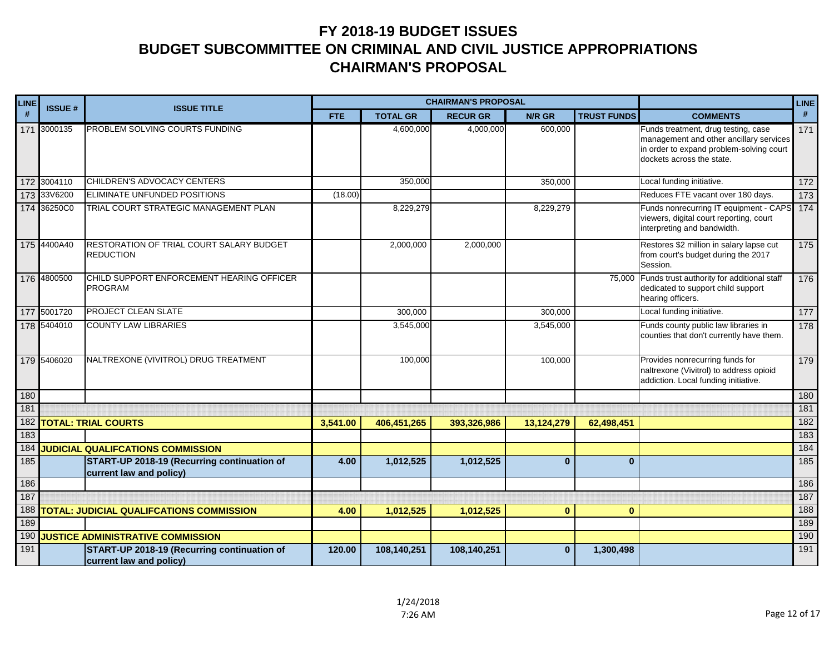| LINE       | <b>CHAIRMAN'S PROPOSAL</b><br><b>ISSUE#</b><br><b>ISSUE TITLE</b> |                                                                        |            |                 |                |              | <b>LINE</b>        |                                                                                                                                                         |                  |
|------------|-------------------------------------------------------------------|------------------------------------------------------------------------|------------|-----------------|----------------|--------------|--------------------|---------------------------------------------------------------------------------------------------------------------------------------------------------|------------------|
| #          |                                                                   |                                                                        | <b>FTE</b> | <b>TOTAL GR</b> | <b>RECURGR</b> | N/R GR       | <b>TRUST FUNDS</b> | <b>COMMENTS</b>                                                                                                                                         | #                |
|            | 171 3000135                                                       | PROBLEM SOLVING COURTS FUNDING                                         |            | 4,600,000       | 4,000,000      | 600,000      |                    | Funds treatment, drug testing, case<br>management and other ancillary services<br>in order to expand problem-solving court<br>dockets across the state. | 171              |
|            | 172 3004110                                                       | CHILDREN'S ADVOCACY CENTERS                                            |            | 350,000         |                | 350,000      |                    | Local funding initiative.                                                                                                                               | $\frac{172}{ }$  |
|            | 173 33V6200                                                       | ELIMINATE UNFUNDED POSITIONS                                           | (18.00)    |                 |                |              |                    | Reduces FTE vacant over 180 days.                                                                                                                       | 173              |
|            | 174 36250C0                                                       | TRIAL COURT STRATEGIC MANAGEMENT PLAN                                  |            | 8,229,279       |                | 8,229,279    |                    | Funds nonrecurring IT equipment - CAPS<br>viewers, digital court reporting, court<br>interpreting and bandwidth.                                        | 174              |
|            | 175 4400A40                                                       | RESTORATION OF TRIAL COURT SALARY BUDGET<br><b>REDUCTION</b>           |            | 2,000,000       | 2,000,000      |              |                    | Restores \$2 million in salary lapse cut<br>from court's budget during the 2017<br>Session.                                                             | $\frac{175}{ }$  |
|            | 176 4800500                                                       | CHILD SUPPORT ENFORCEMENT HEARING OFFICER<br><b>PROGRAM</b>            |            |                 |                |              |                    | 75,000 Funds trust authority for additional staff<br>176<br>dedicated to support child support<br>hearing officers.                                     |                  |
|            | 177 5001720                                                       | PROJECT CLEAN SLATE                                                    |            | 300,000         |                | 300,000      |                    | Local funding initiative.                                                                                                                               | $\overline{177}$ |
|            | 178 5404010                                                       | <b>COUNTY LAW LIBRARIES</b>                                            |            | 3,545,000       |                | 3,545,000    |                    | Funds county public law libraries in<br>counties that don't currently have them.                                                                        | 178              |
|            | 179 5406020                                                       | NALTREXONE (VIVITROL) DRUG TREATMENT                                   |            | 100,000         |                | 100,000      |                    | Provides nonrecurring funds for<br>naltrexone (Vivitrol) to address opioid<br>addiction. Local funding initiative.                                      | 179              |
| 180        |                                                                   |                                                                        |            |                 |                |              |                    |                                                                                                                                                         | 180              |
| 181        |                                                                   |                                                                        |            |                 |                |              |                    |                                                                                                                                                         | 181              |
| 182        |                                                                   | <b>TOTAL: TRIAL COURTS</b>                                             | 3,541.00   | 406,451,265     | 393,326,986    | 13,124,279   | 62,498,451         |                                                                                                                                                         | 182              |
| 183        |                                                                   |                                                                        |            |                 |                |              |                    |                                                                                                                                                         | 183              |
| 184<br>185 |                                                                   | <b>JUDICIAL QUALIFCATIONS COMMISSION</b>                               | 4.00       |                 |                | $\mathbf{0}$ | $\mathbf{0}$       |                                                                                                                                                         | 184<br>185       |
|            |                                                                   | START-UP 2018-19 (Recurring continuation of<br>current law and policy) |            | 1,012,525       | 1,012,525      |              |                    |                                                                                                                                                         |                  |
| 186        |                                                                   |                                                                        |            |                 |                |              |                    |                                                                                                                                                         | 186              |
| 187        |                                                                   |                                                                        |            |                 |                |              |                    |                                                                                                                                                         | 187              |
| 188        |                                                                   | <b>TOTAL: JUDICIAL QUALIFCATIONS COMMISSION</b>                        | 4.00       | 1,012,525       | 1,012,525      | $\mathbf{0}$ | $\mathbf{0}$       |                                                                                                                                                         | 188              |
| 189        |                                                                   |                                                                        |            |                 |                |              |                    |                                                                                                                                                         | 189              |
| 190        |                                                                   | <b>JUSTICE ADMINISTRATIVE COMMISSION</b>                               |            |                 |                |              |                    |                                                                                                                                                         | 190              |
| 191        |                                                                   | START-UP 2018-19 (Recurring continuation of<br>current law and policy) | 120.00     | 108,140,251     | 108,140,251    | $\mathbf{0}$ | 1,300,498          |                                                                                                                                                         | 191              |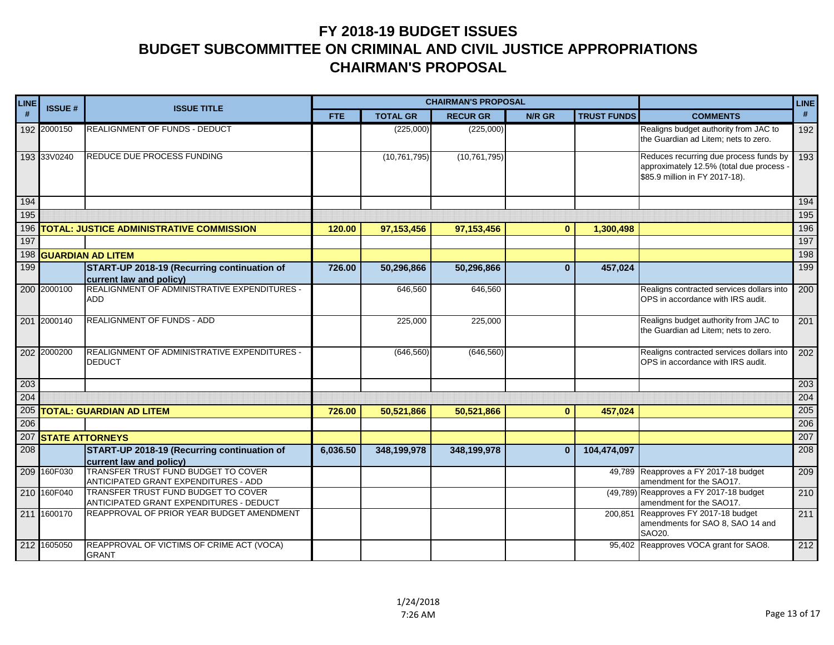| <b>LINE</b> | <b>ISSUE#</b><br><b>ISSUE TITLE</b> |                                                                                |            |                 | <b>CHAIRMAN'S PROPOSAL</b> |              |                    |                                                                                                                    | <b>LINE</b> |
|-------------|-------------------------------------|--------------------------------------------------------------------------------|------------|-----------------|----------------------------|--------------|--------------------|--------------------------------------------------------------------------------------------------------------------|-------------|
| #           |                                     |                                                                                | <b>FTE</b> | <b>TOTAL GR</b> | <b>RECUR GR</b>            | N/R GR       | <b>TRUST FUNDS</b> | <b>COMMENTS</b>                                                                                                    | #           |
|             | 192 2000150                         | <b>REALIGNMENT OF FUNDS - DEDUCT</b>                                           |            | (225,000)       | (225,000)                  |              |                    | Realigns budget authority from JAC to<br>the Guardian ad Litem; nets to zero.                                      | 192         |
|             | 193 33 V0240                        | REDUCE DUE PROCESS FUNDING                                                     |            | (10, 761, 795)  | (10, 761, 795)             |              |                    | Reduces recurring due process funds by<br>approximately 12.5% (total due process<br>\$85.9 million in FY 2017-18). | 193         |
| 194         |                                     |                                                                                |            |                 |                            |              |                    |                                                                                                                    | 194         |
| 195         |                                     |                                                                                |            |                 |                            |              |                    |                                                                                                                    | 195         |
| 196         |                                     | <b>TOTAL: JUSTICE ADMINISTRATIVE COMMISSION</b>                                | 120.00     | 97, 153, 456    | 97,153,456                 | $\mathbf{0}$ | 1,300,498          |                                                                                                                    | 196         |
| 197         |                                     |                                                                                |            |                 |                            |              |                    |                                                                                                                    | 197         |
|             |                                     | 198 GUARDIAN AD LITEM                                                          |            |                 |                            |              |                    |                                                                                                                    | 198         |
| 199         |                                     | START-UP 2018-19 (Recurring continuation of<br>current law and policy)         | 726.00     | 50,296,866      | 50,296,866                 | $\mathbf{0}$ | 457,024            |                                                                                                                    | 199         |
|             | 200 2000100                         | REALIGNMENT OF ADMINISTRATIVE EXPENDITURES -<br>ADD                            |            | 646,560         | 646,560                    |              |                    | Realigns contracted services dollars into<br>OPS in accordance with IRS audit.                                     | 200         |
|             | 201 2000140                         | <b>REALIGNMENT OF FUNDS - ADD</b>                                              |            | 225,000         | 225,000                    |              |                    | Realigns budget authority from JAC to<br>the Guardian ad Litem; nets to zero.                                      | 201         |
|             | 202 2000200                         | REALIGNMENT OF ADMINISTRATIVE EXPENDITURES -<br><b>DEDUCT</b>                  |            | (646, 560)      | (646, 560)                 |              |                    | Realigns contracted services dollars into<br>OPS in accordance with IRS audit.                                     | 202         |
| 203         |                                     |                                                                                |            |                 |                            |              |                    |                                                                                                                    | 203         |
| 204         |                                     |                                                                                |            |                 |                            |              |                    |                                                                                                                    | 204         |
|             |                                     | 205 TOTAL: GUARDIAN AD LITEM                                                   | 726.00     | 50,521,866      | 50,521,866                 | $\mathbf{0}$ | 457,024            |                                                                                                                    | 205         |
| 206         |                                     |                                                                                |            |                 |                            |              |                    |                                                                                                                    | 206         |
|             | 207 STATE ATTORNEYS                 |                                                                                |            |                 |                            |              |                    |                                                                                                                    | 207         |
| 208         |                                     | START-UP 2018-19 (Recurring continuation of<br>current law and policy)         | 6,036.50   | 348,199,978     | 348,199,978                | $\mathbf{0}$ | 104,474,097        |                                                                                                                    | 208         |
|             | 209 160F030                         | TRANSFER TRUST FUND BUDGET TO COVER<br>ANTICIPATED GRANT EXPENDITURES - ADD    |            |                 |                            |              |                    | 49.789 Reapproves a FY 2017-18 budget<br>amendment for the SAO17.                                                  | 209         |
|             | 210 160F040                         | TRANSFER TRUST FUND BUDGET TO COVER<br>ANTICIPATED GRANT EXPENDITURES - DEDUCT |            |                 |                            |              |                    | (49,789) Reapproves a FY 2017-18 budget<br>amendment for the SAO17.                                                | 210         |
|             | 211 1600170                         | REAPPROVAL OF PRIOR YEAR BUDGET AMENDMENT                                      |            |                 |                            |              | 200,851            | Reapproves FY 2017-18 budget<br>amendments for SAO 8, SAO 14 and<br>SAO20.                                         | 211         |
|             | 212 1605050                         | REAPPROVAL OF VICTIMS OF CRIME ACT (VOCA)<br><b>GRANT</b>                      |            |                 |                            |              |                    | 95,402 Reapproves VOCA grant for SAO8.                                                                             | 212         |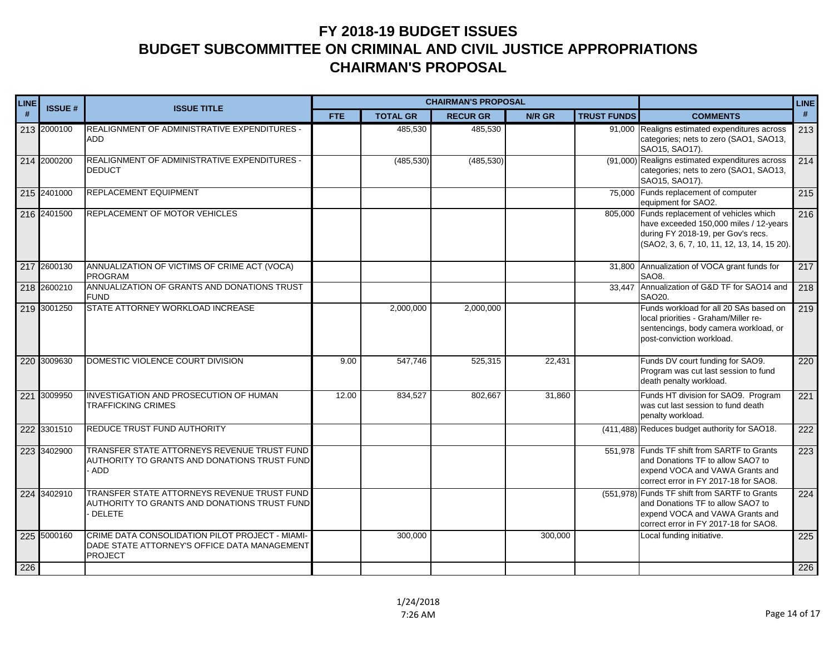| <b>LINE</b> |               |                                                                                                                   |            | <b>CHAIRMAN'S PROPOSAL</b> |                 |         | <b>LINE</b>        |                                                                                                                                                                            |     |
|-------------|---------------|-------------------------------------------------------------------------------------------------------------------|------------|----------------------------|-----------------|---------|--------------------|----------------------------------------------------------------------------------------------------------------------------------------------------------------------------|-----|
| #           | <b>ISSUE#</b> | <b>ISSUE TITLE</b>                                                                                                | <b>FTE</b> | <b>TOTAL GR</b>            | <b>RECUR GR</b> | N/R GR  | <b>TRUST FUNDS</b> | <b>COMMENTS</b>                                                                                                                                                            | #   |
|             | 213 2000100   | REALIGNMENT OF ADMINISTRATIVE EXPENDITURES -<br><b>ADD</b>                                                        |            | 485,530                    | 485,530         |         |                    | 91,000 Realigns estimated expenditures across<br>categories; nets to zero (SAO1, SAO13,<br>SAO15, SAO17).                                                                  | 213 |
|             | 214 2000200   | REALIGNMENT OF ADMINISTRATIVE EXPENDITURES -<br><b>DEDUCT</b>                                                     |            | (485, 530)                 | (485, 530)      |         |                    | (91,000) Realigns estimated expenditures across<br>categories; nets to zero (SAO1, SAO13,<br>SAO15, SAO17).                                                                | 214 |
|             | 215 2401000   | <b>REPLACEMENT EQUIPMENT</b>                                                                                      |            |                            |                 |         |                    | 75,000 Funds replacement of computer<br>equipment for SAO2.                                                                                                                | 215 |
|             | 216 2401500   | <b>REPLACEMENT OF MOTOR VEHICLES</b>                                                                              |            |                            |                 |         |                    | 805,000 Funds replacement of vehicles which<br>have exceeded 150,000 miles / 12-years<br>during FY 2018-19, per Gov's recs.<br>(SAO2, 3, 6, 7, 10, 11, 12, 13, 14, 15 20). | 216 |
|             | 217 2600130   | ANNUALIZATION OF VICTIMS OF CRIME ACT (VOCA)<br><b>PROGRAM</b>                                                    |            |                            |                 |         |                    | 31,800 Annualization of VOCA grant funds for<br>SAO <sub>8</sub>                                                                                                           | 217 |
|             | 218 2600210   | ANNUALIZATION OF GRANTS AND DONATIONS TRUST<br><b>FUND</b>                                                        |            |                            |                 |         |                    | 33,447 Annualization of G&D TF for SAO14 and<br>SAO20.                                                                                                                     | 218 |
|             | 219 3001250   | STATE ATTORNEY WORKLOAD INCREASE                                                                                  |            | 2,000,000                  | 2,000,000       |         |                    | Funds workload for all 20 SAs based on<br>local priorities - Graham/Miller re-<br>sentencings, body camera workload, or<br>post-conviction workload.                       | 219 |
|             | 220 3009630   | DOMESTIC VIOLENCE COURT DIVISION                                                                                  | 9.00       | 547,746                    | 525,315         | 22,431  |                    | Funds DV court funding for SAO9.<br>Program was cut last session to fund<br>death penalty workload.                                                                        | 220 |
|             | 221 3009950   | INVESTIGATION AND PROSECUTION OF HUMAN<br><b>TRAFFICKING CRIMES</b>                                               | 12.00      | 834,527                    | 802,667         | 31,860  |                    | Funds HT division for SAO9. Program<br>was cut last session to fund death<br>penalty workload.                                                                             | 221 |
|             | 222 3301510   | REDUCE TRUST FUND AUTHORITY                                                                                       |            |                            |                 |         |                    | (411,488) Reduces budget authority for SAO18.                                                                                                                              | 222 |
|             | 223 3402900   | TRANSFER STATE ATTORNEYS REVENUE TRUST FUND<br>AUTHORITY TO GRANTS AND DONATIONS TRUST FUND<br>ADD                |            |                            |                 |         |                    | 551,978 Funds TF shift from SARTF to Grants<br>and Donations TF to allow SAO7 to<br>expend VOCA and VAWA Grants and<br>correct error in FY 2017-18 for SAO8.               | 223 |
|             | 224 3402910   | TRANSFER STATE ATTORNEYS REVENUE TRUST FUND<br>AUTHORITY TO GRANTS AND DONATIONS TRUST FUND<br>DELETE             |            |                            |                 |         |                    | (551,978) Funds TF shift from SARTF to Grants<br>and Donations TF to allow SAO7 to<br>expend VOCA and VAWA Grants and<br>correct error in FY 2017-18 for SAO8.             | 224 |
|             | 225 5000160   | CRIME DATA CONSOLIDATION PILOT PROJECT - MIAMI-<br>DADE STATE ATTORNEY'S OFFICE DATA MANAGEMENT<br><b>PROJECT</b> |            | 300,000                    |                 | 300,000 |                    | Local funding initiative.                                                                                                                                                  | 225 |
| 226         |               |                                                                                                                   |            |                            |                 |         |                    |                                                                                                                                                                            | 226 |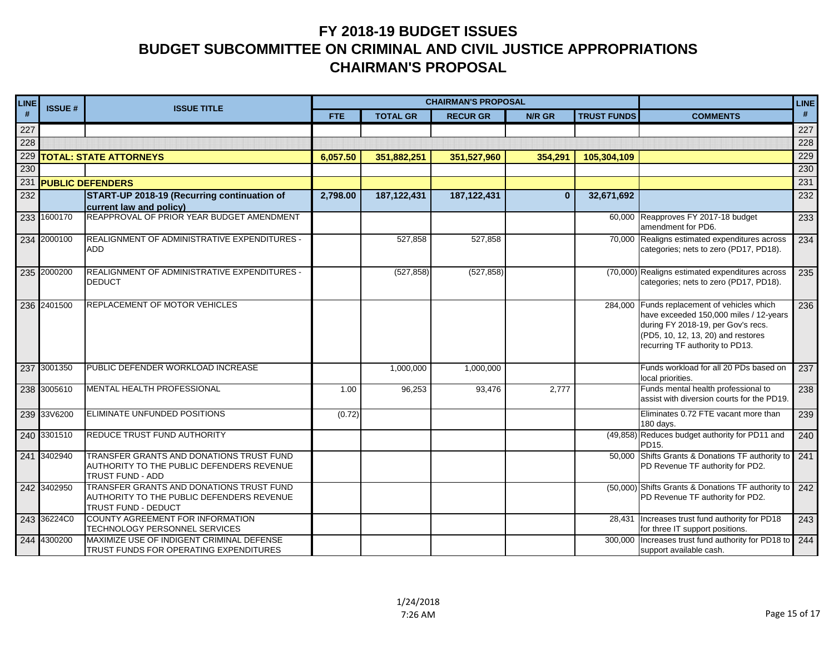| LINE | <b>ISSUE#</b> | <b>ISSUE TITLE</b>                                                                                           |            | <b>CHAIRMAN'S PROPOSAL</b> |                 |          | <b>LINE</b>        |                                                                                                                                                                                                      |     |
|------|---------------|--------------------------------------------------------------------------------------------------------------|------------|----------------------------|-----------------|----------|--------------------|------------------------------------------------------------------------------------------------------------------------------------------------------------------------------------------------------|-----|
| #    |               |                                                                                                              | <b>FTE</b> | <b>TOTAL GR</b>            | <b>RECUR GR</b> | N/R GR   | <b>TRUST FUNDS</b> | <b>COMMENTS</b>                                                                                                                                                                                      | #   |
| 227  |               |                                                                                                              |            |                            |                 |          |                    |                                                                                                                                                                                                      | 227 |
| 228  |               |                                                                                                              |            |                            |                 |          |                    |                                                                                                                                                                                                      | 228 |
| 229  |               | <b>TOTAL: STATE ATTORNEYS</b>                                                                                | 6,057.50   | 351,882,251                | 351,527,960     | 354,291  | 105,304,109        |                                                                                                                                                                                                      | 229 |
| 230  |               |                                                                                                              |            |                            |                 |          |                    |                                                                                                                                                                                                      | 230 |
|      |               | 231 PUBLIC DEFENDERS                                                                                         |            |                            |                 |          |                    |                                                                                                                                                                                                      | 231 |
| 232  |               | START-UP 2018-19 (Recurring continuation of<br>current law and policy)                                       | 2,798.00   | 187, 122, 431              | 187, 122, 431   | $\bf{0}$ | 32,671,692         |                                                                                                                                                                                                      | 232 |
|      | 233 1600170   | REAPPROVAL OF PRIOR YEAR BUDGET AMENDMENT                                                                    |            |                            |                 |          |                    | 60,000 Reapproves FY 2017-18 budget<br>amendment for PD6.                                                                                                                                            | 233 |
|      | 234 2000100   | REALIGNMENT OF ADMINISTRATIVE EXPENDITURES -<br>ADD                                                          |            | 527,858                    | 527,858         |          |                    | 70,000 Realigns estimated expenditures across<br>categories; nets to zero (PD17, PD18).                                                                                                              | 234 |
|      | 235 2000200   | <b>REALIGNMENT OF ADMINISTRATIVE EXPENDITURES -</b><br><b>DEDUCT</b>                                         |            | (527, 858)                 | (527, 858)      |          |                    | (70,000) Realigns estimated expenditures across<br>categories; nets to zero (PD17, PD18).                                                                                                            | 235 |
|      | 236 2401500   | <b>REPLACEMENT OF MOTOR VEHICLES</b>                                                                         |            |                            |                 |          |                    | 284,000 Funds replacement of vehicles which<br>have exceeded 150,000 miles / 12-years<br>during FY 2018-19, per Gov's recs.<br>(PD5, 10, 12, 13, 20) and restores<br>recurring TF authority to PD13. | 236 |
|      | 237 3001350   | PUBLIC DEFENDER WORKLOAD INCREASE                                                                            |            | 1,000,000                  | 1,000,000       |          |                    | Funds workload for all 20 PDs based on<br>local priorities.                                                                                                                                          | 237 |
|      | 238 3005610   | MENTAL HEALTH PROFESSIONAL                                                                                   | 1.00       | 96,253                     | 93.476          | 2,777    |                    | Funds mental health professional to<br>assist with diversion courts for the PD19.                                                                                                                    | 238 |
|      | 239 33 V6200  | ELIMINATE UNFUNDED POSITIONS                                                                                 | (0.72)     |                            |                 |          |                    | Eliminates 0.72 FTE vacant more than<br>180 days.                                                                                                                                                    | 239 |
|      | 240 3301510   | REDUCE TRUST FUND AUTHORITY                                                                                  |            |                            |                 |          |                    | (49,858) Reduces budget authority for PD11 and<br>PD15.                                                                                                                                              | 240 |
|      | 241 3402940   | TRANSFER GRANTS AND DONATIONS TRUST FUND<br>AUTHORITY TO THE PUBLIC DEFENDERS REVENUE<br>TRUST FUND - ADD    |            |                            |                 |          |                    | 50,000 Shifts Grants & Donations TF authority to<br>PD Revenue TF authority for PD2.                                                                                                                 | 241 |
|      | 242 3402950   | TRANSFER GRANTS AND DONATIONS TRUST FUND<br>AUTHORITY TO THE PUBLIC DEFENDERS REVENUE<br>TRUST FUND - DEDUCT |            |                            |                 |          |                    | (50,000) Shifts Grants & Donations TF authority to<br>PD Revenue TF authority for PD2.                                                                                                               | 242 |
|      | 243 36224C0   | COUNTY AGREEMENT FOR INFORMATION<br>TECHNOLOGY PERSONNEL SERVICES                                            |            |                            |                 |          | 28.431             | Increases trust fund authority for PD18<br>for three IT support positions.                                                                                                                           | 243 |
|      | 244 4300200   | MAXIMIZE USE OF INDIGENT CRIMINAL DEFENSE<br>TRUST FUNDS FOR OPERATING EXPENDITURES                          |            |                            |                 |          |                    | 300,000 Increases trust fund authority for PD18 to<br>support available cash.                                                                                                                        | 244 |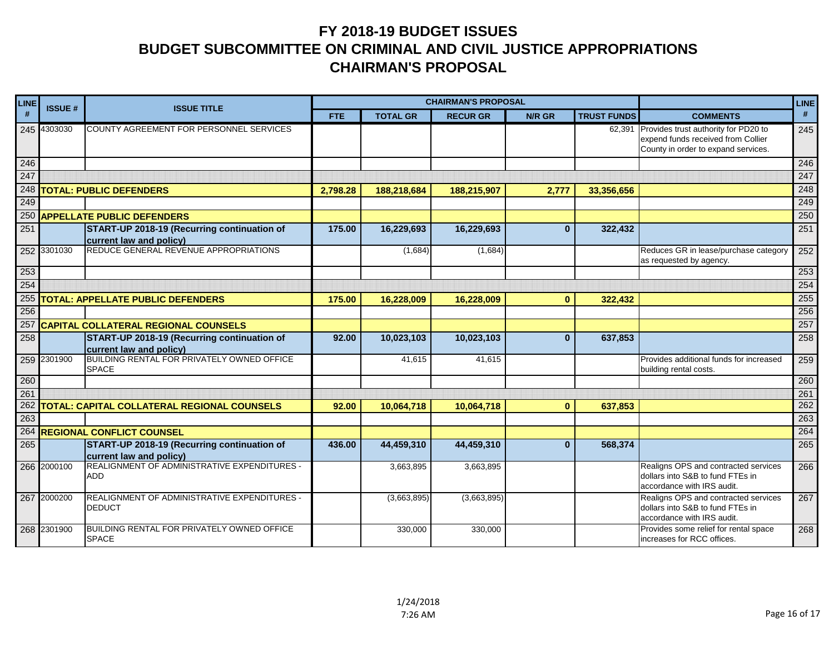| <b>LINE</b> | <b>CHAIRMAN'S PROPOSAL</b><br><b>ISSUE#</b><br><b>ISSUE TITLE</b> |                                                                               |            | <b>LINE</b>     |                 |              |                    |                                                                                                                          |     |
|-------------|-------------------------------------------------------------------|-------------------------------------------------------------------------------|------------|-----------------|-----------------|--------------|--------------------|--------------------------------------------------------------------------------------------------------------------------|-----|
| #           |                                                                   |                                                                               | <b>FTE</b> | <b>TOTAL GR</b> | <b>RECUR GR</b> | N/R GR       | <b>TRUST FUNDS</b> | <b>COMMENTS</b>                                                                                                          | #   |
|             | 245 4303030                                                       | COUNTY AGREEMENT FOR PERSONNEL SERVICES                                       |            |                 |                 |              |                    | 62,391 Provides trust authority for PD20 to<br>expend funds received from Collier<br>County in order to expand services. | 245 |
| 246         |                                                                   |                                                                               |            |                 |                 |              |                    |                                                                                                                          | 246 |
| 247         |                                                                   |                                                                               |            |                 |                 |              |                    |                                                                                                                          | 247 |
|             |                                                                   | 248 TOTAL: PUBLIC DEFENDERS                                                   | 2,798.28   | 188,218,684     | 188,215,907     | 2,777        | 33,356,656         |                                                                                                                          | 248 |
| 249         |                                                                   |                                                                               |            |                 |                 |              |                    |                                                                                                                          | 249 |
|             |                                                                   | 250 APPELLATE PUBLIC DEFENDERS                                                |            |                 |                 |              |                    |                                                                                                                          | 250 |
| 251         |                                                                   | <b>START-UP 2018-19 (Recurring continuation of</b><br>current law and policy) | 175.00     | 16,229,693      | 16,229,693      | $\mathbf{0}$ | 322,432            |                                                                                                                          | 251 |
|             | 252 3301030                                                       | REDUCE GENERAL REVENUE APPROPRIATIONS                                         |            | (1,684)         | (1,684)         |              |                    | Reduces GR in lease/purchase category<br>as requested by agency.                                                         | 252 |
| 253         |                                                                   |                                                                               |            |                 |                 |              |                    |                                                                                                                          | 253 |
| 254         |                                                                   |                                                                               |            |                 |                 |              |                    |                                                                                                                          | 254 |
|             |                                                                   | 255 TOTAL: APPELLATE PUBLIC DEFENDERS                                         | 175.00     | 16,228,009      | 16,228,009      | $\bf{0}$     | 322,432            |                                                                                                                          | 255 |
| 256         |                                                                   |                                                                               |            |                 |                 |              |                    |                                                                                                                          | 256 |
| 257         |                                                                   | <b>CAPITAL COLLATERAL REGIONAL COUNSELS</b>                                   |            |                 |                 |              |                    |                                                                                                                          | 257 |
| 258         |                                                                   | START-UP 2018-19 (Recurring continuation of<br>current law and policy)        | 92.00      | 10,023,103      | 10,023,103      | $\mathbf{0}$ | 637,853            |                                                                                                                          | 258 |
|             | 259 2301900                                                       | <b>BUILDING RENTAL FOR PRIVATELY OWNED OFFICE</b><br><b>SPACE</b>             |            | 41,615          | 41,615          |              |                    | Provides additional funds for increased<br>building rental costs.                                                        | 259 |
| 260         |                                                                   |                                                                               |            |                 |                 |              |                    |                                                                                                                          | 260 |
| 261         |                                                                   |                                                                               |            |                 |                 |              |                    |                                                                                                                          | 261 |
| 262         |                                                                   | TOTAL: CAPITAL COLLATERAL REGIONAL COUNSELS                                   | 92.00      | 10,064,718      | 10,064,718      | $\bf{0}$     | 637,853            |                                                                                                                          | 262 |
| 263         |                                                                   |                                                                               |            |                 |                 |              |                    |                                                                                                                          | 263 |
|             |                                                                   | <b>264 REGIONAL CONFLICT COUNSEL</b>                                          |            |                 |                 |              |                    |                                                                                                                          | 264 |
| 265         |                                                                   | START-UP 2018-19 (Recurring continuation of<br>current law and policy)        | 436.00     | 44,459,310      | 44,459,310      | $\mathbf{0}$ | 568,374            |                                                                                                                          | 265 |
|             | 266 2000100                                                       | <b>REALIGNMENT OF ADMINISTRATIVE EXPENDITURES -</b><br><b>ADD</b>             |            | 3,663,895       | 3,663,895       |              |                    | Realigns OPS and contracted services<br>dollars into S&B to fund FTEs in<br>accordance with IRS audit.                   | 266 |
|             | 267 2000200                                                       | REALIGNMENT OF ADMINISTRATIVE EXPENDITURES -<br><b>DEDUCT</b>                 |            | (3,663,895)     | (3,663,895)     |              |                    | Realigns OPS and contracted services<br>dollars into S&B to fund FTEs in<br>accordance with IRS audit.                   | 267 |
|             | 268 2301900                                                       | <b>BUILDING RENTAL FOR PRIVATELY OWNED OFFICE</b><br><b>SPACE</b>             |            | 330,000         | 330,000         |              |                    | Provides some relief for rental space<br>increases for RCC offices.                                                      | 268 |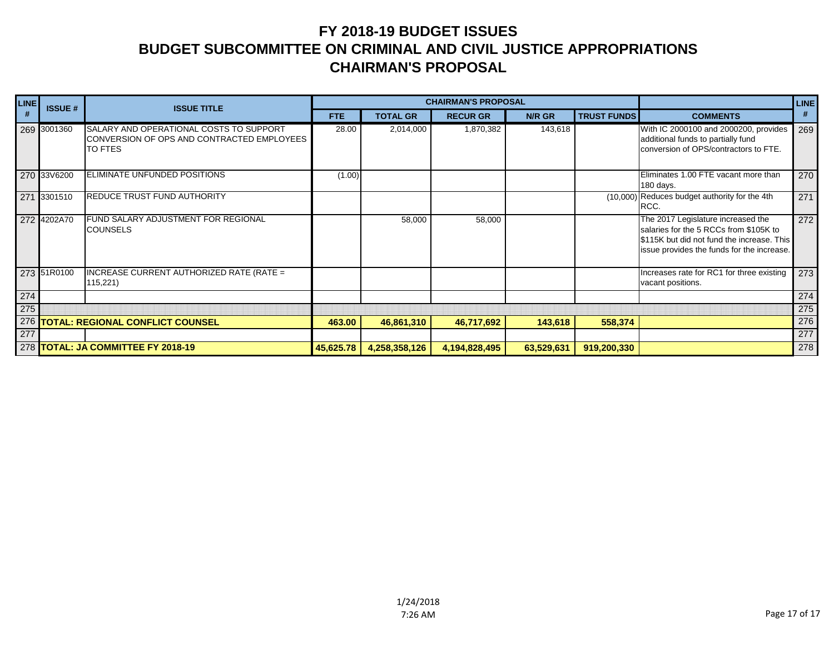| <b>LINE</b> | <b>ISSUE#</b>                      | <b>ISSUE TITLE</b>                                                                                      |           |                 | <b>CHAIRMAN'S PROPOSAL</b> |            |                    |                                                                                                                                                                          | <b>LINE</b> |
|-------------|------------------------------------|---------------------------------------------------------------------------------------------------------|-----------|-----------------|----------------------------|------------|--------------------|--------------------------------------------------------------------------------------------------------------------------------------------------------------------------|-------------|
| #           |                                    |                                                                                                         | FTE.      | <b>TOTAL GR</b> | <b>RECUR GR</b>            | N/R GR     | <b>TRUST FUNDS</b> | <b>COMMENTS</b>                                                                                                                                                          | #           |
|             | 269 3001360                        | SALARY AND OPERATIONAL COSTS TO SUPPORT<br>CONVERSION OF OPS AND CONTRACTED EMPLOYEES<br><b>TO FTES</b> | 28.00     | 2,014,000       | 1,870,382                  | 143,618    |                    | With IC 2000100 and 2000200, provides<br>additional funds to partially fund<br>conversion of OPS/contractors to FTE.                                                     | 269         |
|             | 270 33V6200                        | ELIMINATE UNFUNDED POSITIONS                                                                            | (1.00)    |                 |                            |            |                    | Eliminates 1.00 FTE vacant more than<br>180 days.                                                                                                                        | 270         |
|             | 271 3301510                        | <b>REDUCE TRUST FUND AUTHORITY</b>                                                                      |           |                 |                            |            |                    | (10,000) Reduces budget authority for the 4th<br>RCC.                                                                                                                    | 271         |
|             | 272 4202A70                        | <b>FUND SALARY ADJUSTMENT FOR REGIONAL</b><br><b>COUNSELS</b>                                           |           | 58,000          | 58,000                     |            |                    | The 2017 Legislature increased the<br>salaries for the 5 RCCs from \$105K to<br>\$115K but did not fund the increase. This<br>issue provides the funds for the increase. | 272         |
|             | 273 51R0100                        | INCREASE CURRENT AUTHORIZED RATE (RATE =<br>115,221                                                     |           |                 |                            |            |                    | Increases rate for RC1 for three existing<br>vacant positions.                                                                                                           | 273         |
| 274         |                                    |                                                                                                         |           |                 |                            |            |                    |                                                                                                                                                                          | 274         |
| 275         |                                    |                                                                                                         |           |                 |                            |            |                    |                                                                                                                                                                          | 275         |
| 276         |                                    | <b>TOTAL: REGIONAL CONFLICT COUNSEL</b>                                                                 | 463.00    | 46,861,310      | 46,717,692                 | 143,618    | 558,374            |                                                                                                                                                                          | 276         |
| 277         |                                    |                                                                                                         |           |                 |                            |            |                    |                                                                                                                                                                          | 277         |
|             | 278 TOTAL: JA COMMITTEE FY 2018-19 |                                                                                                         | 45,625.78 | 4,258,358,126   | 4,194,828,495              | 63,529,631 | 919,200,330        |                                                                                                                                                                          | 278         |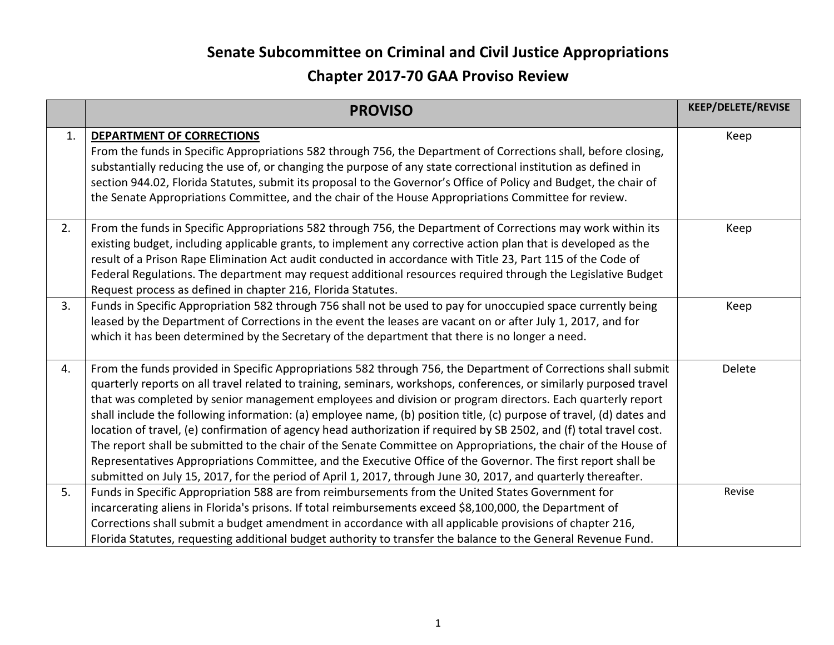|    | <b>PROVISO</b>                                                                                                                                                                                                                                                                                                                                                                                                                                                                                                                                                                                                                                                                                                                                                                                                                                                                                                                                           | KEEP/DELETE/REVISE |
|----|----------------------------------------------------------------------------------------------------------------------------------------------------------------------------------------------------------------------------------------------------------------------------------------------------------------------------------------------------------------------------------------------------------------------------------------------------------------------------------------------------------------------------------------------------------------------------------------------------------------------------------------------------------------------------------------------------------------------------------------------------------------------------------------------------------------------------------------------------------------------------------------------------------------------------------------------------------|--------------------|
| 1. | DEPARTMENT OF CORRECTIONS<br>From the funds in Specific Appropriations 582 through 756, the Department of Corrections shall, before closing,<br>substantially reducing the use of, or changing the purpose of any state correctional institution as defined in<br>section 944.02, Florida Statutes, submit its proposal to the Governor's Office of Policy and Budget, the chair of<br>the Senate Appropriations Committee, and the chair of the House Appropriations Committee for review.                                                                                                                                                                                                                                                                                                                                                                                                                                                              | Keep               |
| 2. | From the funds in Specific Appropriations 582 through 756, the Department of Corrections may work within its<br>existing budget, including applicable grants, to implement any corrective action plan that is developed as the<br>result of a Prison Rape Elimination Act audit conducted in accordance with Title 23, Part 115 of the Code of<br>Federal Regulations. The department may request additional resources required through the Legislative Budget<br>Request process as defined in chapter 216, Florida Statutes.                                                                                                                                                                                                                                                                                                                                                                                                                           | Keep               |
| 3. | Funds in Specific Appropriation 582 through 756 shall not be used to pay for unoccupied space currently being<br>leased by the Department of Corrections in the event the leases are vacant on or after July 1, 2017, and for<br>which it has been determined by the Secretary of the department that there is no longer a need.                                                                                                                                                                                                                                                                                                                                                                                                                                                                                                                                                                                                                         | Keep               |
| 4. | From the funds provided in Specific Appropriations 582 through 756, the Department of Corrections shall submit<br>quarterly reports on all travel related to training, seminars, workshops, conferences, or similarly purposed travel<br>that was completed by senior management employees and division or program directors. Each quarterly report<br>shall include the following information: (a) employee name, (b) position title, (c) purpose of travel, (d) dates and<br>location of travel, (e) confirmation of agency head authorization if required by SB 2502, and (f) total travel cost.<br>The report shall be submitted to the chair of the Senate Committee on Appropriations, the chair of the House of<br>Representatives Appropriations Committee, and the Executive Office of the Governor. The first report shall be<br>submitted on July 15, 2017, for the period of April 1, 2017, through June 30, 2017, and quarterly thereafter. | Delete             |
| 5. | Funds in Specific Appropriation 588 are from reimbursements from the United States Government for<br>incarcerating aliens in Florida's prisons. If total reimbursements exceed \$8,100,000, the Department of<br>Corrections shall submit a budget amendment in accordance with all applicable provisions of chapter 216,<br>Florida Statutes, requesting additional budget authority to transfer the balance to the General Revenue Fund.                                                                                                                                                                                                                                                                                                                                                                                                                                                                                                               | Revise             |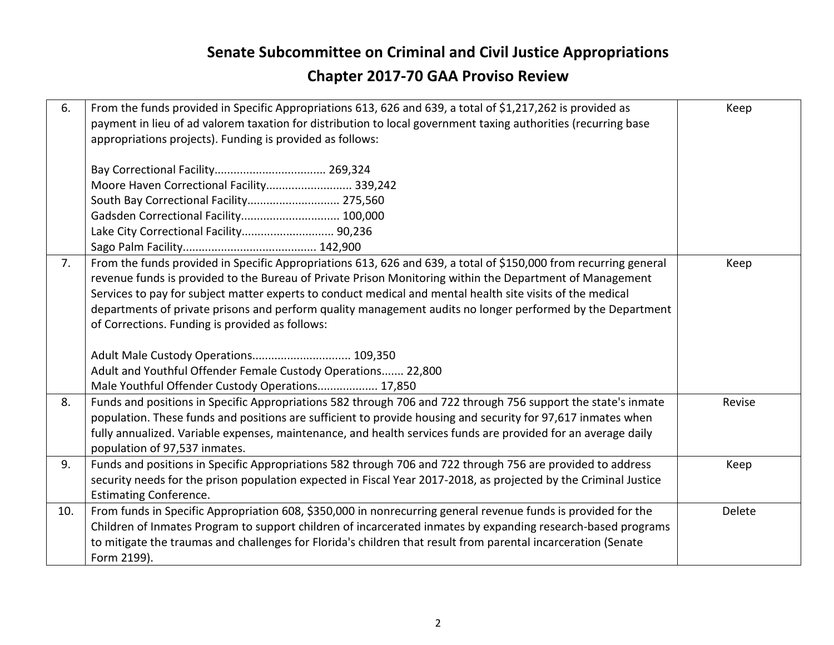| 6.  | From the funds provided in Specific Appropriations 613, 626 and 639, a total of \$1,217,262 is provided as<br>payment in lieu of ad valorem taxation for distribution to local government taxing authorities (recurring base<br>appropriations projects). Funding is provided as follows:<br>Moore Haven Correctional Facility 339,242<br>South Bay Correctional Facility 275,560<br>Gadsden Correctional Facility 100,000<br>Lake City Correctional Facility 90,236                                                                                                                                                                                                     | Keep   |
|-----|--------------------------------------------------------------------------------------------------------------------------------------------------------------------------------------------------------------------------------------------------------------------------------------------------------------------------------------------------------------------------------------------------------------------------------------------------------------------------------------------------------------------------------------------------------------------------------------------------------------------------------------------------------------------------|--------|
| 7.  | From the funds provided in Specific Appropriations 613, 626 and 639, a total of \$150,000 from recurring general<br>revenue funds is provided to the Bureau of Private Prison Monitoring within the Department of Management<br>Services to pay for subject matter experts to conduct medical and mental health site visits of the medical<br>departments of private prisons and perform quality management audits no longer performed by the Department<br>of Corrections. Funding is provided as follows:<br>Adult Male Custody Operations 109,350<br>Adult and Youthful Offender Female Custody Operations 22,800<br>Male Youthful Offender Custody Operations 17,850 | Keep   |
| 8.  | Funds and positions in Specific Appropriations 582 through 706 and 722 through 756 support the state's inmate<br>population. These funds and positions are sufficient to provide housing and security for 97,617 inmates when<br>fully annualized. Variable expenses, maintenance, and health services funds are provided for an average daily<br>population of 97,537 inmates.                                                                                                                                                                                                                                                                                          | Revise |
| 9.  | Funds and positions in Specific Appropriations 582 through 706 and 722 through 756 are provided to address<br>security needs for the prison population expected in Fiscal Year 2017-2018, as projected by the Criminal Justice<br><b>Estimating Conference.</b>                                                                                                                                                                                                                                                                                                                                                                                                          | Keep   |
| 10. | From funds in Specific Appropriation 608, \$350,000 in nonrecurring general revenue funds is provided for the<br>Children of Inmates Program to support children of incarcerated inmates by expanding research-based programs<br>to mitigate the traumas and challenges for Florida's children that result from parental incarceration (Senate<br>Form 2199).                                                                                                                                                                                                                                                                                                            | Delete |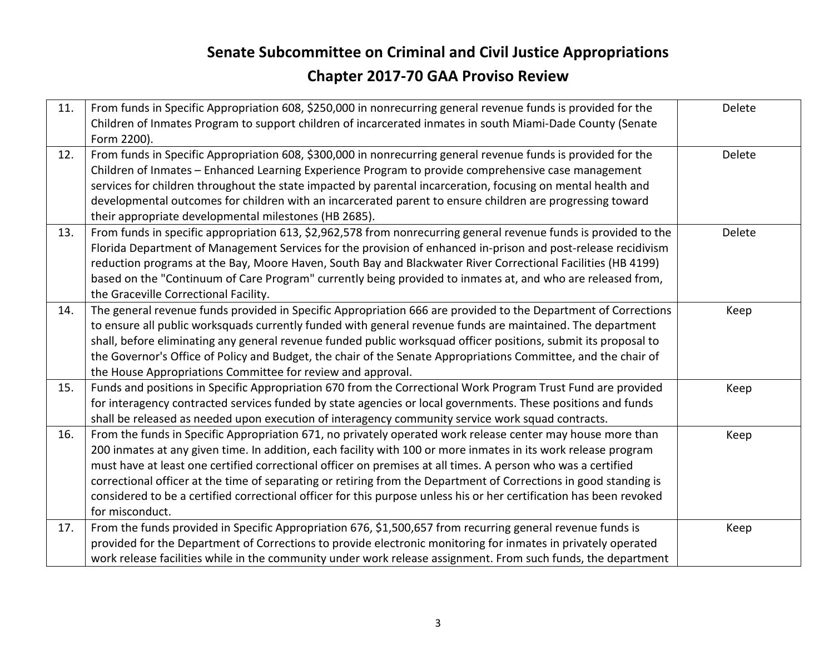| 11. | From funds in Specific Appropriation 608, \$250,000 in nonrecurring general revenue funds is provided for the<br>Children of Inmates Program to support children of incarcerated inmates in south Miami-Dade County (Senate<br>Form 2200).                                                                                                                                                                                                                                                                                                                                                                   | Delete |
|-----|--------------------------------------------------------------------------------------------------------------------------------------------------------------------------------------------------------------------------------------------------------------------------------------------------------------------------------------------------------------------------------------------------------------------------------------------------------------------------------------------------------------------------------------------------------------------------------------------------------------|--------|
| 12. | From funds in Specific Appropriation 608, \$300,000 in nonrecurring general revenue funds is provided for the<br>Children of Inmates - Enhanced Learning Experience Program to provide comprehensive case management<br>services for children throughout the state impacted by parental incarceration, focusing on mental health and<br>developmental outcomes for children with an incarcerated parent to ensure children are progressing toward<br>their appropriate developmental milestones (HB 2685).                                                                                                   | Delete |
| 13. | From funds in specific appropriation 613, \$2,962,578 from nonrecurring general revenue funds is provided to the<br>Florida Department of Management Services for the provision of enhanced in-prison and post-release recidivism<br>reduction programs at the Bay, Moore Haven, South Bay and Blackwater River Correctional Facilities (HB 4199)<br>based on the "Continuum of Care Program" currently being provided to inmates at, and who are released from,<br>the Graceville Correctional Facility.                                                                                                    | Delete |
| 14. | The general revenue funds provided in Specific Appropriation 666 are provided to the Department of Corrections<br>to ensure all public worksquads currently funded with general revenue funds are maintained. The department<br>shall, before eliminating any general revenue funded public worksquad officer positions, submit its proposal to<br>the Governor's Office of Policy and Budget, the chair of the Senate Appropriations Committee, and the chair of<br>the House Appropriations Committee for review and approval.                                                                             | Keep   |
| 15. | Funds and positions in Specific Appropriation 670 from the Correctional Work Program Trust Fund are provided<br>for interagency contracted services funded by state agencies or local governments. These positions and funds<br>shall be released as needed upon execution of interagency community service work squad contracts.                                                                                                                                                                                                                                                                            | Keep   |
| 16. | From the funds in Specific Appropriation 671, no privately operated work release center may house more than<br>200 inmates at any given time. In addition, each facility with 100 or more inmates in its work release program<br>must have at least one certified correctional officer on premises at all times. A person who was a certified<br>correctional officer at the time of separating or retiring from the Department of Corrections in good standing is<br>considered to be a certified correctional officer for this purpose unless his or her certification has been revoked<br>for misconduct. | Keep   |
| 17. | From the funds provided in Specific Appropriation 676, \$1,500,657 from recurring general revenue funds is<br>provided for the Department of Corrections to provide electronic monitoring for inmates in privately operated<br>work release facilities while in the community under work release assignment. From such funds, the department                                                                                                                                                                                                                                                                 | Keep   |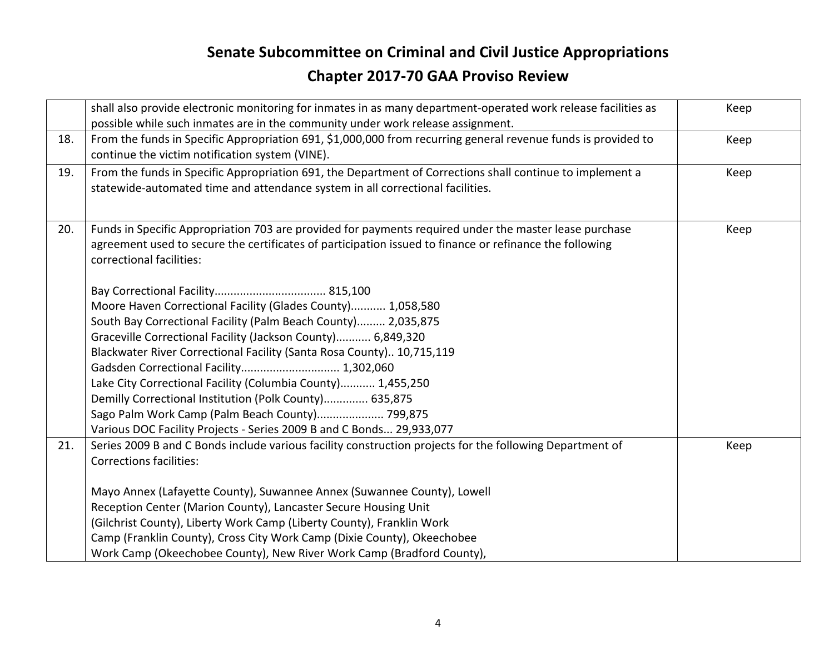|     | shall also provide electronic monitoring for inmates in as many department-operated work release facilities as | Keep |
|-----|----------------------------------------------------------------------------------------------------------------|------|
|     | possible while such inmates are in the community under work release assignment.                                |      |
| 18. | From the funds in Specific Appropriation 691, \$1,000,000 from recurring general revenue funds is provided to  | Keep |
|     | continue the victim notification system (VINE).                                                                |      |
| 19. | From the funds in Specific Appropriation 691, the Department of Corrections shall continue to implement a      | Keep |
|     | statewide-automated time and attendance system in all correctional facilities.                                 |      |
|     |                                                                                                                |      |
| 20. | Funds in Specific Appropriation 703 are provided for payments required under the master lease purchase         | Keep |
|     | agreement used to secure the certificates of participation issued to finance or refinance the following        |      |
|     | correctional facilities:                                                                                       |      |
|     |                                                                                                                |      |
|     |                                                                                                                |      |
|     | Moore Haven Correctional Facility (Glades County) 1,058,580                                                    |      |
|     | South Bay Correctional Facility (Palm Beach County) 2,035,875                                                  |      |
|     | Graceville Correctional Facility (Jackson County) 6,849,320                                                    |      |
|     | Blackwater River Correctional Facility (Santa Rosa County) 10,715,119                                          |      |
|     | Gadsden Correctional Facility 1,302,060                                                                        |      |
|     | Lake City Correctional Facility (Columbia County) 1,455,250                                                    |      |
|     | Demilly Correctional Institution (Polk County) 635,875                                                         |      |
|     | Sago Palm Work Camp (Palm Beach County) 799,875                                                                |      |
|     | Various DOC Facility Projects - Series 2009 B and C Bonds 29,933,077                                           |      |
| 21. | Series 2009 B and C Bonds include various facility construction projects for the following Department of       | Keep |
|     | <b>Corrections facilities:</b>                                                                                 |      |
|     |                                                                                                                |      |
|     | Mayo Annex (Lafayette County), Suwannee Annex (Suwannee County), Lowell                                        |      |
|     | Reception Center (Marion County), Lancaster Secure Housing Unit                                                |      |
|     | (Gilchrist County), Liberty Work Camp (Liberty County), Franklin Work                                          |      |
|     | Camp (Franklin County), Cross City Work Camp (Dixie County), Okeechobee                                        |      |
|     | Work Camp (Okeechobee County), New River Work Camp (Bradford County),                                          |      |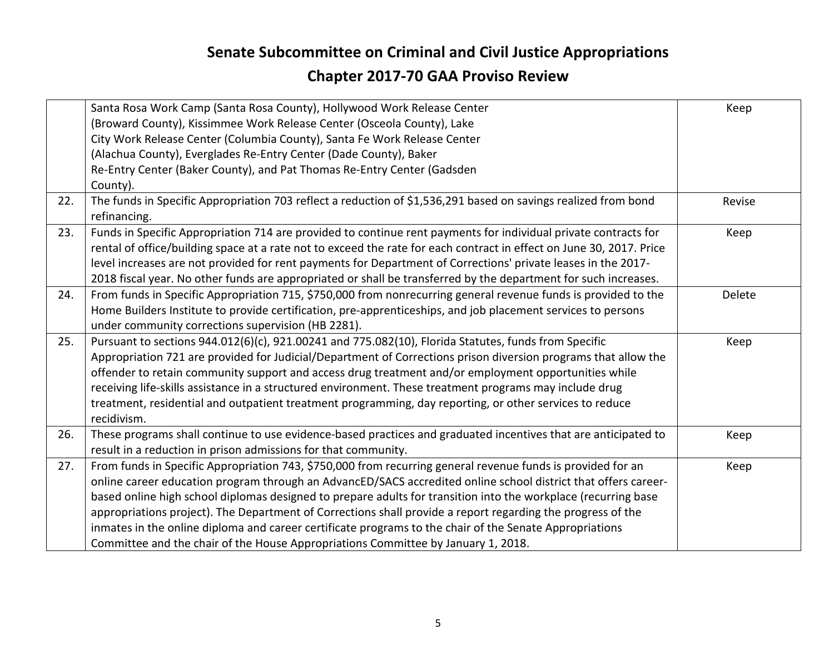|     | Santa Rosa Work Camp (Santa Rosa County), Hollywood Work Release Center                                              | Keep   |
|-----|----------------------------------------------------------------------------------------------------------------------|--------|
|     | (Broward County), Kissimmee Work Release Center (Osceola County), Lake                                               |        |
|     | City Work Release Center (Columbia County), Santa Fe Work Release Center                                             |        |
|     | (Alachua County), Everglades Re-Entry Center (Dade County), Baker                                                    |        |
|     | Re-Entry Center (Baker County), and Pat Thomas Re-Entry Center (Gadsden                                              |        |
|     | County).                                                                                                             |        |
| 22. | The funds in Specific Appropriation 703 reflect a reduction of \$1,536,291 based on savings realized from bond       | Revise |
|     | refinancing.                                                                                                         |        |
| 23. | Funds in Specific Appropriation 714 are provided to continue rent payments for individual private contracts for      | Keep   |
|     | rental of office/building space at a rate not to exceed the rate for each contract in effect on June 30, 2017. Price |        |
|     | level increases are not provided for rent payments for Department of Corrections' private leases in the 2017-        |        |
|     | 2018 fiscal year. No other funds are appropriated or shall be transferred by the department for such increases.      |        |
| 24. | From funds in Specific Appropriation 715, \$750,000 from nonrecurring general revenue funds is provided to the       | Delete |
|     | Home Builders Institute to provide certification, pre-apprenticeships, and job placement services to persons         |        |
|     | under community corrections supervision (HB 2281).                                                                   |        |
| 25. | Pursuant to sections 944.012(6)(c), 921.00241 and 775.082(10), Florida Statutes, funds from Specific                 | Keep   |
|     | Appropriation 721 are provided for Judicial/Department of Corrections prison diversion programs that allow the       |        |
|     | offender to retain community support and access drug treatment and/or employment opportunities while                 |        |
|     | receiving life-skills assistance in a structured environment. These treatment programs may include drug              |        |
|     | treatment, residential and outpatient treatment programming, day reporting, or other services to reduce              |        |
|     | recidivism.                                                                                                          |        |
| 26. | These programs shall continue to use evidence-based practices and graduated incentives that are anticipated to       | Keep   |
|     | result in a reduction in prison admissions for that community.                                                       |        |
| 27. | From funds in Specific Appropriation 743, \$750,000 from recurring general revenue funds is provided for an          | Keep   |
|     | online career education program through an AdvancED/SACS accredited online school district that offers career-       |        |
|     | based online high school diplomas designed to prepare adults for transition into the workplace (recurring base       |        |
|     | appropriations project). The Department of Corrections shall provide a report regarding the progress of the          |        |
|     | inmates in the online diploma and career certificate programs to the chair of the Senate Appropriations              |        |
|     | Committee and the chair of the House Appropriations Committee by January 1, 2018.                                    |        |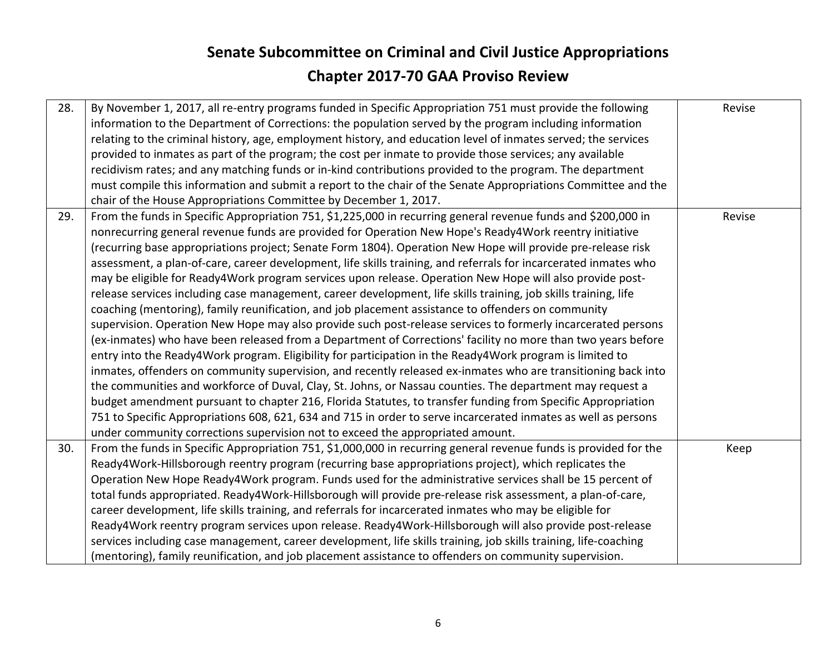| 28. | By November 1, 2017, all re-entry programs funded in Specific Appropriation 751 must provide the following<br>information to the Department of Corrections: the population served by the program including information<br>relating to the criminal history, age, employment history, and education level of inmates served; the services<br>provided to inmates as part of the program; the cost per inmate to provide those services; any available<br>recidivism rates; and any matching funds or in-kind contributions provided to the program. The department<br>must compile this information and submit a report to the chair of the Senate Appropriations Committee and the<br>chair of the House Appropriations Committee by December 1, 2017.                                                                                                                                                                                                                                                                                                                                                                                                                                                                                                                                                                                                                                                                                                                                                                                                                                                                                                                                       | Revise |
|-----|----------------------------------------------------------------------------------------------------------------------------------------------------------------------------------------------------------------------------------------------------------------------------------------------------------------------------------------------------------------------------------------------------------------------------------------------------------------------------------------------------------------------------------------------------------------------------------------------------------------------------------------------------------------------------------------------------------------------------------------------------------------------------------------------------------------------------------------------------------------------------------------------------------------------------------------------------------------------------------------------------------------------------------------------------------------------------------------------------------------------------------------------------------------------------------------------------------------------------------------------------------------------------------------------------------------------------------------------------------------------------------------------------------------------------------------------------------------------------------------------------------------------------------------------------------------------------------------------------------------------------------------------------------------------------------------------|--------|
| 29. | From the funds in Specific Appropriation 751, \$1,225,000 in recurring general revenue funds and \$200,000 in<br>nonrecurring general revenue funds are provided for Operation New Hope's Ready4Work reentry initiative<br>(recurring base appropriations project; Senate Form 1804). Operation New Hope will provide pre-release risk<br>assessment, a plan-of-care, career development, life skills training, and referrals for incarcerated inmates who<br>may be eligible for Ready4Work program services upon release. Operation New Hope will also provide post-<br>release services including case management, career development, life skills training, job skills training, life<br>coaching (mentoring), family reunification, and job placement assistance to offenders on community<br>supervision. Operation New Hope may also provide such post-release services to formerly incarcerated persons<br>(ex-inmates) who have been released from a Department of Corrections' facility no more than two years before<br>entry into the Ready4Work program. Eligibility for participation in the Ready4Work program is limited to<br>inmates, offenders on community supervision, and recently released ex-inmates who are transitioning back into<br>the communities and workforce of Duval, Clay, St. Johns, or Nassau counties. The department may request a<br>budget amendment pursuant to chapter 216, Florida Statutes, to transfer funding from Specific Appropriation<br>751 to Specific Appropriations 608, 621, 634 and 715 in order to serve incarcerated inmates as well as persons<br>under community corrections supervision not to exceed the appropriated amount. | Revise |
| 30. | From the funds in Specific Appropriation 751, \$1,000,000 in recurring general revenue funds is provided for the<br>Ready4Work-Hillsborough reentry program (recurring base appropriations project), which replicates the<br>Operation New Hope Ready4Work program. Funds used for the administrative services shall be 15 percent of<br>total funds appropriated. Ready4Work-Hillsborough will provide pre-release risk assessment, a plan-of-care,<br>career development, life skills training, and referrals for incarcerated inmates who may be eligible for<br>Ready4Work reentry program services upon release. Ready4Work-Hillsborough will also provide post-release<br>services including case management, career development, life skills training, job skills training, life-coaching<br>(mentoring), family reunification, and job placement assistance to offenders on community supervision.                                                                                                                                                                                                                                                                                                                                                                                                                                                                                                                                                                                                                                                                                                                                                                                   | Keep   |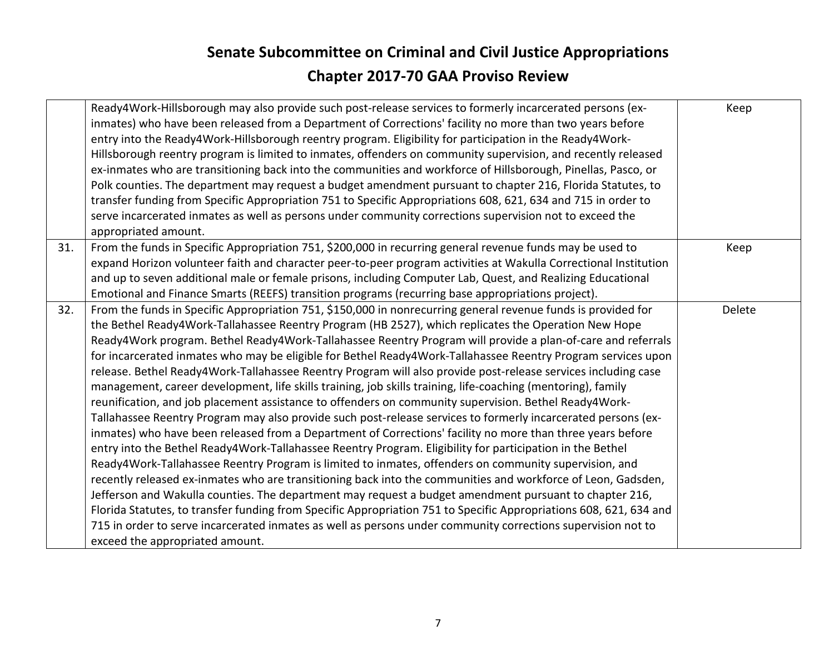|     | Ready4Work-Hillsborough may also provide such post-release services to formerly incarcerated persons (ex-<br>inmates) who have been released from a Department of Corrections' facility no more than two years before<br>entry into the Ready4Work-Hillsborough reentry program. Eligibility for participation in the Ready4Work-<br>Hillsborough reentry program is limited to inmates, offenders on community supervision, and recently released<br>ex-inmates who are transitioning back into the communities and workforce of Hillsborough, Pinellas, Pasco, or<br>Polk counties. The department may request a budget amendment pursuant to chapter 216, Florida Statutes, to<br>transfer funding from Specific Appropriation 751 to Specific Appropriations 608, 621, 634 and 715 in order to<br>serve incarcerated inmates as well as persons under community corrections supervision not to exceed the<br>appropriated amount.                                                                                                                                                                                                                                                                                                                                                                                                                                                                                                                                                                                                                                                                                                                                                                                                                  | Keep   |
|-----|--------------------------------------------------------------------------------------------------------------------------------------------------------------------------------------------------------------------------------------------------------------------------------------------------------------------------------------------------------------------------------------------------------------------------------------------------------------------------------------------------------------------------------------------------------------------------------------------------------------------------------------------------------------------------------------------------------------------------------------------------------------------------------------------------------------------------------------------------------------------------------------------------------------------------------------------------------------------------------------------------------------------------------------------------------------------------------------------------------------------------------------------------------------------------------------------------------------------------------------------------------------------------------------------------------------------------------------------------------------------------------------------------------------------------------------------------------------------------------------------------------------------------------------------------------------------------------------------------------------------------------------------------------------------------------------------------------------------------------------------------------|--------|
| 31. | From the funds in Specific Appropriation 751, \$200,000 in recurring general revenue funds may be used to<br>expand Horizon volunteer faith and character peer-to-peer program activities at Wakulla Correctional Institution<br>and up to seven additional male or female prisons, including Computer Lab, Quest, and Realizing Educational<br>Emotional and Finance Smarts (REEFS) transition programs (recurring base appropriations project).                                                                                                                                                                                                                                                                                                                                                                                                                                                                                                                                                                                                                                                                                                                                                                                                                                                                                                                                                                                                                                                                                                                                                                                                                                                                                                      | Keep   |
| 32. | From the funds in Specific Appropriation 751, \$150,000 in nonrecurring general revenue funds is provided for<br>the Bethel Ready4Work-Tallahassee Reentry Program (HB 2527), which replicates the Operation New Hope<br>Ready4Work program. Bethel Ready4Work-Tallahassee Reentry Program will provide a plan-of-care and referrals<br>for incarcerated inmates who may be eligible for Bethel Ready4Work-Tallahassee Reentry Program services upon<br>release. Bethel Ready4Work-Tallahassee Reentry Program will also provide post-release services including case<br>management, career development, life skills training, job skills training, life-coaching (mentoring), family<br>reunification, and job placement assistance to offenders on community supervision. Bethel Ready4Work-<br>Tallahassee Reentry Program may also provide such post-release services to formerly incarcerated persons (ex-<br>inmates) who have been released from a Department of Corrections' facility no more than three years before<br>entry into the Bethel Ready4Work-Tallahassee Reentry Program. Eligibility for participation in the Bethel<br>Ready4Work-Tallahassee Reentry Program is limited to inmates, offenders on community supervision, and<br>recently released ex-inmates who are transitioning back into the communities and workforce of Leon, Gadsden,<br>Jefferson and Wakulla counties. The department may request a budget amendment pursuant to chapter 216,<br>Florida Statutes, to transfer funding from Specific Appropriation 751 to Specific Appropriations 608, 621, 634 and<br>715 in order to serve incarcerated inmates as well as persons under community corrections supervision not to<br>exceed the appropriated amount. | Delete |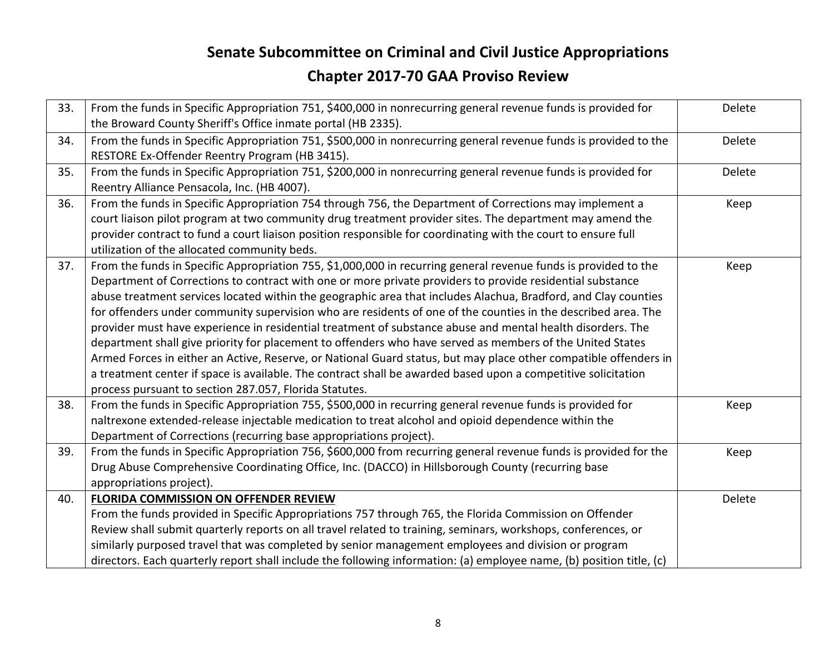| 33. | From the funds in Specific Appropriation 751, \$400,000 in nonrecurring general revenue funds is provided for<br>the Broward County Sheriff's Office inmate portal (HB 2335).                                                                                                                                                                                                                                                                                                                                                                                                                                                                                                                                                                                                                                                                                                                                                                                                             | Delete |
|-----|-------------------------------------------------------------------------------------------------------------------------------------------------------------------------------------------------------------------------------------------------------------------------------------------------------------------------------------------------------------------------------------------------------------------------------------------------------------------------------------------------------------------------------------------------------------------------------------------------------------------------------------------------------------------------------------------------------------------------------------------------------------------------------------------------------------------------------------------------------------------------------------------------------------------------------------------------------------------------------------------|--------|
| 34. | From the funds in Specific Appropriation 751, \$500,000 in nonrecurring general revenue funds is provided to the<br>RESTORE Ex-Offender Reentry Program (HB 3415).                                                                                                                                                                                                                                                                                                                                                                                                                                                                                                                                                                                                                                                                                                                                                                                                                        | Delete |
| 35. | From the funds in Specific Appropriation 751, \$200,000 in nonrecurring general revenue funds is provided for<br>Reentry Alliance Pensacola, Inc. (HB 4007).                                                                                                                                                                                                                                                                                                                                                                                                                                                                                                                                                                                                                                                                                                                                                                                                                              | Delete |
| 36. | From the funds in Specific Appropriation 754 through 756, the Department of Corrections may implement a<br>court liaison pilot program at two community drug treatment provider sites. The department may amend the<br>provider contract to fund a court liaison position responsible for coordinating with the court to ensure full<br>utilization of the allocated community beds.                                                                                                                                                                                                                                                                                                                                                                                                                                                                                                                                                                                                      | Keep   |
| 37. | From the funds in Specific Appropriation 755, \$1,000,000 in recurring general revenue funds is provided to the<br>Department of Corrections to contract with one or more private providers to provide residential substance<br>abuse treatment services located within the geographic area that includes Alachua, Bradford, and Clay counties<br>for offenders under community supervision who are residents of one of the counties in the described area. The<br>provider must have experience in residential treatment of substance abuse and mental health disorders. The<br>department shall give priority for placement to offenders who have served as members of the United States<br>Armed Forces in either an Active, Reserve, or National Guard status, but may place other compatible offenders in<br>a treatment center if space is available. The contract shall be awarded based upon a competitive solicitation<br>process pursuant to section 287.057, Florida Statutes. | Keep   |
| 38. | From the funds in Specific Appropriation 755, \$500,000 in recurring general revenue funds is provided for<br>naltrexone extended-release injectable medication to treat alcohol and opioid dependence within the<br>Department of Corrections (recurring base appropriations project).                                                                                                                                                                                                                                                                                                                                                                                                                                                                                                                                                                                                                                                                                                   | Keep   |
| 39. | From the funds in Specific Appropriation 756, \$600,000 from recurring general revenue funds is provided for the<br>Drug Abuse Comprehensive Coordinating Office, Inc. (DACCO) in Hillsborough County (recurring base<br>appropriations project).                                                                                                                                                                                                                                                                                                                                                                                                                                                                                                                                                                                                                                                                                                                                         | Keep   |
| 40. | FLORIDA COMMISSION ON OFFENDER REVIEW<br>From the funds provided in Specific Appropriations 757 through 765, the Florida Commission on Offender<br>Review shall submit quarterly reports on all travel related to training, seminars, workshops, conferences, or<br>similarly purposed travel that was completed by senior management employees and division or program<br>directors. Each quarterly report shall include the following information: (a) employee name, (b) position title, (c)                                                                                                                                                                                                                                                                                                                                                                                                                                                                                           | Delete |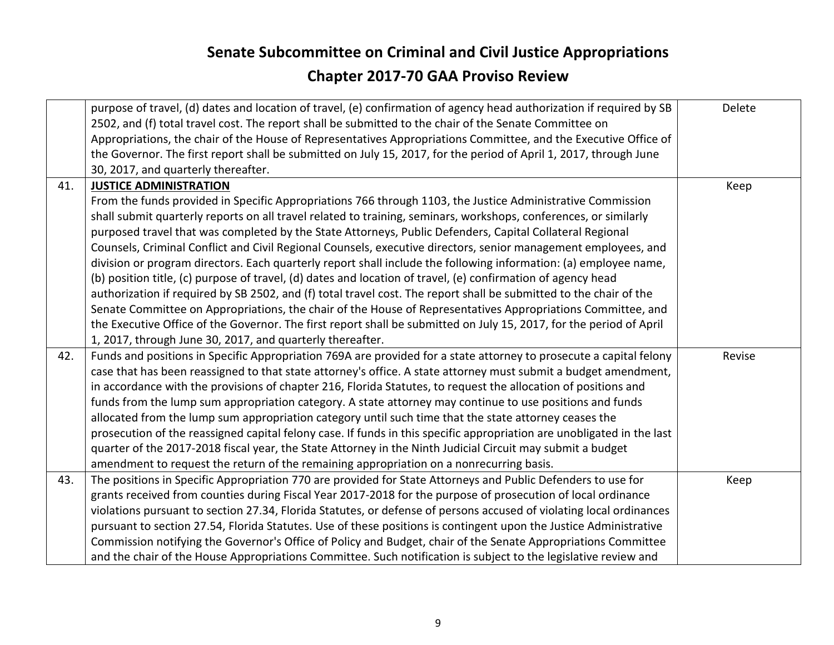|     | purpose of travel, (d) dates and location of travel, (e) confirmation of agency head authorization if required by SB<br>2502, and (f) total travel cost. The report shall be submitted to the chair of the Senate Committee on<br>Appropriations, the chair of the House of Representatives Appropriations Committee, and the Executive Office of<br>the Governor. The first report shall be submitted on July 15, 2017, for the period of April 1, 2017, through June<br>30, 2017, and quarterly thereafter. | Delete |
|-----|---------------------------------------------------------------------------------------------------------------------------------------------------------------------------------------------------------------------------------------------------------------------------------------------------------------------------------------------------------------------------------------------------------------------------------------------------------------------------------------------------------------|--------|
| 41. | <b>JUSTICE ADMINISTRATION</b>                                                                                                                                                                                                                                                                                                                                                                                                                                                                                 | Keep   |
|     | From the funds provided in Specific Appropriations 766 through 1103, the Justice Administrative Commission                                                                                                                                                                                                                                                                                                                                                                                                    |        |
|     | shall submit quarterly reports on all travel related to training, seminars, workshops, conferences, or similarly                                                                                                                                                                                                                                                                                                                                                                                              |        |
|     | purposed travel that was completed by the State Attorneys, Public Defenders, Capital Collateral Regional                                                                                                                                                                                                                                                                                                                                                                                                      |        |
|     | Counsels, Criminal Conflict and Civil Regional Counsels, executive directors, senior management employees, and                                                                                                                                                                                                                                                                                                                                                                                                |        |
|     | division or program directors. Each quarterly report shall include the following information: (a) employee name,                                                                                                                                                                                                                                                                                                                                                                                              |        |
|     | (b) position title, (c) purpose of travel, (d) dates and location of travel, (e) confirmation of agency head                                                                                                                                                                                                                                                                                                                                                                                                  |        |
|     | authorization if required by SB 2502, and (f) total travel cost. The report shall be submitted to the chair of the                                                                                                                                                                                                                                                                                                                                                                                            |        |
|     | Senate Committee on Appropriations, the chair of the House of Representatives Appropriations Committee, and                                                                                                                                                                                                                                                                                                                                                                                                   |        |
|     | the Executive Office of the Governor. The first report shall be submitted on July 15, 2017, for the period of April                                                                                                                                                                                                                                                                                                                                                                                           |        |
|     | 1, 2017, through June 30, 2017, and quarterly thereafter.                                                                                                                                                                                                                                                                                                                                                                                                                                                     |        |
| 42. | Funds and positions in Specific Appropriation 769A are provided for a state attorney to prosecute a capital felony                                                                                                                                                                                                                                                                                                                                                                                            | Revise |
|     | case that has been reassigned to that state attorney's office. A state attorney must submit a budget amendment,                                                                                                                                                                                                                                                                                                                                                                                               |        |
|     | in accordance with the provisions of chapter 216, Florida Statutes, to request the allocation of positions and                                                                                                                                                                                                                                                                                                                                                                                                |        |
|     | funds from the lump sum appropriation category. A state attorney may continue to use positions and funds                                                                                                                                                                                                                                                                                                                                                                                                      |        |
|     | allocated from the lump sum appropriation category until such time that the state attorney ceases the                                                                                                                                                                                                                                                                                                                                                                                                         |        |
|     | prosecution of the reassigned capital felony case. If funds in this specific appropriation are unobligated in the last                                                                                                                                                                                                                                                                                                                                                                                        |        |
|     | quarter of the 2017-2018 fiscal year, the State Attorney in the Ninth Judicial Circuit may submit a budget                                                                                                                                                                                                                                                                                                                                                                                                    |        |
|     | amendment to request the return of the remaining appropriation on a nonrecurring basis.                                                                                                                                                                                                                                                                                                                                                                                                                       |        |
| 43. | The positions in Specific Appropriation 770 are provided for State Attorneys and Public Defenders to use for                                                                                                                                                                                                                                                                                                                                                                                                  | Keep   |
|     | grants received from counties during Fiscal Year 2017-2018 for the purpose of prosecution of local ordinance                                                                                                                                                                                                                                                                                                                                                                                                  |        |
|     | violations pursuant to section 27.34, Florida Statutes, or defense of persons accused of violating local ordinances                                                                                                                                                                                                                                                                                                                                                                                           |        |
|     | pursuant to section 27.54, Florida Statutes. Use of these positions is contingent upon the Justice Administrative                                                                                                                                                                                                                                                                                                                                                                                             |        |
|     | Commission notifying the Governor's Office of Policy and Budget, chair of the Senate Appropriations Committee                                                                                                                                                                                                                                                                                                                                                                                                 |        |
|     | and the chair of the House Appropriations Committee. Such notification is subject to the legislative review and                                                                                                                                                                                                                                                                                                                                                                                               |        |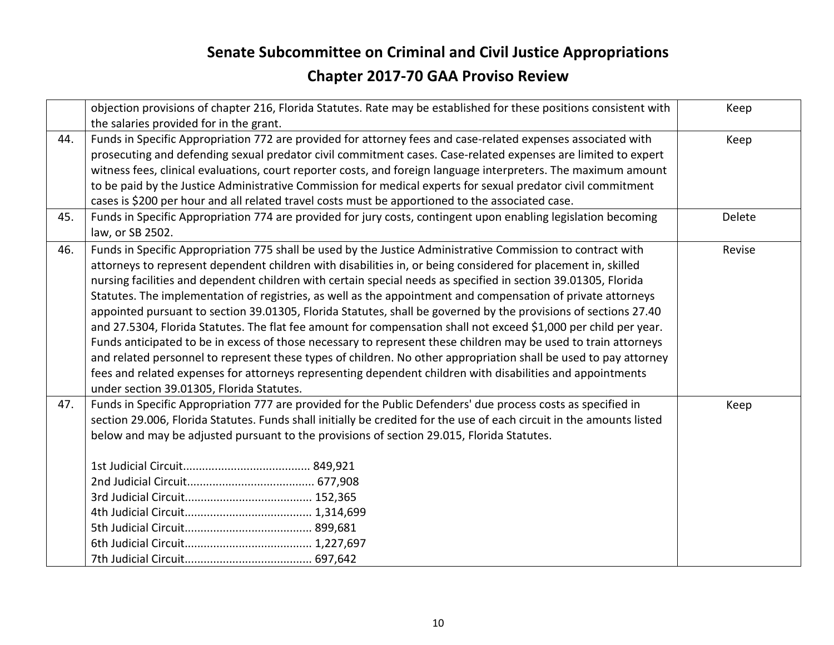|     | objection provisions of chapter 216, Florida Statutes. Rate may be established for these positions consistent with<br>the salaries provided for in the grant.                                                                                                                                                                                                                                                                                                                                                                                                                                                                                                                                                                                                                                                                                                                                                                                                                                                                                                                                           | Keep   |
|-----|---------------------------------------------------------------------------------------------------------------------------------------------------------------------------------------------------------------------------------------------------------------------------------------------------------------------------------------------------------------------------------------------------------------------------------------------------------------------------------------------------------------------------------------------------------------------------------------------------------------------------------------------------------------------------------------------------------------------------------------------------------------------------------------------------------------------------------------------------------------------------------------------------------------------------------------------------------------------------------------------------------------------------------------------------------------------------------------------------------|--------|
| 44. | Funds in Specific Appropriation 772 are provided for attorney fees and case-related expenses associated with<br>prosecuting and defending sexual predator civil commitment cases. Case-related expenses are limited to expert<br>witness fees, clinical evaluations, court reporter costs, and foreign language interpreters. The maximum amount<br>to be paid by the Justice Administrative Commission for medical experts for sexual predator civil commitment<br>cases is \$200 per hour and all related travel costs must be apportioned to the associated case.                                                                                                                                                                                                                                                                                                                                                                                                                                                                                                                                    | Keep   |
| 45. | Funds in Specific Appropriation 774 are provided for jury costs, contingent upon enabling legislation becoming<br>law, or SB 2502.                                                                                                                                                                                                                                                                                                                                                                                                                                                                                                                                                                                                                                                                                                                                                                                                                                                                                                                                                                      | Delete |
| 46. | Funds in Specific Appropriation 775 shall be used by the Justice Administrative Commission to contract with<br>attorneys to represent dependent children with disabilities in, or being considered for placement in, skilled<br>nursing facilities and dependent children with certain special needs as specified in section 39.01305, Florida<br>Statutes. The implementation of registries, as well as the appointment and compensation of private attorneys<br>appointed pursuant to section 39.01305, Florida Statutes, shall be governed by the provisions of sections 27.40<br>and 27.5304, Florida Statutes. The flat fee amount for compensation shall not exceed \$1,000 per child per year.<br>Funds anticipated to be in excess of those necessary to represent these children may be used to train attorneys<br>and related personnel to represent these types of children. No other appropriation shall be used to pay attorney<br>fees and related expenses for attorneys representing dependent children with disabilities and appointments<br>under section 39.01305, Florida Statutes. | Revise |
| 47. | Funds in Specific Appropriation 777 are provided for the Public Defenders' due process costs as specified in<br>section 29.006, Florida Statutes. Funds shall initially be credited for the use of each circuit in the amounts listed<br>below and may be adjusted pursuant to the provisions of section 29.015, Florida Statutes.                                                                                                                                                                                                                                                                                                                                                                                                                                                                                                                                                                                                                                                                                                                                                                      | Keep   |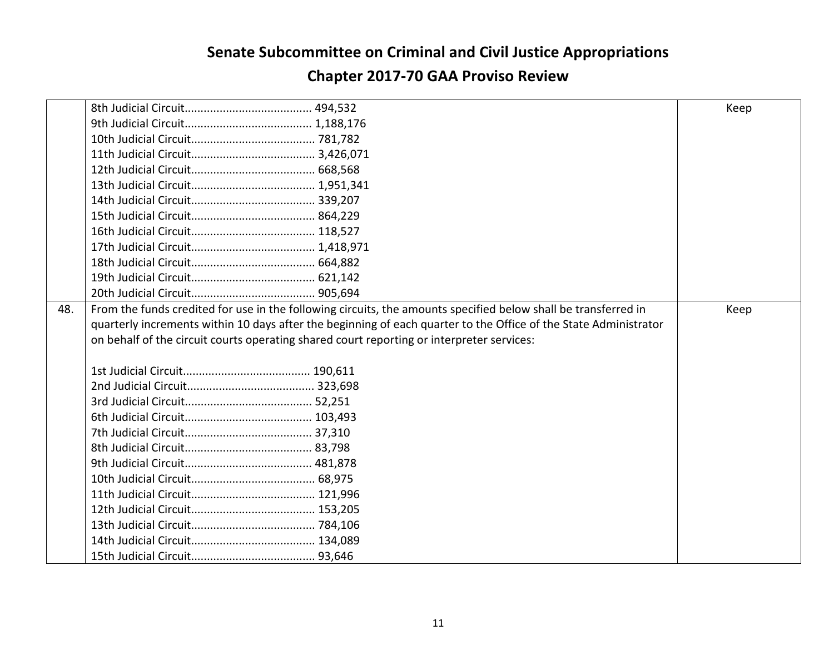|     |                                                                                                                  | Keep |
|-----|------------------------------------------------------------------------------------------------------------------|------|
|     |                                                                                                                  |      |
|     |                                                                                                                  |      |
|     |                                                                                                                  |      |
|     |                                                                                                                  |      |
|     |                                                                                                                  |      |
|     |                                                                                                                  |      |
|     |                                                                                                                  |      |
|     |                                                                                                                  |      |
|     |                                                                                                                  |      |
|     |                                                                                                                  |      |
|     |                                                                                                                  |      |
|     |                                                                                                                  |      |
| 48. | From the funds credited for use in the following circuits, the amounts specified below shall be transferred in   | Keep |
|     | quarterly increments within 10 days after the beginning of each quarter to the Office of the State Administrator |      |
|     | on behalf of the circuit courts operating shared court reporting or interpreter services:                        |      |
|     |                                                                                                                  |      |
|     |                                                                                                                  |      |
|     |                                                                                                                  |      |
|     |                                                                                                                  |      |
|     |                                                                                                                  |      |
|     |                                                                                                                  |      |
|     |                                                                                                                  |      |
|     |                                                                                                                  |      |
|     |                                                                                                                  |      |
|     |                                                                                                                  |      |
|     |                                                                                                                  |      |
|     |                                                                                                                  |      |
|     |                                                                                                                  |      |
|     |                                                                                                                  |      |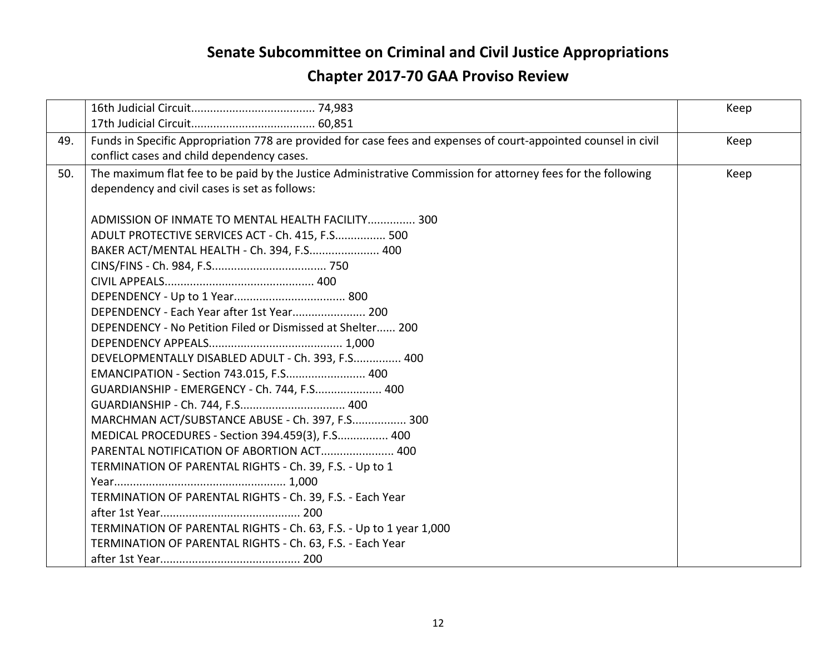|     |                                                                                                                 | Keep |
|-----|-----------------------------------------------------------------------------------------------------------------|------|
|     |                                                                                                                 |      |
| 49. | Funds in Specific Appropriation 778 are provided for case fees and expenses of court-appointed counsel in civil | Keep |
|     | conflict cases and child dependency cases.                                                                      |      |
| 50. | The maximum flat fee to be paid by the Justice Administrative Commission for attorney fees for the following    | Keep |
|     | dependency and civil cases is set as follows:                                                                   |      |
|     |                                                                                                                 |      |
|     | ADMISSION OF INMATE TO MENTAL HEALTH FACILITY 300                                                               |      |
|     | ADULT PROTECTIVE SERVICES ACT - Ch. 415, F.S 500                                                                |      |
|     | BAKER ACT/MENTAL HEALTH - Ch. 394, F.S 400                                                                      |      |
|     |                                                                                                                 |      |
|     |                                                                                                                 |      |
|     |                                                                                                                 |      |
|     | DEPENDENCY - Each Year after 1st Year 200                                                                       |      |
|     | DEPENDENCY - No Petition Filed or Dismissed at Shelter 200                                                      |      |
|     |                                                                                                                 |      |
|     | DEVELOPMENTALLY DISABLED ADULT - Ch. 393, F.S 400                                                               |      |
|     | EMANCIPATION - Section 743.015, F.S 400                                                                         |      |
|     | GUARDIANSHIP - EMERGENCY - Ch. 744, F.S 400                                                                     |      |
|     | GUARDIANSHIP - Ch. 744, F.S 400                                                                                 |      |
|     | MARCHMAN ACT/SUBSTANCE ABUSE - Ch. 397, F.S 300                                                                 |      |
|     | MEDICAL PROCEDURES - Section 394.459(3), F.S 400                                                                |      |
|     | PARENTAL NOTIFICATION OF ABORTION ACT 400                                                                       |      |
|     | TERMINATION OF PARENTAL RIGHTS - Ch. 39, F.S. - Up to 1                                                         |      |
|     |                                                                                                                 |      |
|     | TERMINATION OF PARENTAL RIGHTS - Ch. 39, F.S. - Each Year                                                       |      |
|     |                                                                                                                 |      |
|     | TERMINATION OF PARENTAL RIGHTS - Ch. 63, F.S. - Up to 1 year 1,000                                              |      |
|     | TERMINATION OF PARENTAL RIGHTS - Ch. 63, F.S. - Each Year                                                       |      |
|     |                                                                                                                 |      |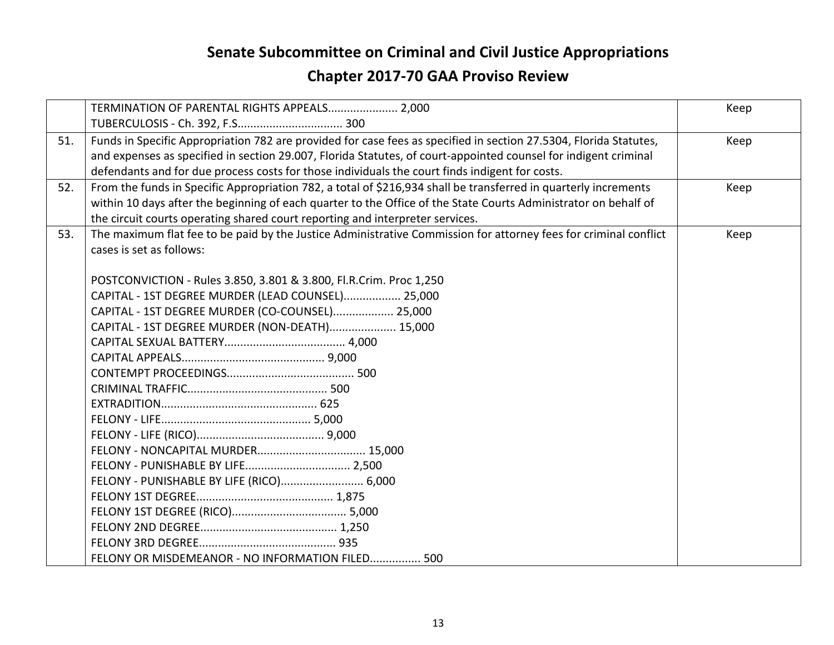|     | TERMINATION OF PARENTAL RIGHTS APPEALS 2,000                                                                                                                                                                                                                                                                                           | Keep |
|-----|----------------------------------------------------------------------------------------------------------------------------------------------------------------------------------------------------------------------------------------------------------------------------------------------------------------------------------------|------|
| 51. | Funds in Specific Appropriation 782 are provided for case fees as specified in section 27.5304, Florida Statutes,<br>and expenses as specified in section 29.007, Florida Statutes, of court-appointed counsel for indigent criminal<br>defendants and for due process costs for those individuals the court finds indigent for costs. | Keep |
| 52. | From the funds in Specific Appropriation 782, a total of \$216,934 shall be transferred in quarterly increments<br>within 10 days after the beginning of each quarter to the Office of the State Courts Administrator on behalf of<br>the circuit courts operating shared court reporting and interpreter services.                    | Keep |
| 53. | The maximum flat fee to be paid by the Justice Administrative Commission for attorney fees for criminal conflict<br>cases is set as follows:                                                                                                                                                                                           | Keep |
|     | POSTCONVICTION - Rules 3.850, 3.801 & 3.800, Fl.R.Crim. Proc 1,250                                                                                                                                                                                                                                                                     |      |
|     | CAPITAL - 1ST DEGREE MURDER (LEAD COUNSEL) 25,000                                                                                                                                                                                                                                                                                      |      |
|     | CAPITAL - 1ST DEGREE MURDER (CO-COUNSEL) 25,000                                                                                                                                                                                                                                                                                        |      |
|     | CAPITAL - 1ST DEGREE MURDER (NON-DEATH) 15,000                                                                                                                                                                                                                                                                                         |      |
|     |                                                                                                                                                                                                                                                                                                                                        |      |
|     |                                                                                                                                                                                                                                                                                                                                        |      |
|     |                                                                                                                                                                                                                                                                                                                                        |      |
|     |                                                                                                                                                                                                                                                                                                                                        |      |
|     |                                                                                                                                                                                                                                                                                                                                        |      |
|     |                                                                                                                                                                                                                                                                                                                                        |      |
|     |                                                                                                                                                                                                                                                                                                                                        |      |
|     |                                                                                                                                                                                                                                                                                                                                        |      |
|     |                                                                                                                                                                                                                                                                                                                                        |      |
|     | FELONY - PUNISHABLE BY LIFE (RICO) 6,000                                                                                                                                                                                                                                                                                               |      |
|     |                                                                                                                                                                                                                                                                                                                                        |      |
|     |                                                                                                                                                                                                                                                                                                                                        |      |
|     |                                                                                                                                                                                                                                                                                                                                        |      |
|     |                                                                                                                                                                                                                                                                                                                                        |      |
|     | FELONY OR MISDEMEANOR - NO INFORMATION FILED 500                                                                                                                                                                                                                                                                                       |      |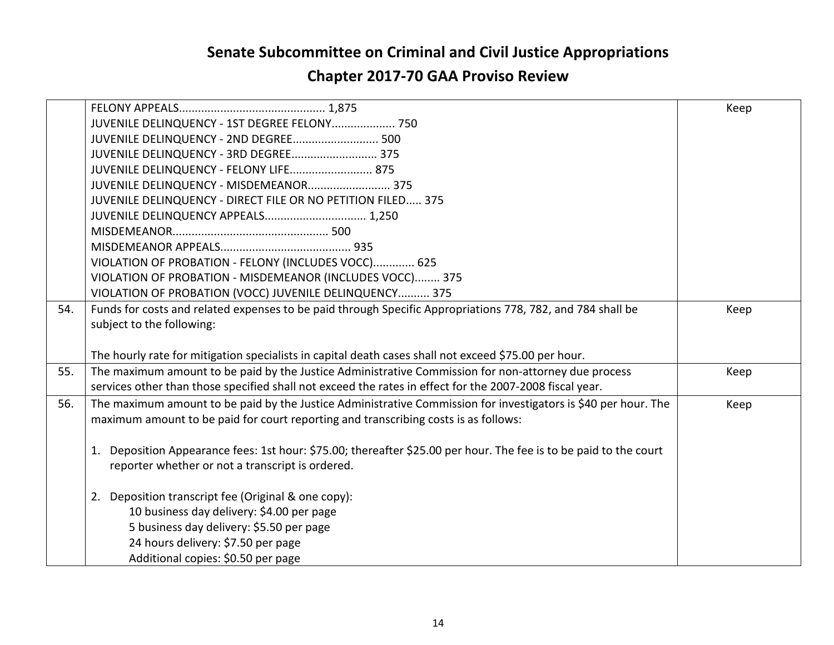#### **Senate Subcommittee on Criminal and Civil Justice Appropriations**

#### **Chapter 2017-70 GAA Proviso Review**

|     |                                                                                                                   | Keep |
|-----|-------------------------------------------------------------------------------------------------------------------|------|
|     | JUVENILE DELINQUENCY - 1ST DEGREE FELONY 750                                                                      |      |
|     | JUVENILE DELINQUENCY - 2ND DEGREE 500                                                                             |      |
|     | JUVENILE DELINQUENCY - 3RD DEGREE 375                                                                             |      |
|     | JUVENILE DELINQUENCY - FELONY LIFE 875                                                                            |      |
|     | JUVENILE DELINQUENCY - MISDEMEANOR 375                                                                            |      |
|     | JUVENILE DELINQUENCY - DIRECT FILE OR NO PETITION FILED 375                                                       |      |
|     | JUVENILE DELINQUENCY APPEALS 1,250                                                                                |      |
|     |                                                                                                                   |      |
|     |                                                                                                                   |      |
|     | VIOLATION OF PROBATION - FELONY (INCLUDES VOCC) 625                                                               |      |
|     | VIOLATION OF PROBATION - MISDEMEANOR (INCLUDES VOCC) 375                                                          |      |
|     | VIOLATION OF PROBATION (VOCC) JUVENILE DELINQUENCY 375                                                            |      |
| 54. | Funds for costs and related expenses to be paid through Specific Appropriations 778, 782, and 784 shall be        | Keep |
|     | subject to the following:                                                                                         |      |
|     |                                                                                                                   |      |
|     | The hourly rate for mitigation specialists in capital death cases shall not exceed \$75.00 per hour.              |      |
| 55. | The maximum amount to be paid by the Justice Administrative Commission for non-attorney due process               | Keep |
|     | services other than those specified shall not exceed the rates in effect for the 2007-2008 fiscal year.           |      |
| 56. | The maximum amount to be paid by the Justice Administrative Commission for investigators is \$40 per hour. The    | Keep |
|     | maximum amount to be paid for court reporting and transcribing costs is as follows:                               |      |
|     |                                                                                                                   |      |
|     | 1. Deposition Appearance fees: 1st hour: \$75.00; thereafter \$25.00 per hour. The fee is to be paid to the court |      |
|     | reporter whether or not a transcript is ordered.                                                                  |      |
|     |                                                                                                                   |      |
|     | 2. Deposition transcript fee (Original & one copy):                                                               |      |
|     | 10 business day delivery: \$4.00 per page                                                                         |      |
|     | 5 business day delivery: \$5.50 per page                                                                          |      |
|     | 24 hours delivery: \$7.50 per page                                                                                |      |
|     | Additional copies: \$0.50 per page                                                                                |      |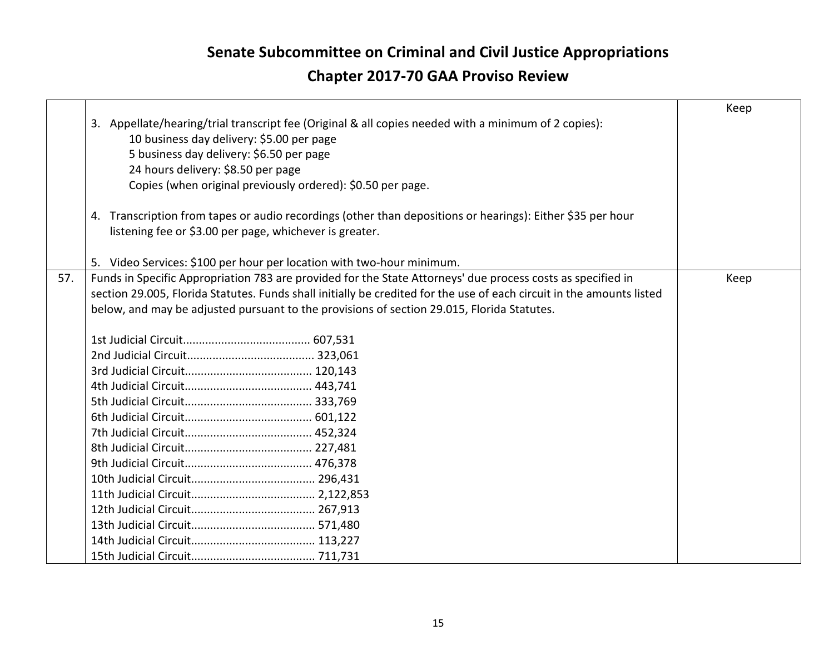$\mathsf{r}$ 

|     |                                                                                                                       | Keep |
|-----|-----------------------------------------------------------------------------------------------------------------------|------|
|     | 3. Appellate/hearing/trial transcript fee (Original & all copies needed with a minimum of 2 copies):                  |      |
|     | 10 business day delivery: \$5.00 per page                                                                             |      |
|     | 5 business day delivery: \$6.50 per page                                                                              |      |
|     | 24 hours delivery: \$8.50 per page                                                                                    |      |
|     | Copies (when original previously ordered): \$0.50 per page.                                                           |      |
|     | 4. Transcription from tapes or audio recordings (other than depositions or hearings): Either \$35 per hour            |      |
|     | listening fee or \$3.00 per page, whichever is greater.                                                               |      |
|     |                                                                                                                       |      |
|     | 5. Video Services: \$100 per hour per location with two-hour minimum.                                                 |      |
| 57. | Funds in Specific Appropriation 783 are provided for the State Attorneys' due process costs as specified in           | Keep |
|     | section 29.005, Florida Statutes. Funds shall initially be credited for the use of each circuit in the amounts listed |      |
|     | below, and may be adjusted pursuant to the provisions of section 29.015, Florida Statutes.                            |      |
|     |                                                                                                                       |      |
|     |                                                                                                                       |      |
|     |                                                                                                                       |      |
|     |                                                                                                                       |      |
|     |                                                                                                                       |      |
|     |                                                                                                                       |      |
|     |                                                                                                                       |      |
|     |                                                                                                                       |      |
|     |                                                                                                                       |      |
|     |                                                                                                                       |      |
|     |                                                                                                                       |      |
|     |                                                                                                                       |      |
|     |                                                                                                                       |      |
|     |                                                                                                                       |      |
|     |                                                                                                                       |      |
|     |                                                                                                                       |      |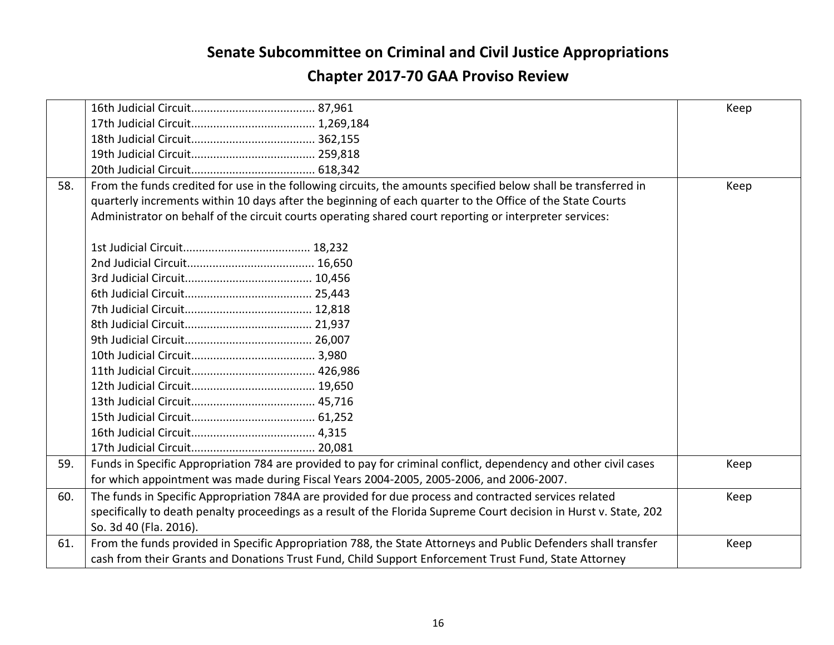|     |                                                                                                                    | Keep |
|-----|--------------------------------------------------------------------------------------------------------------------|------|
|     |                                                                                                                    |      |
|     |                                                                                                                    |      |
|     |                                                                                                                    |      |
|     |                                                                                                                    |      |
| 58. | From the funds credited for use in the following circuits, the amounts specified below shall be transferred in     | Keep |
|     | quarterly increments within 10 days after the beginning of each quarter to the Office of the State Courts          |      |
|     | Administrator on behalf of the circuit courts operating shared court reporting or interpreter services:            |      |
|     |                                                                                                                    |      |
|     |                                                                                                                    |      |
|     |                                                                                                                    |      |
|     |                                                                                                                    |      |
|     |                                                                                                                    |      |
|     |                                                                                                                    |      |
|     |                                                                                                                    |      |
|     |                                                                                                                    |      |
|     |                                                                                                                    |      |
|     |                                                                                                                    |      |
|     |                                                                                                                    |      |
|     |                                                                                                                    |      |
|     |                                                                                                                    |      |
|     |                                                                                                                    |      |
|     |                                                                                                                    |      |
| 59. | Funds in Specific Appropriation 784 are provided to pay for criminal conflict, dependency and other civil cases    | Keep |
|     | for which appointment was made during Fiscal Years 2004-2005, 2005-2006, and 2006-2007.                            |      |
| 60. | The funds in Specific Appropriation 784A are provided for due process and contracted services related              | Keep |
|     | specifically to death penalty proceedings as a result of the Florida Supreme Court decision in Hurst v. State, 202 |      |
|     | So. 3d 40 (Fla. 2016).                                                                                             |      |
| 61. | From the funds provided in Specific Appropriation 788, the State Attorneys and Public Defenders shall transfer     | Keep |
|     | cash from their Grants and Donations Trust Fund, Child Support Enforcement Trust Fund, State Attorney              |      |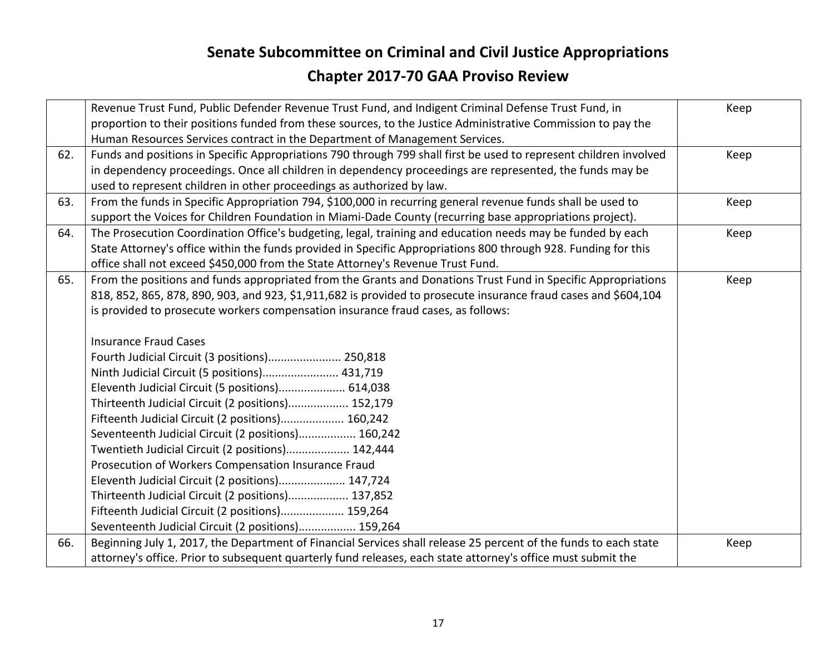|     | Revenue Trust Fund, Public Defender Revenue Trust Fund, and Indigent Criminal Defense Trust Fund, in<br>proportion to their positions funded from these sources, to the Justice Administrative Commission to pay the | Keep |
|-----|----------------------------------------------------------------------------------------------------------------------------------------------------------------------------------------------------------------------|------|
|     | Human Resources Services contract in the Department of Management Services.                                                                                                                                          |      |
| 62. | Funds and positions in Specific Appropriations 790 through 799 shall first be used to represent children involved                                                                                                    | Keep |
|     | in dependency proceedings. Once all children in dependency proceedings are represented, the funds may be                                                                                                             |      |
|     | used to represent children in other proceedings as authorized by law.                                                                                                                                                |      |
| 63. | From the funds in Specific Appropriation 794, \$100,000 in recurring general revenue funds shall be used to                                                                                                          | Keep |
|     | support the Voices for Children Foundation in Miami-Dade County (recurring base appropriations project).                                                                                                             |      |
| 64. | The Prosecution Coordination Office's budgeting, legal, training and education needs may be funded by each                                                                                                           | Keep |
|     | State Attorney's office within the funds provided in Specific Appropriations 800 through 928. Funding for this                                                                                                       |      |
|     | office shall not exceed \$450,000 from the State Attorney's Revenue Trust Fund.                                                                                                                                      |      |
| 65. | From the positions and funds appropriated from the Grants and Donations Trust Fund in Specific Appropriations                                                                                                        | Keep |
|     | 818, 852, 865, 878, 890, 903, and 923, \$1,911,682 is provided to prosecute insurance fraud cases and \$604,104                                                                                                      |      |
|     | is provided to prosecute workers compensation insurance fraud cases, as follows:                                                                                                                                     |      |
|     |                                                                                                                                                                                                                      |      |
|     | <b>Insurance Fraud Cases</b>                                                                                                                                                                                         |      |
|     | Fourth Judicial Circuit (3 positions) 250,818                                                                                                                                                                        |      |
|     | Ninth Judicial Circuit (5 positions) 431,719                                                                                                                                                                         |      |
|     | Eleventh Judicial Circuit (5 positions) 614,038                                                                                                                                                                      |      |
|     | Thirteenth Judicial Circuit (2 positions) 152,179                                                                                                                                                                    |      |
|     | Fifteenth Judicial Circuit (2 positions) 160,242                                                                                                                                                                     |      |
|     | Seventeenth Judicial Circuit (2 positions) 160,242                                                                                                                                                                   |      |
|     | Twentieth Judicial Circuit (2 positions) 142,444                                                                                                                                                                     |      |
|     | Prosecution of Workers Compensation Insurance Fraud                                                                                                                                                                  |      |
|     | Eleventh Judicial Circuit (2 positions) 147,724                                                                                                                                                                      |      |
|     | Thirteenth Judicial Circuit (2 positions) 137,852                                                                                                                                                                    |      |
|     | Fifteenth Judicial Circuit (2 positions) 159,264                                                                                                                                                                     |      |
|     | Seventeenth Judicial Circuit (2 positions) 159,264                                                                                                                                                                   |      |
| 66. | Beginning July 1, 2017, the Department of Financial Services shall release 25 percent of the funds to each state                                                                                                     | Keep |
|     | attorney's office. Prior to subsequent quarterly fund releases, each state attorney's office must submit the                                                                                                         |      |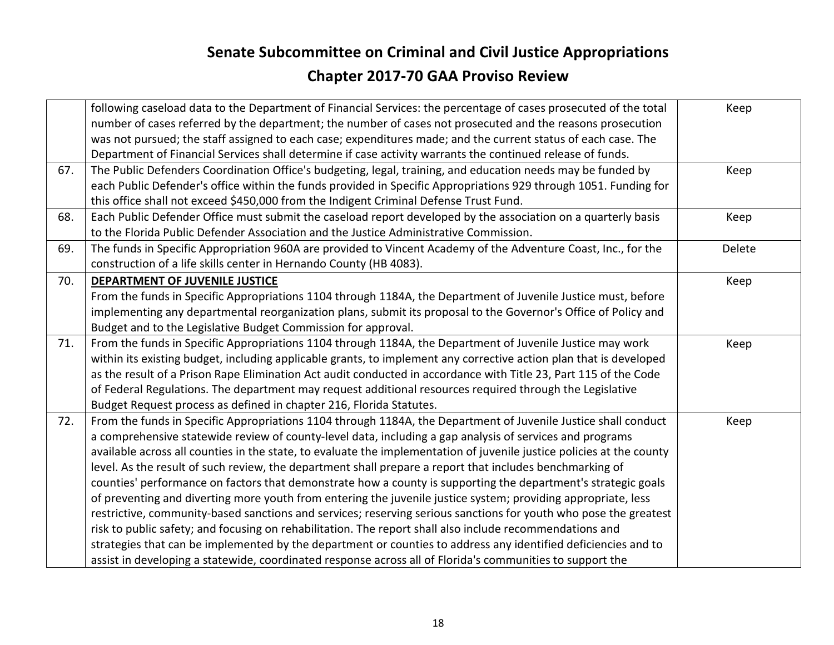|     | following caseload data to the Department of Financial Services: the percentage of cases prosecuted of the total<br>number of cases referred by the department; the number of cases not prosecuted and the reasons prosecution | Keep   |
|-----|--------------------------------------------------------------------------------------------------------------------------------------------------------------------------------------------------------------------------------|--------|
|     | was not pursued; the staff assigned to each case; expenditures made; and the current status of each case. The                                                                                                                  |        |
|     | Department of Financial Services shall determine if case activity warrants the continued release of funds.                                                                                                                     |        |
| 67. | The Public Defenders Coordination Office's budgeting, legal, training, and education needs may be funded by                                                                                                                    | Keep   |
|     | each Public Defender's office within the funds provided in Specific Appropriations 929 through 1051. Funding for                                                                                                               |        |
|     | this office shall not exceed \$450,000 from the Indigent Criminal Defense Trust Fund.                                                                                                                                          |        |
| 68. | Each Public Defender Office must submit the caseload report developed by the association on a quarterly basis                                                                                                                  | Keep   |
|     | to the Florida Public Defender Association and the Justice Administrative Commission.                                                                                                                                          |        |
| 69. | The funds in Specific Appropriation 960A are provided to Vincent Academy of the Adventure Coast, Inc., for the                                                                                                                 | Delete |
|     | construction of a life skills center in Hernando County (HB 4083).                                                                                                                                                             |        |
|     |                                                                                                                                                                                                                                |        |
| 70. | DEPARTMENT OF JUVENILE JUSTICE                                                                                                                                                                                                 | Keep   |
|     | From the funds in Specific Appropriations 1104 through 1184A, the Department of Juvenile Justice must, before                                                                                                                  |        |
|     | implementing any departmental reorganization plans, submit its proposal to the Governor's Office of Policy and                                                                                                                 |        |
|     | Budget and to the Legislative Budget Commission for approval.                                                                                                                                                                  |        |
| 71. | From the funds in Specific Appropriations 1104 through 1184A, the Department of Juvenile Justice may work                                                                                                                      | Keep   |
|     | within its existing budget, including applicable grants, to implement any corrective action plan that is developed                                                                                                             |        |
|     | as the result of a Prison Rape Elimination Act audit conducted in accordance with Title 23, Part 115 of the Code                                                                                                               |        |
|     | of Federal Regulations. The department may request additional resources required through the Legislative                                                                                                                       |        |
|     | Budget Request process as defined in chapter 216, Florida Statutes.                                                                                                                                                            |        |
| 72. | From the funds in Specific Appropriations 1104 through 1184A, the Department of Juvenile Justice shall conduct                                                                                                                 | Keep   |
|     | a comprehensive statewide review of county-level data, including a gap analysis of services and programs                                                                                                                       |        |
|     | available across all counties in the state, to evaluate the implementation of juvenile justice policies at the county                                                                                                          |        |
|     | level. As the result of such review, the department shall prepare a report that includes benchmarking of                                                                                                                       |        |
|     | counties' performance on factors that demonstrate how a county is supporting the department's strategic goals                                                                                                                  |        |
|     | of preventing and diverting more youth from entering the juvenile justice system; providing appropriate, less                                                                                                                  |        |
|     | restrictive, community-based sanctions and services; reserving serious sanctions for youth who pose the greatest                                                                                                               |        |
|     | risk to public safety; and focusing on rehabilitation. The report shall also include recommendations and                                                                                                                       |        |
|     | strategies that can be implemented by the department or counties to address any identified deficiencies and to                                                                                                                 |        |
|     | assist in developing a statewide, coordinated response across all of Florida's communities to support the                                                                                                                      |        |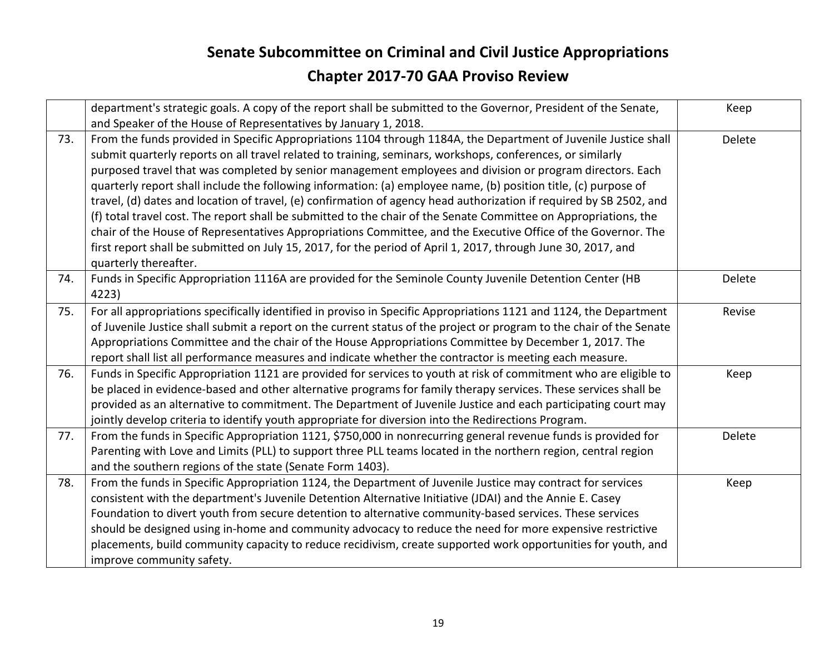|     | department's strategic goals. A copy of the report shall be submitted to the Governor, President of the Senate,<br>and Speaker of the House of Representatives by January 1, 2018.                                                                                                                                                                                                                                                                                                                                                                                                                                                                                                                                                                                                                                                                                                                                                                                  | Keep   |
|-----|---------------------------------------------------------------------------------------------------------------------------------------------------------------------------------------------------------------------------------------------------------------------------------------------------------------------------------------------------------------------------------------------------------------------------------------------------------------------------------------------------------------------------------------------------------------------------------------------------------------------------------------------------------------------------------------------------------------------------------------------------------------------------------------------------------------------------------------------------------------------------------------------------------------------------------------------------------------------|--------|
| 73. | From the funds provided in Specific Appropriations 1104 through 1184A, the Department of Juvenile Justice shall<br>submit quarterly reports on all travel related to training, seminars, workshops, conferences, or similarly<br>purposed travel that was completed by senior management employees and division or program directors. Each<br>quarterly report shall include the following information: (a) employee name, (b) position title, (c) purpose of<br>travel, (d) dates and location of travel, (e) confirmation of agency head authorization if required by SB 2502, and<br>(f) total travel cost. The report shall be submitted to the chair of the Senate Committee on Appropriations, the<br>chair of the House of Representatives Appropriations Committee, and the Executive Office of the Governor. The<br>first report shall be submitted on July 15, 2017, for the period of April 1, 2017, through June 30, 2017, and<br>quarterly thereafter. | Delete |
| 74. | Funds in Specific Appropriation 1116A are provided for the Seminole County Juvenile Detention Center (HB<br>4223)                                                                                                                                                                                                                                                                                                                                                                                                                                                                                                                                                                                                                                                                                                                                                                                                                                                   | Delete |
| 75. | For all appropriations specifically identified in proviso in Specific Appropriations 1121 and 1124, the Department<br>of Juvenile Justice shall submit a report on the current status of the project or program to the chair of the Senate<br>Appropriations Committee and the chair of the House Appropriations Committee by December 1, 2017. The<br>report shall list all performance measures and indicate whether the contractor is meeting each measure.                                                                                                                                                                                                                                                                                                                                                                                                                                                                                                      | Revise |
| 76. | Funds in Specific Appropriation 1121 are provided for services to youth at risk of commitment who are eligible to<br>be placed in evidence-based and other alternative programs for family therapy services. These services shall be<br>provided as an alternative to commitment. The Department of Juvenile Justice and each participating court may<br>jointly develop criteria to identify youth appropriate for diversion into the Redirections Program.                                                                                                                                                                                                                                                                                                                                                                                                                                                                                                        | Keep   |
| 77. | From the funds in Specific Appropriation 1121, \$750,000 in nonrecurring general revenue funds is provided for<br>Parenting with Love and Limits (PLL) to support three PLL teams located in the northern region, central region<br>and the southern regions of the state (Senate Form 1403).                                                                                                                                                                                                                                                                                                                                                                                                                                                                                                                                                                                                                                                                       | Delete |
| 78. | From the funds in Specific Appropriation 1124, the Department of Juvenile Justice may contract for services<br>consistent with the department's Juvenile Detention Alternative Initiative (JDAI) and the Annie E. Casey<br>Foundation to divert youth from secure detention to alternative community-based services. These services<br>should be designed using in-home and community advocacy to reduce the need for more expensive restrictive<br>placements, build community capacity to reduce recidivism, create supported work opportunities for youth, and<br>improve community safety.                                                                                                                                                                                                                                                                                                                                                                      | Keep   |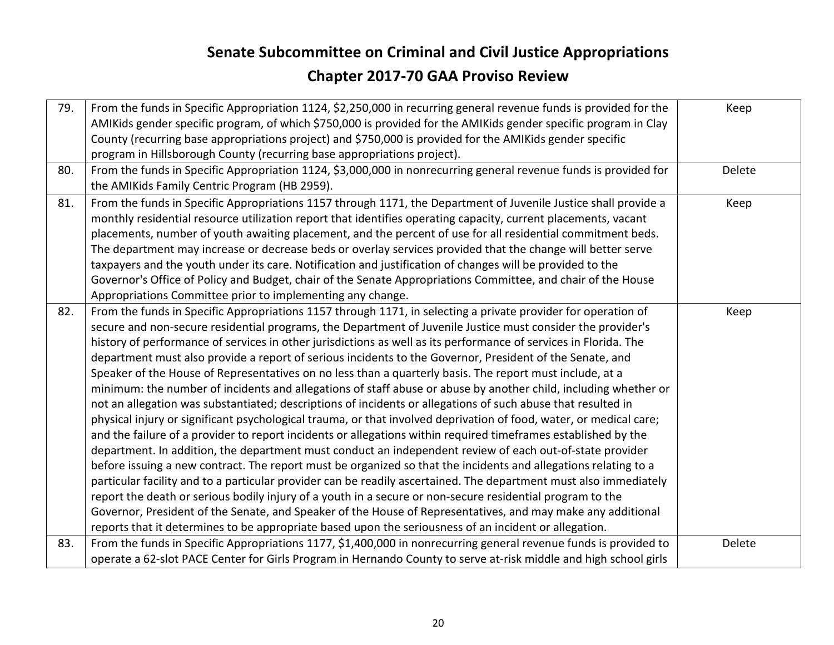| 79. | From the funds in Specific Appropriation 1124, \$2,250,000 in recurring general revenue funds is provided for the  | Keep   |
|-----|--------------------------------------------------------------------------------------------------------------------|--------|
|     | AMIKids gender specific program, of which \$750,000 is provided for the AMIKids gender specific program in Clay    |        |
|     | County (recurring base appropriations project) and \$750,000 is provided for the AMIKids gender specific           |        |
|     | program in Hillsborough County (recurring base appropriations project).                                            |        |
| 80. | From the funds in Specific Appropriation 1124, \$3,000,000 in nonrecurring general revenue funds is provided for   | Delete |
|     | the AMIKids Family Centric Program (HB 2959).                                                                      |        |
| 81. | From the funds in Specific Appropriations 1157 through 1171, the Department of Juvenile Justice shall provide a    | Keep   |
|     | monthly residential resource utilization report that identifies operating capacity, current placements, vacant     |        |
|     | placements, number of youth awaiting placement, and the percent of use for all residential commitment beds.        |        |
|     | The department may increase or decrease beds or overlay services provided that the change will better serve        |        |
|     | taxpayers and the youth under its care. Notification and justification of changes will be provided to the          |        |
|     | Governor's Office of Policy and Budget, chair of the Senate Appropriations Committee, and chair of the House       |        |
|     | Appropriations Committee prior to implementing any change.                                                         |        |
| 82. | From the funds in Specific Appropriations 1157 through 1171, in selecting a private provider for operation of      | Keep   |
|     | secure and non-secure residential programs, the Department of Juvenile Justice must consider the provider's        |        |
|     | history of performance of services in other jurisdictions as well as its performance of services in Florida. The   |        |
|     | department must also provide a report of serious incidents to the Governor, President of the Senate, and           |        |
|     | Speaker of the House of Representatives on no less than a quarterly basis. The report must include, at a           |        |
|     | minimum: the number of incidents and allegations of staff abuse or abuse by another child, including whether or    |        |
|     | not an allegation was substantiated; descriptions of incidents or allegations of such abuse that resulted in       |        |
|     | physical injury or significant psychological trauma, or that involved deprivation of food, water, or medical care; |        |
|     | and the failure of a provider to report incidents or allegations within required timeframes established by the     |        |
|     | department. In addition, the department must conduct an independent review of each out-of-state provider           |        |
|     | before issuing a new contract. The report must be organized so that the incidents and allegations relating to a    |        |
|     | particular facility and to a particular provider can be readily ascertained. The department must also immediately  |        |
|     | report the death or serious bodily injury of a youth in a secure or non-secure residential program to the          |        |
|     | Governor, President of the Senate, and Speaker of the House of Representatives, and may make any additional        |        |
|     | reports that it determines to be appropriate based upon the seriousness of an incident or allegation.              |        |
| 83. | From the funds in Specific Appropriations 1177, \$1,400,000 in nonrecurring general revenue funds is provided to   | Delete |
|     | operate a 62-slot PACE Center for Girls Program in Hernando County to serve at-risk middle and high school girls   |        |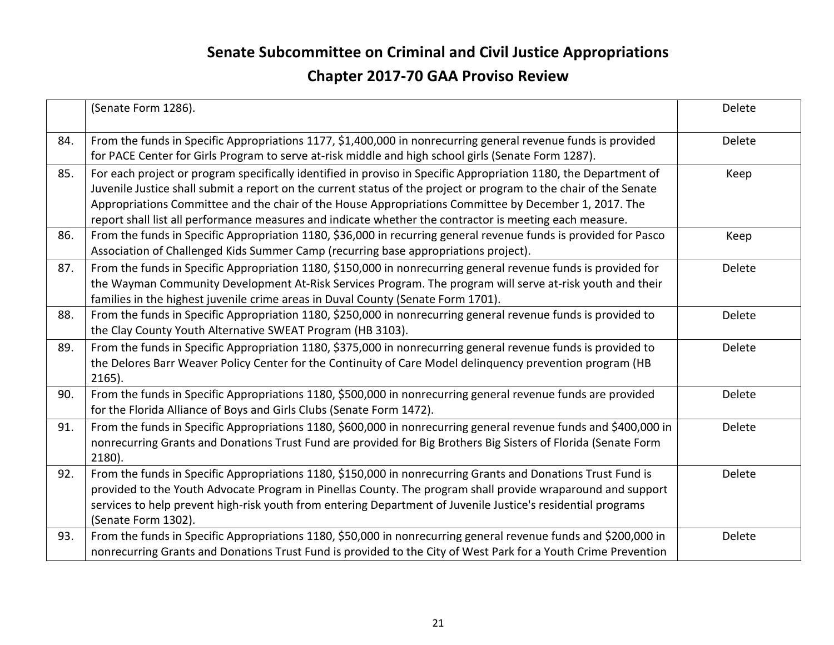|     | (Senate Form 1286).                                                                                                                                                                                                                                                                                                                                                                                                                                       | Delete |
|-----|-----------------------------------------------------------------------------------------------------------------------------------------------------------------------------------------------------------------------------------------------------------------------------------------------------------------------------------------------------------------------------------------------------------------------------------------------------------|--------|
| 84. | From the funds in Specific Appropriations 1177, \$1,400,000 in nonrecurring general revenue funds is provided<br>for PACE Center for Girls Program to serve at-risk middle and high school girls (Senate Form 1287).                                                                                                                                                                                                                                      | Delete |
| 85. | For each project or program specifically identified in proviso in Specific Appropriation 1180, the Department of<br>Juvenile Justice shall submit a report on the current status of the project or program to the chair of the Senate<br>Appropriations Committee and the chair of the House Appropriations Committee by December 1, 2017. The<br>report shall list all performance measures and indicate whether the contractor is meeting each measure. | Keep   |
| 86. | From the funds in Specific Appropriation 1180, \$36,000 in recurring general revenue funds is provided for Pasco<br>Association of Challenged Kids Summer Camp (recurring base appropriations project).                                                                                                                                                                                                                                                   | Keep   |
| 87. | From the funds in Specific Appropriation 1180, \$150,000 in nonrecurring general revenue funds is provided for<br>the Wayman Community Development At-Risk Services Program. The program will serve at-risk youth and their<br>families in the highest juvenile crime areas in Duval County (Senate Form 1701).                                                                                                                                           | Delete |
| 88. | From the funds in Specific Appropriation 1180, \$250,000 in nonrecurring general revenue funds is provided to<br>the Clay County Youth Alternative SWEAT Program (HB 3103).                                                                                                                                                                                                                                                                               | Delete |
| 89. | From the funds in Specific Appropriation 1180, \$375,000 in nonrecurring general revenue funds is provided to<br>the Delores Barr Weaver Policy Center for the Continuity of Care Model delinquency prevention program (HB<br>$2165$ ).                                                                                                                                                                                                                   | Delete |
| 90. | From the funds in Specific Appropriations 1180, \$500,000 in nonrecurring general revenue funds are provided<br>for the Florida Alliance of Boys and Girls Clubs (Senate Form 1472).                                                                                                                                                                                                                                                                      | Delete |
| 91. | From the funds in Specific Appropriations 1180, \$600,000 in nonrecurring general revenue funds and \$400,000 in<br>nonrecurring Grants and Donations Trust Fund are provided for Big Brothers Big Sisters of Florida (Senate Form<br>2180).                                                                                                                                                                                                              | Delete |
| 92. | From the funds in Specific Appropriations 1180, \$150,000 in nonrecurring Grants and Donations Trust Fund is<br>provided to the Youth Advocate Program in Pinellas County. The program shall provide wraparound and support<br>services to help prevent high-risk youth from entering Department of Juvenile Justice's residential programs<br>(Senate Form 1302).                                                                                        | Delete |
| 93. | From the funds in Specific Appropriations 1180, \$50,000 in nonrecurring general revenue funds and \$200,000 in<br>nonrecurring Grants and Donations Trust Fund is provided to the City of West Park for a Youth Crime Prevention                                                                                                                                                                                                                         | Delete |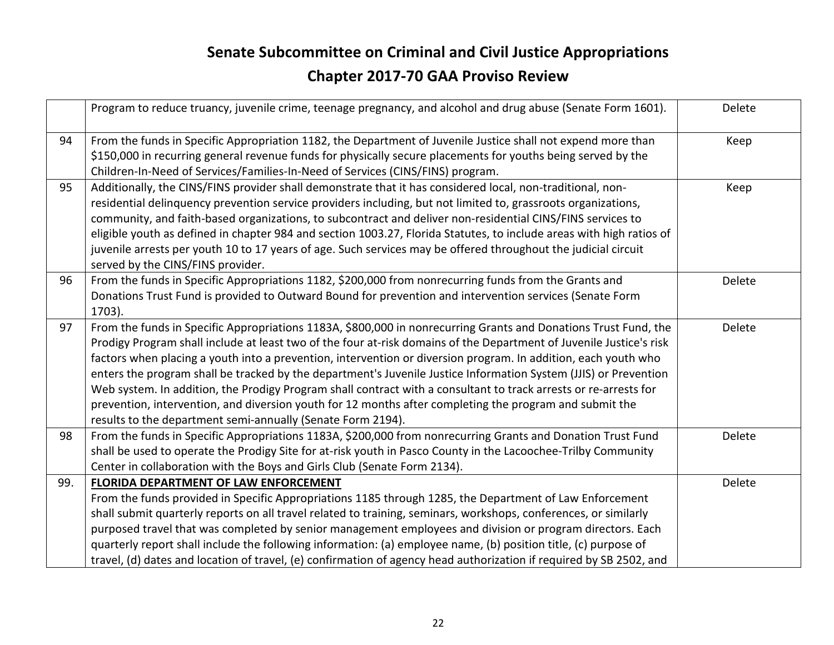|     | Program to reduce truancy, juvenile crime, teenage pregnancy, and alcohol and drug abuse (Senate Form 1601).                                                                                                                                                                                                                                                                                                                                                                                                                                                                                                                                                                                                                                                               | Delete |
|-----|----------------------------------------------------------------------------------------------------------------------------------------------------------------------------------------------------------------------------------------------------------------------------------------------------------------------------------------------------------------------------------------------------------------------------------------------------------------------------------------------------------------------------------------------------------------------------------------------------------------------------------------------------------------------------------------------------------------------------------------------------------------------------|--------|
| 94  | From the funds in Specific Appropriation 1182, the Department of Juvenile Justice shall not expend more than<br>\$150,000 in recurring general revenue funds for physically secure placements for youths being served by the<br>Children-In-Need of Services/Families-In-Need of Services (CINS/FINS) program.                                                                                                                                                                                                                                                                                                                                                                                                                                                             | Keep   |
| 95  | Additionally, the CINS/FINS provider shall demonstrate that it has considered local, non-traditional, non-<br>residential delinquency prevention service providers including, but not limited to, grassroots organizations,<br>community, and faith-based organizations, to subcontract and deliver non-residential CINS/FINS services to<br>eligible youth as defined in chapter 984 and section 1003.27, Florida Statutes, to include areas with high ratios of<br>juvenile arrests per youth 10 to 17 years of age. Such services may be offered throughout the judicial circuit<br>served by the CINS/FINS provider.                                                                                                                                                   | Keep   |
| 96  | From the funds in Specific Appropriations 1182, \$200,000 from nonrecurring funds from the Grants and<br>Donations Trust Fund is provided to Outward Bound for prevention and intervention services (Senate Form<br>1703).                                                                                                                                                                                                                                                                                                                                                                                                                                                                                                                                                 | Delete |
| 97  | From the funds in Specific Appropriations 1183A, \$800,000 in nonrecurring Grants and Donations Trust Fund, the<br>Prodigy Program shall include at least two of the four at-risk domains of the Department of Juvenile Justice's risk<br>factors when placing a youth into a prevention, intervention or diversion program. In addition, each youth who<br>enters the program shall be tracked by the department's Juvenile Justice Information System (JJIS) or Prevention<br>Web system. In addition, the Prodigy Program shall contract with a consultant to track arrests or re-arrests for<br>prevention, intervention, and diversion youth for 12 months after completing the program and submit the<br>results to the department semi-annually (Senate Form 2194). | Delete |
| 98  | From the funds in Specific Appropriations 1183A, \$200,000 from nonrecurring Grants and Donation Trust Fund<br>shall be used to operate the Prodigy Site for at-risk youth in Pasco County in the Lacoochee-Trilby Community<br>Center in collaboration with the Boys and Girls Club (Senate Form 2134).                                                                                                                                                                                                                                                                                                                                                                                                                                                                   | Delete |
| 99. | <b>FLORIDA DEPARTMENT OF LAW ENFORCEMENT</b><br>From the funds provided in Specific Appropriations 1185 through 1285, the Department of Law Enforcement<br>shall submit quarterly reports on all travel related to training, seminars, workshops, conferences, or similarly<br>purposed travel that was completed by senior management employees and division or program directors. Each<br>quarterly report shall include the following information: (a) employee name, (b) position title, (c) purpose of<br>travel, (d) dates and location of travel, (e) confirmation of agency head authorization if required by SB 2502, and                                                                                                                                         | Delete |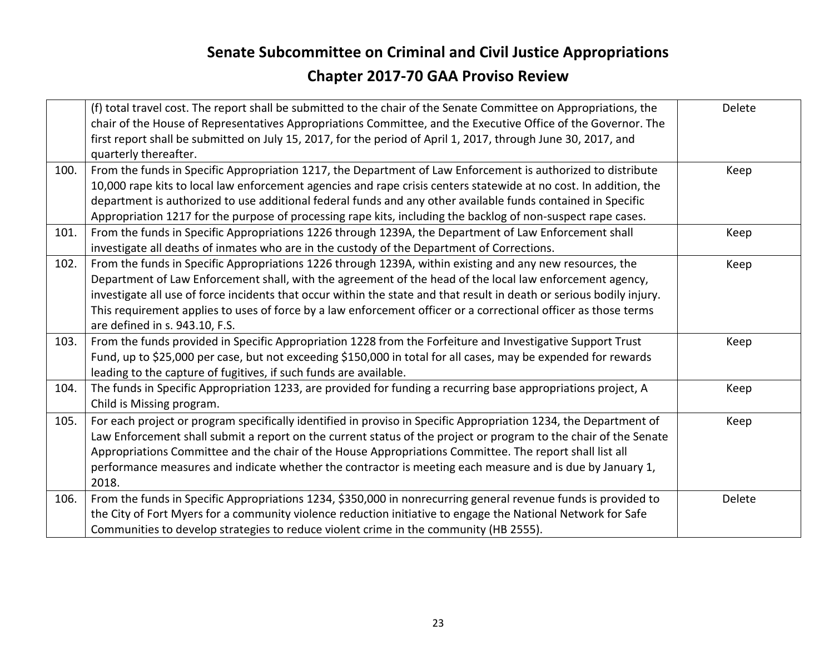|      | (f) total travel cost. The report shall be submitted to the chair of the Senate Committee on Appropriations, the<br>chair of the House of Representatives Appropriations Committee, and the Executive Office of the Governor. The<br>first report shall be submitted on July 15, 2017, for the period of April 1, 2017, through June 30, 2017, and<br>quarterly thereafter.                                                                                                                        | Delete |
|------|----------------------------------------------------------------------------------------------------------------------------------------------------------------------------------------------------------------------------------------------------------------------------------------------------------------------------------------------------------------------------------------------------------------------------------------------------------------------------------------------------|--------|
| 100. | From the funds in Specific Appropriation 1217, the Department of Law Enforcement is authorized to distribute<br>10,000 rape kits to local law enforcement agencies and rape crisis centers statewide at no cost. In addition, the<br>department is authorized to use additional federal funds and any other available funds contained in Specific<br>Appropriation 1217 for the purpose of processing rape kits, including the backlog of non-suspect rape cases.                                  | Keep   |
| 101. | From the funds in Specific Appropriations 1226 through 1239A, the Department of Law Enforcement shall<br>investigate all deaths of inmates who are in the custody of the Department of Corrections.                                                                                                                                                                                                                                                                                                | Keep   |
| 102. | From the funds in Specific Appropriations 1226 through 1239A, within existing and any new resources, the<br>Department of Law Enforcement shall, with the agreement of the head of the local law enforcement agency,<br>investigate all use of force incidents that occur within the state and that result in death or serious bodily injury.<br>This requirement applies to uses of force by a law enforcement officer or a correctional officer as those terms<br>are defined in s. 943.10, F.S. | Keep   |
| 103. | From the funds provided in Specific Appropriation 1228 from the Forfeiture and Investigative Support Trust<br>Fund, up to \$25,000 per case, but not exceeding \$150,000 in total for all cases, may be expended for rewards<br>leading to the capture of fugitives, if such funds are available.                                                                                                                                                                                                  | Keep   |
| 104. | The funds in Specific Appropriation 1233, are provided for funding a recurring base appropriations project, A<br>Child is Missing program.                                                                                                                                                                                                                                                                                                                                                         | Keep   |
| 105. | For each project or program specifically identified in proviso in Specific Appropriation 1234, the Department of<br>Law Enforcement shall submit a report on the current status of the project or program to the chair of the Senate<br>Appropriations Committee and the chair of the House Appropriations Committee. The report shall list all<br>performance measures and indicate whether the contractor is meeting each measure and is due by January 1,<br>2018.                              | Keep   |
| 106. | From the funds in Specific Appropriations 1234, \$350,000 in nonrecurring general revenue funds is provided to<br>the City of Fort Myers for a community violence reduction initiative to engage the National Network for Safe<br>Communities to develop strategies to reduce violent crime in the community (HB 2555).                                                                                                                                                                            | Delete |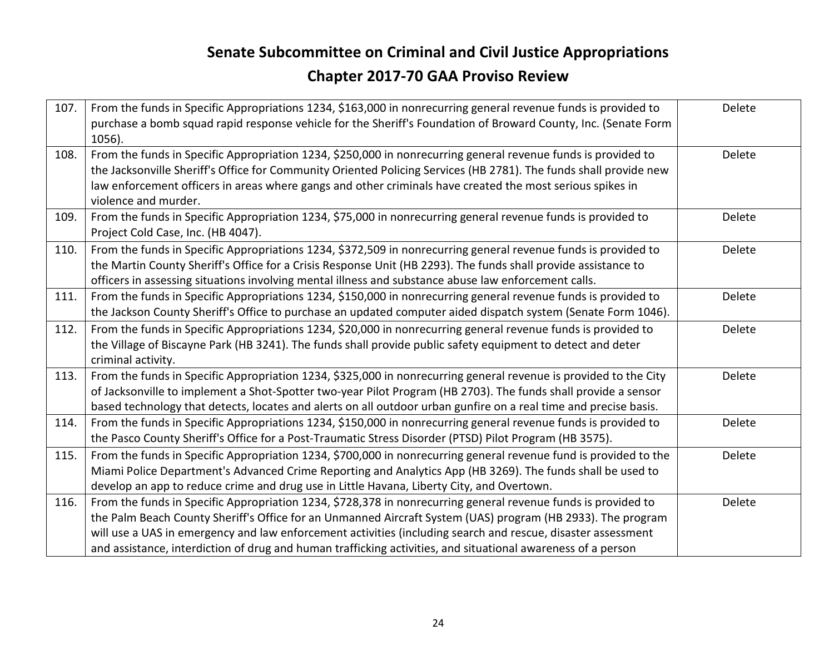| 107. | From the funds in Specific Appropriations 1234, \$163,000 in nonrecurring general revenue funds is provided to<br>purchase a bomb squad rapid response vehicle for the Sheriff's Foundation of Broward County, Inc. (Senate Form<br>1056).                                                                                                                                                                                                                   | Delete |
|------|--------------------------------------------------------------------------------------------------------------------------------------------------------------------------------------------------------------------------------------------------------------------------------------------------------------------------------------------------------------------------------------------------------------------------------------------------------------|--------|
| 108. | From the funds in Specific Appropriation 1234, \$250,000 in nonrecurring general revenue funds is provided to<br>the Jacksonville Sheriff's Office for Community Oriented Policing Services (HB 2781). The funds shall provide new<br>law enforcement officers in areas where gangs and other criminals have created the most serious spikes in<br>violence and murder.                                                                                      | Delete |
| 109. | From the funds in Specific Appropriation 1234, \$75,000 in nonrecurring general revenue funds is provided to<br>Project Cold Case, Inc. (HB 4047).                                                                                                                                                                                                                                                                                                           | Delete |
| 110. | From the funds in Specific Appropriations 1234, \$372,509 in nonrecurring general revenue funds is provided to<br>the Martin County Sheriff's Office for a Crisis Response Unit (HB 2293). The funds shall provide assistance to<br>officers in assessing situations involving mental illness and substance abuse law enforcement calls.                                                                                                                     | Delete |
| 111. | From the funds in Specific Appropriations 1234, \$150,000 in nonrecurring general revenue funds is provided to<br>the Jackson County Sheriff's Office to purchase an updated computer aided dispatch system (Senate Form 1046).                                                                                                                                                                                                                              | Delete |
| 112. | From the funds in Specific Appropriations 1234, \$20,000 in nonrecurring general revenue funds is provided to<br>the Village of Biscayne Park (HB 3241). The funds shall provide public safety equipment to detect and deter<br>criminal activity.                                                                                                                                                                                                           | Delete |
| 113. | From the funds in Specific Appropriation 1234, \$325,000 in nonrecurring general revenue is provided to the City<br>of Jacksonville to implement a Shot-Spotter two-year Pilot Program (HB 2703). The funds shall provide a sensor<br>based technology that detects, locates and alerts on all outdoor urban gunfire on a real time and precise basis.                                                                                                       | Delete |
| 114. | From the funds in Specific Appropriations 1234, \$150,000 in nonrecurring general revenue funds is provided to<br>the Pasco County Sheriff's Office for a Post-Traumatic Stress Disorder (PTSD) Pilot Program (HB 3575).                                                                                                                                                                                                                                     | Delete |
| 115. | From the funds in Specific Appropriation 1234, \$700,000 in nonrecurring general revenue fund is provided to the<br>Miami Police Department's Advanced Crime Reporting and Analytics App (HB 3269). The funds shall be used to<br>develop an app to reduce crime and drug use in Little Havana, Liberty City, and Overtown.                                                                                                                                  | Delete |
| 116. | From the funds in Specific Appropriation 1234, \$728,378 in nonrecurring general revenue funds is provided to<br>the Palm Beach County Sheriff's Office for an Unmanned Aircraft System (UAS) program (HB 2933). The program<br>will use a UAS in emergency and law enforcement activities (including search and rescue, disaster assessment<br>and assistance, interdiction of drug and human trafficking activities, and situational awareness of a person | Delete |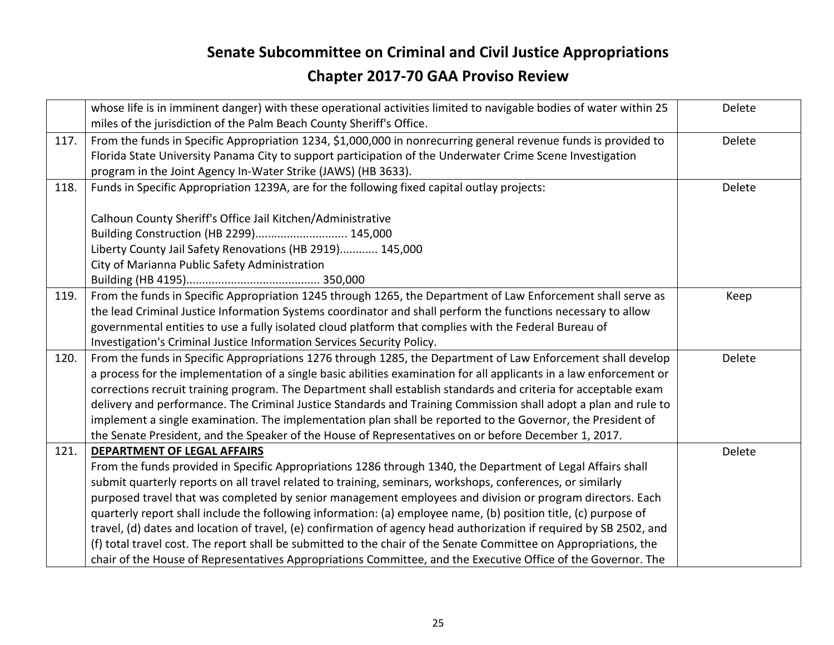|      | whose life is in imminent danger) with these operational activities limited to navigable bodies of water within 25<br>miles of the jurisdiction of the Palm Beach County Sheriff's Office.                                                                                                                                                                                                                      | Delete |
|------|-----------------------------------------------------------------------------------------------------------------------------------------------------------------------------------------------------------------------------------------------------------------------------------------------------------------------------------------------------------------------------------------------------------------|--------|
| 117. | From the funds in Specific Appropriation 1234, \$1,000,000 in nonrecurring general revenue funds is provided to<br>Florida State University Panama City to support participation of the Underwater Crime Scene Investigation<br>program in the Joint Agency In-Water Strike (JAWS) (HB 3633).                                                                                                                   | Delete |
| 118. | Funds in Specific Appropriation 1239A, are for the following fixed capital outlay projects:                                                                                                                                                                                                                                                                                                                     | Delete |
|      | Calhoun County Sheriff's Office Jail Kitchen/Administrative<br>Building Construction (HB 2299) 145,000<br>Liberty County Jail Safety Renovations (HB 2919) 145,000<br>City of Marianna Public Safety Administration                                                                                                                                                                                             |        |
|      |                                                                                                                                                                                                                                                                                                                                                                                                                 |        |
| 119. | From the funds in Specific Appropriation 1245 through 1265, the Department of Law Enforcement shall serve as<br>the lead Criminal Justice Information Systems coordinator and shall perform the functions necessary to allow<br>governmental entities to use a fully isolated cloud platform that complies with the Federal Bureau of<br>Investigation's Criminal Justice Information Services Security Policy. | Keep   |
| 120. | From the funds in Specific Appropriations 1276 through 1285, the Department of Law Enforcement shall develop<br>a process for the implementation of a single basic abilities examination for all applicants in a law enforcement or                                                                                                                                                                             | Delete |
|      | corrections recruit training program. The Department shall establish standards and criteria for acceptable exam<br>delivery and performance. The Criminal Justice Standards and Training Commission shall adopt a plan and rule to                                                                                                                                                                              |        |
|      | implement a single examination. The implementation plan shall be reported to the Governor, the President of<br>the Senate President, and the Speaker of the House of Representatives on or before December 1, 2017.                                                                                                                                                                                             |        |
| 121. | <b>DEPARTMENT OF LEGAL AFFAIRS</b>                                                                                                                                                                                                                                                                                                                                                                              | Delete |
|      | From the funds provided in Specific Appropriations 1286 through 1340, the Department of Legal Affairs shall                                                                                                                                                                                                                                                                                                     |        |
|      | submit quarterly reports on all travel related to training, seminars, workshops, conferences, or similarly                                                                                                                                                                                                                                                                                                      |        |
|      | purposed travel that was completed by senior management employees and division or program directors. Each                                                                                                                                                                                                                                                                                                       |        |
|      | quarterly report shall include the following information: (a) employee name, (b) position title, (c) purpose of                                                                                                                                                                                                                                                                                                 |        |
|      | travel, (d) dates and location of travel, (e) confirmation of agency head authorization if required by SB 2502, and                                                                                                                                                                                                                                                                                             |        |
|      | (f) total travel cost. The report shall be submitted to the chair of the Senate Committee on Appropriations, the                                                                                                                                                                                                                                                                                                |        |
|      | chair of the House of Representatives Appropriations Committee, and the Executive Office of the Governor. The                                                                                                                                                                                                                                                                                                   |        |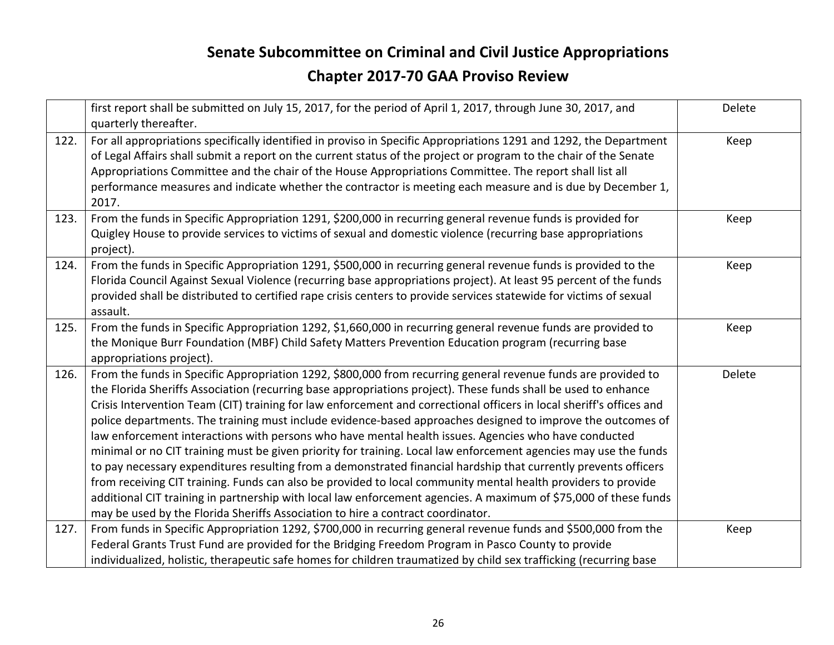|      | first report shall be submitted on July 15, 2017, for the period of April 1, 2017, through June 30, 2017, and<br>quarterly thereafter.                                                                                                                                                                                                                                                                                                                                                                                                                                                                                                                                                                                                                                                                                                                                                                                                                                                                                                                                                                                                        | Delete |
|------|-----------------------------------------------------------------------------------------------------------------------------------------------------------------------------------------------------------------------------------------------------------------------------------------------------------------------------------------------------------------------------------------------------------------------------------------------------------------------------------------------------------------------------------------------------------------------------------------------------------------------------------------------------------------------------------------------------------------------------------------------------------------------------------------------------------------------------------------------------------------------------------------------------------------------------------------------------------------------------------------------------------------------------------------------------------------------------------------------------------------------------------------------|--------|
| 122. | For all appropriations specifically identified in proviso in Specific Appropriations 1291 and 1292, the Department<br>of Legal Affairs shall submit a report on the current status of the project or program to the chair of the Senate<br>Appropriations Committee and the chair of the House Appropriations Committee. The report shall list all<br>performance measures and indicate whether the contractor is meeting each measure and is due by December 1,<br>2017.                                                                                                                                                                                                                                                                                                                                                                                                                                                                                                                                                                                                                                                                     | Keep   |
| 123. | From the funds in Specific Appropriation 1291, \$200,000 in recurring general revenue funds is provided for<br>Quigley House to provide services to victims of sexual and domestic violence (recurring base appropriations<br>project).                                                                                                                                                                                                                                                                                                                                                                                                                                                                                                                                                                                                                                                                                                                                                                                                                                                                                                       | Keep   |
| 124. | From the funds in Specific Appropriation 1291, \$500,000 in recurring general revenue funds is provided to the<br>Florida Council Against Sexual Violence (recurring base appropriations project). At least 95 percent of the funds<br>provided shall be distributed to certified rape crisis centers to provide services statewide for victims of sexual<br>assault.                                                                                                                                                                                                                                                                                                                                                                                                                                                                                                                                                                                                                                                                                                                                                                         | Keep   |
| 125. | From the funds in Specific Appropriation 1292, \$1,660,000 in recurring general revenue funds are provided to<br>the Monique Burr Foundation (MBF) Child Safety Matters Prevention Education program (recurring base<br>appropriations project).                                                                                                                                                                                                                                                                                                                                                                                                                                                                                                                                                                                                                                                                                                                                                                                                                                                                                              | Keep   |
| 126. | From the funds in Specific Appropriation 1292, \$800,000 from recurring general revenue funds are provided to<br>the Florida Sheriffs Association (recurring base appropriations project). These funds shall be used to enhance<br>Crisis Intervention Team (CIT) training for law enforcement and correctional officers in local sheriff's offices and<br>police departments. The training must include evidence-based approaches designed to improve the outcomes of<br>law enforcement interactions with persons who have mental health issues. Agencies who have conducted<br>minimal or no CIT training must be given priority for training. Local law enforcement agencies may use the funds<br>to pay necessary expenditures resulting from a demonstrated financial hardship that currently prevents officers<br>from receiving CIT training. Funds can also be provided to local community mental health providers to provide<br>additional CIT training in partnership with local law enforcement agencies. A maximum of \$75,000 of these funds<br>may be used by the Florida Sheriffs Association to hire a contract coordinator. | Delete |
| 127. | From funds in Specific Appropriation 1292, \$700,000 in recurring general revenue funds and \$500,000 from the<br>Federal Grants Trust Fund are provided for the Bridging Freedom Program in Pasco County to provide<br>individualized, holistic, therapeutic safe homes for children traumatized by child sex trafficking (recurring base                                                                                                                                                                                                                                                                                                                                                                                                                                                                                                                                                                                                                                                                                                                                                                                                    | Keep   |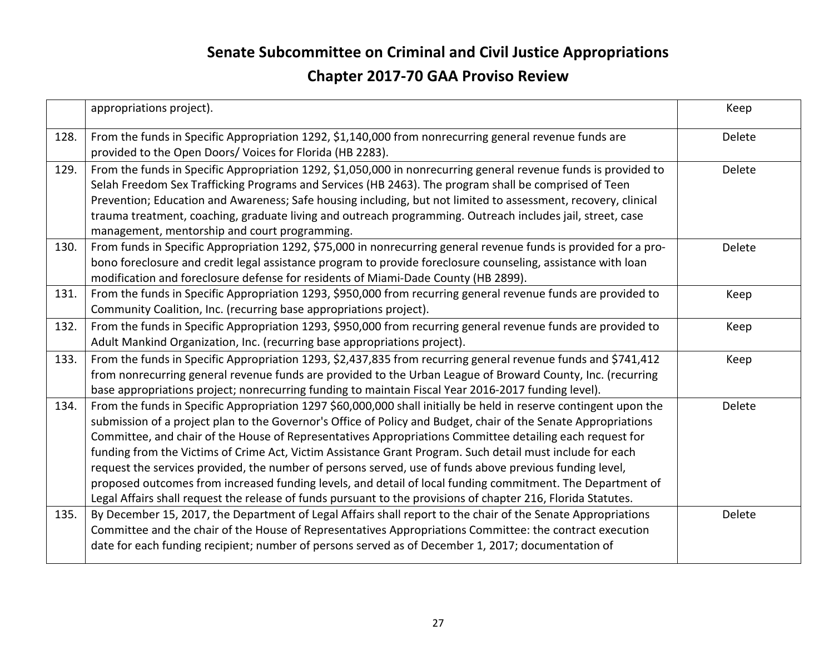|      | appropriations project).                                                                                                                                                                                                                                                                                                                                                                                                                                                                                                                                                                                                                                                                                                                                                                               | Keep   |
|------|--------------------------------------------------------------------------------------------------------------------------------------------------------------------------------------------------------------------------------------------------------------------------------------------------------------------------------------------------------------------------------------------------------------------------------------------------------------------------------------------------------------------------------------------------------------------------------------------------------------------------------------------------------------------------------------------------------------------------------------------------------------------------------------------------------|--------|
| 128. | From the funds in Specific Appropriation 1292, \$1,140,000 from nonrecurring general revenue funds are<br>provided to the Open Doors/ Voices for Florida (HB 2283).                                                                                                                                                                                                                                                                                                                                                                                                                                                                                                                                                                                                                                    | Delete |
| 129. | From the funds in Specific Appropriation 1292, \$1,050,000 in nonrecurring general revenue funds is provided to<br>Selah Freedom Sex Trafficking Programs and Services (HB 2463). The program shall be comprised of Teen<br>Prevention; Education and Awareness; Safe housing including, but not limited to assessment, recovery, clinical<br>trauma treatment, coaching, graduate living and outreach programming. Outreach includes jail, street, case<br>management, mentorship and court programming.                                                                                                                                                                                                                                                                                              | Delete |
| 130. | From funds in Specific Appropriation 1292, \$75,000 in nonrecurring general revenue funds is provided for a pro-<br>bono foreclosure and credit legal assistance program to provide foreclosure counseling, assistance with loan<br>modification and foreclosure defense for residents of Miami-Dade County (HB 2899).                                                                                                                                                                                                                                                                                                                                                                                                                                                                                 | Delete |
| 131. | From the funds in Specific Appropriation 1293, \$950,000 from recurring general revenue funds are provided to<br>Community Coalition, Inc. (recurring base appropriations project).                                                                                                                                                                                                                                                                                                                                                                                                                                                                                                                                                                                                                    | Keep   |
| 132. | From the funds in Specific Appropriation 1293, \$950,000 from recurring general revenue funds are provided to<br>Adult Mankind Organization, Inc. (recurring base appropriations project).                                                                                                                                                                                                                                                                                                                                                                                                                                                                                                                                                                                                             | Keep   |
| 133. | From the funds in Specific Appropriation 1293, \$2,437,835 from recurring general revenue funds and \$741,412<br>from nonrecurring general revenue funds are provided to the Urban League of Broward County, Inc. (recurring<br>base appropriations project; nonrecurring funding to maintain Fiscal Year 2016-2017 funding level).                                                                                                                                                                                                                                                                                                                                                                                                                                                                    | Keep   |
| 134. | From the funds in Specific Appropriation 1297 \$60,000,000 shall initially be held in reserve contingent upon the<br>submission of a project plan to the Governor's Office of Policy and Budget, chair of the Senate Appropriations<br>Committee, and chair of the House of Representatives Appropriations Committee detailing each request for<br>funding from the Victims of Crime Act, Victim Assistance Grant Program. Such detail must include for each<br>request the services provided, the number of persons served, use of funds above previous funding level,<br>proposed outcomes from increased funding levels, and detail of local funding commitment. The Department of<br>Legal Affairs shall request the release of funds pursuant to the provisions of chapter 216, Florida Statutes. | Delete |
| 135. | By December 15, 2017, the Department of Legal Affairs shall report to the chair of the Senate Appropriations<br>Committee and the chair of the House of Representatives Appropriations Committee: the contract execution<br>date for each funding recipient; number of persons served as of December 1, 2017; documentation of                                                                                                                                                                                                                                                                                                                                                                                                                                                                         | Delete |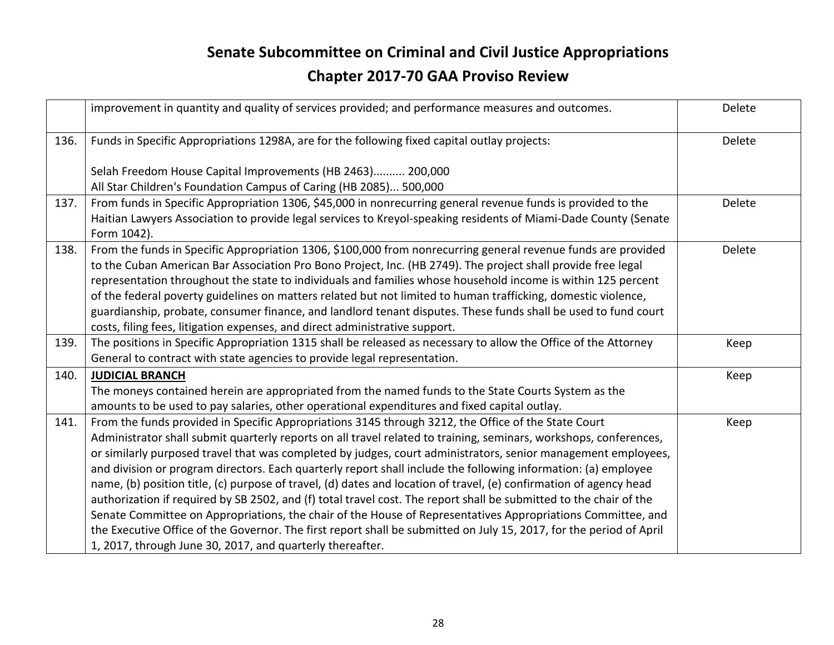|      | improvement in quantity and quality of services provided; and performance measures and outcomes.                                                                                                                              | Delete |
|------|-------------------------------------------------------------------------------------------------------------------------------------------------------------------------------------------------------------------------------|--------|
| 136. | Funds in Specific Appropriations 1298A, are for the following fixed capital outlay projects:                                                                                                                                  | Delete |
|      | Selah Freedom House Capital Improvements (HB 2463) 200,000                                                                                                                                                                    |        |
|      | All Star Children's Foundation Campus of Caring (HB 2085) 500,000                                                                                                                                                             |        |
| 137. | From funds in Specific Appropriation 1306, \$45,000 in nonrecurring general revenue funds is provided to the                                                                                                                  | Delete |
|      | Haitian Lawyers Association to provide legal services to Kreyol-speaking residents of Miami-Dade County (Senate<br>Form 1042).                                                                                                |        |
| 138. | From the funds in Specific Appropriation 1306, \$100,000 from nonrecurring general revenue funds are provided<br>to the Cuban American Bar Association Pro Bono Project, Inc. (HB 2749). The project shall provide free legal | Delete |
|      | representation throughout the state to individuals and families whose household income is within 125 percent                                                                                                                  |        |
|      | of the federal poverty guidelines on matters related but not limited to human trafficking, domestic violence,                                                                                                                 |        |
|      | guardianship, probate, consumer finance, and landlord tenant disputes. These funds shall be used to fund court                                                                                                                |        |
|      | costs, filing fees, litigation expenses, and direct administrative support.                                                                                                                                                   |        |
| 139. | The positions in Specific Appropriation 1315 shall be released as necessary to allow the Office of the Attorney                                                                                                               | Keep   |
|      | General to contract with state agencies to provide legal representation.                                                                                                                                                      |        |
| 140. | <b>JUDICIAL BRANCH</b>                                                                                                                                                                                                        | Keep   |
|      | The moneys contained herein are appropriated from the named funds to the State Courts System as the                                                                                                                           |        |
|      | amounts to be used to pay salaries, other operational expenditures and fixed capital outlay.                                                                                                                                  |        |
| 141. | From the funds provided in Specific Appropriations 3145 through 3212, the Office of the State Court                                                                                                                           | Keep   |
|      | Administrator shall submit quarterly reports on all travel related to training, seminars, workshops, conferences,                                                                                                             |        |
|      | or similarly purposed travel that was completed by judges, court administrators, senior management employees,                                                                                                                 |        |
|      | and division or program directors. Each quarterly report shall include the following information: (a) employee                                                                                                                |        |
|      | name, (b) position title, (c) purpose of travel, (d) dates and location of travel, (e) confirmation of agency head                                                                                                            |        |
|      | authorization if required by SB 2502, and (f) total travel cost. The report shall be submitted to the chair of the                                                                                                            |        |
|      | Senate Committee on Appropriations, the chair of the House of Representatives Appropriations Committee, and                                                                                                                   |        |
|      | the Executive Office of the Governor. The first report shall be submitted on July 15, 2017, for the period of April                                                                                                           |        |
|      | 1, 2017, through June 30, 2017, and quarterly thereafter.                                                                                                                                                                     |        |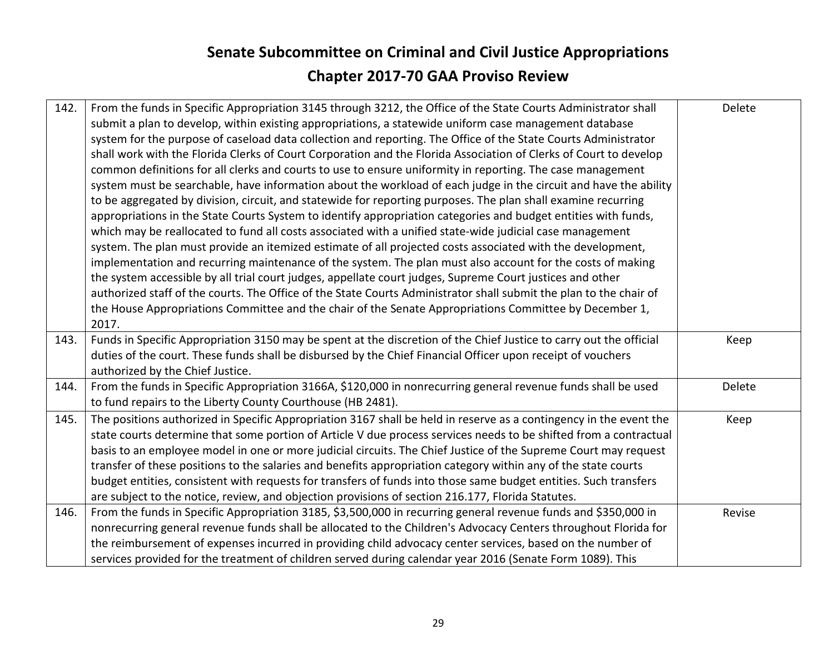| 142. | From the funds in Specific Appropriation 3145 through 3212, the Office of the State Courts Administrator shall     | Delete |
|------|--------------------------------------------------------------------------------------------------------------------|--------|
|      | submit a plan to develop, within existing appropriations, a statewide uniform case management database             |        |
|      | system for the purpose of caseload data collection and reporting. The Office of the State Courts Administrator     |        |
|      | shall work with the Florida Clerks of Court Corporation and the Florida Association of Clerks of Court to develop  |        |
|      | common definitions for all clerks and courts to use to ensure uniformity in reporting. The case management         |        |
|      | system must be searchable, have information about the workload of each judge in the circuit and have the ability   |        |
|      | to be aggregated by division, circuit, and statewide for reporting purposes. The plan shall examine recurring      |        |
|      | appropriations in the State Courts System to identify appropriation categories and budget entities with funds,     |        |
|      | which may be reallocated to fund all costs associated with a unified state-wide judicial case management           |        |
|      | system. The plan must provide an itemized estimate of all projected costs associated with the development,         |        |
|      | implementation and recurring maintenance of the system. The plan must also account for the costs of making         |        |
|      | the system accessible by all trial court judges, appellate court judges, Supreme Court justices and other          |        |
|      | authorized staff of the courts. The Office of the State Courts Administrator shall submit the plan to the chair of |        |
|      | the House Appropriations Committee and the chair of the Senate Appropriations Committee by December 1,             |        |
|      | 2017.                                                                                                              |        |
| 143. | Funds in Specific Appropriation 3150 may be spent at the discretion of the Chief Justice to carry out the official | Keep   |
|      | duties of the court. These funds shall be disbursed by the Chief Financial Officer upon receipt of vouchers        |        |
|      | authorized by the Chief Justice.                                                                                   |        |
| 144. | From the funds in Specific Appropriation 3166A, \$120,000 in nonrecurring general revenue funds shall be used      | Delete |
|      | to fund repairs to the Liberty County Courthouse (HB 2481).                                                        |        |
| 145. | The positions authorized in Specific Appropriation 3167 shall be held in reserve as a contingency in the event the | Keep   |
|      | state courts determine that some portion of Article V due process services needs to be shifted from a contractual  |        |
|      | basis to an employee model in one or more judicial circuits. The Chief Justice of the Supreme Court may request    |        |
|      | transfer of these positions to the salaries and benefits appropriation category within any of the state courts     |        |
|      | budget entities, consistent with requests for transfers of funds into those same budget entities. Such transfers   |        |
|      | are subject to the notice, review, and objection provisions of section 216.177, Florida Statutes.                  |        |
| 146. | From the funds in Specific Appropriation 3185, \$3,500,000 in recurring general revenue funds and \$350,000 in     | Revise |
|      | nonrecurring general revenue funds shall be allocated to the Children's Advocacy Centers throughout Florida for    |        |
|      | the reimbursement of expenses incurred in providing child advocacy center services, based on the number of         |        |
|      | services provided for the treatment of children served during calendar year 2016 (Senate Form 1089). This          |        |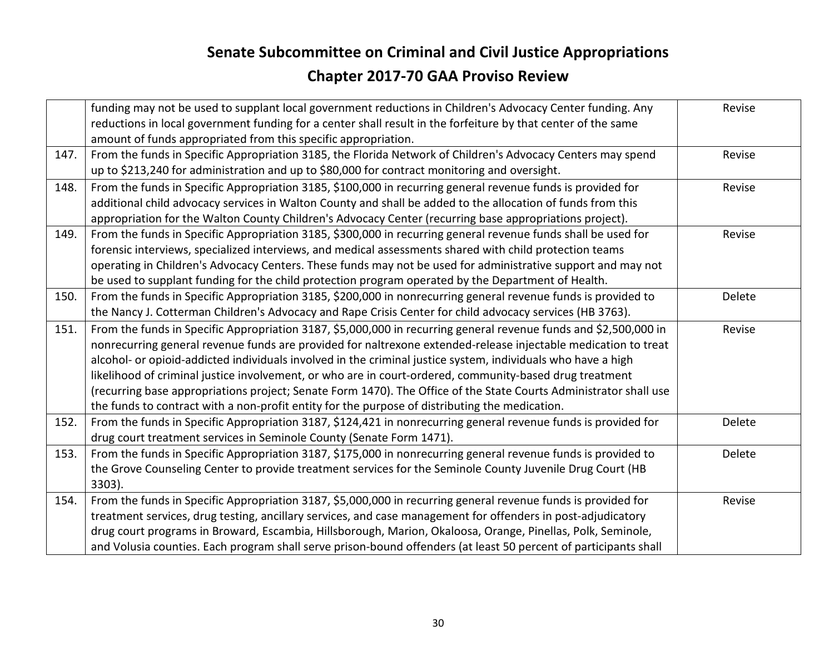|      | funding may not be used to supplant local government reductions in Children's Advocacy Center funding. Any<br>reductions in local government funding for a center shall result in the forfeiture by that center of the same | Revise |
|------|-----------------------------------------------------------------------------------------------------------------------------------------------------------------------------------------------------------------------------|--------|
|      | amount of funds appropriated from this specific appropriation.                                                                                                                                                              |        |
| 147. | From the funds in Specific Appropriation 3185, the Florida Network of Children's Advocacy Centers may spend                                                                                                                 | Revise |
|      | up to \$213,240 for administration and up to \$80,000 for contract monitoring and oversight.                                                                                                                                |        |
| 148. | From the funds in Specific Appropriation 3185, \$100,000 in recurring general revenue funds is provided for                                                                                                                 | Revise |
|      | additional child advocacy services in Walton County and shall be added to the allocation of funds from this                                                                                                                 |        |
|      | appropriation for the Walton County Children's Advocacy Center (recurring base appropriations project).                                                                                                                     |        |
| 149. | From the funds in Specific Appropriation 3185, \$300,000 in recurring general revenue funds shall be used for                                                                                                               | Revise |
|      | forensic interviews, specialized interviews, and medical assessments shared with child protection teams                                                                                                                     |        |
|      | operating in Children's Advocacy Centers. These funds may not be used for administrative support and may not                                                                                                                |        |
|      | be used to supplant funding for the child protection program operated by the Department of Health.                                                                                                                          |        |
| 150. | From the funds in Specific Appropriation 3185, \$200,000 in nonrecurring general revenue funds is provided to                                                                                                               | Delete |
|      | the Nancy J. Cotterman Children's Advocacy and Rape Crisis Center for child advocacy services (HB 3763).                                                                                                                    |        |
| 151. | From the funds in Specific Appropriation 3187, \$5,000,000 in recurring general revenue funds and \$2,500,000 in                                                                                                            | Revise |
|      | nonrecurring general revenue funds are provided for naltrexone extended-release injectable medication to treat                                                                                                              |        |
|      | alcohol- or opioid-addicted individuals involved in the criminal justice system, individuals who have a high                                                                                                                |        |
|      | likelihood of criminal justice involvement, or who are in court-ordered, community-based drug treatment                                                                                                                     |        |
|      | (recurring base appropriations project; Senate Form 1470). The Office of the State Courts Administrator shall use                                                                                                           |        |
|      | the funds to contract with a non-profit entity for the purpose of distributing the medication.                                                                                                                              |        |
| 152. | From the funds in Specific Appropriation 3187, \$124,421 in nonrecurring general revenue funds is provided for                                                                                                              | Delete |
|      | drug court treatment services in Seminole County (Senate Form 1471).                                                                                                                                                        |        |
| 153. | From the funds in Specific Appropriation 3187, \$175,000 in nonrecurring general revenue funds is provided to                                                                                                               | Delete |
|      | the Grove Counseling Center to provide treatment services for the Seminole County Juvenile Drug Court (HB                                                                                                                   |        |
|      | 3303).                                                                                                                                                                                                                      |        |
| 154. | From the funds in Specific Appropriation 3187, \$5,000,000 in recurring general revenue funds is provided for                                                                                                               | Revise |
|      | treatment services, drug testing, ancillary services, and case management for offenders in post-adjudicatory                                                                                                                |        |
|      | drug court programs in Broward, Escambia, Hillsborough, Marion, Okaloosa, Orange, Pinellas, Polk, Seminole,                                                                                                                 |        |
|      | and Volusia counties. Each program shall serve prison-bound offenders (at least 50 percent of participants shall                                                                                                            |        |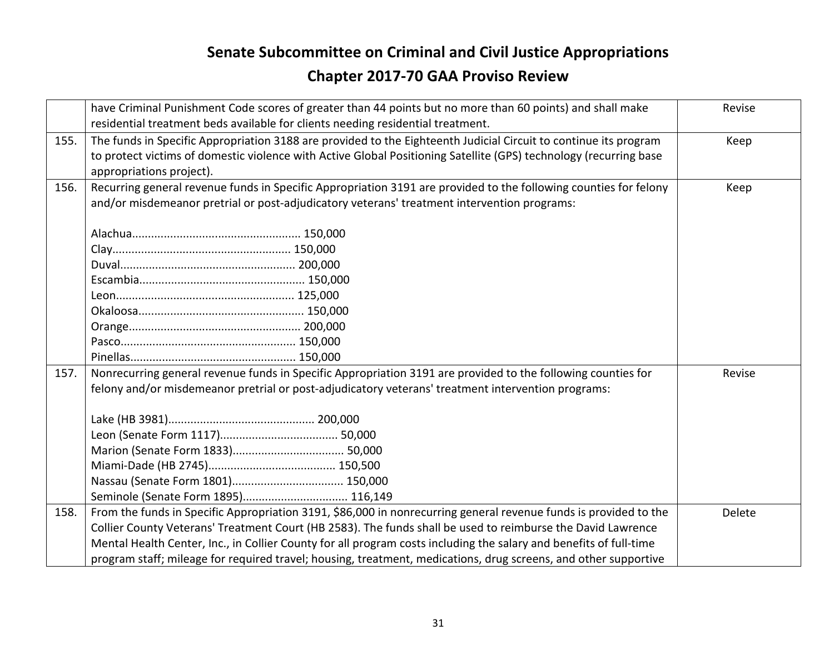|      | have Criminal Punishment Code scores of greater than 44 points but no more than 60 points) and shall make          | Revise |
|------|--------------------------------------------------------------------------------------------------------------------|--------|
|      | residential treatment beds available for clients needing residential treatment.                                    |        |
| 155. | The funds in Specific Appropriation 3188 are provided to the Eighteenth Judicial Circuit to continue its program   | Keep   |
|      | to protect victims of domestic violence with Active Global Positioning Satellite (GPS) technology (recurring base  |        |
|      | appropriations project).                                                                                           |        |
| 156. | Recurring general revenue funds in Specific Appropriation 3191 are provided to the following counties for felony   | Keep   |
|      | and/or misdemeanor pretrial or post-adjudicatory veterans' treatment intervention programs:                        |        |
|      |                                                                                                                    |        |
|      |                                                                                                                    |        |
|      |                                                                                                                    |        |
|      |                                                                                                                    |        |
|      |                                                                                                                    |        |
|      |                                                                                                                    |        |
|      |                                                                                                                    |        |
|      |                                                                                                                    |        |
|      |                                                                                                                    |        |
| 157. | Nonrecurring general revenue funds in Specific Appropriation 3191 are provided to the following counties for       | Revise |
|      | felony and/or misdemeanor pretrial or post-adjudicatory veterans' treatment intervention programs:                 |        |
|      |                                                                                                                    |        |
|      |                                                                                                                    |        |
|      |                                                                                                                    |        |
|      |                                                                                                                    |        |
|      |                                                                                                                    |        |
|      | Seminole (Senate Form 1895) 116,149                                                                                |        |
| 158. | From the funds in Specific Appropriation 3191, \$86,000 in nonrecurring general revenue funds is provided to the   | Delete |
|      | Collier County Veterans' Treatment Court (HB 2583). The funds shall be used to reimburse the David Lawrence        |        |
|      | Mental Health Center, Inc., in Collier County for all program costs including the salary and benefits of full-time |        |
|      | program staff; mileage for required travel; housing, treatment, medications, drug screens, and other supportive    |        |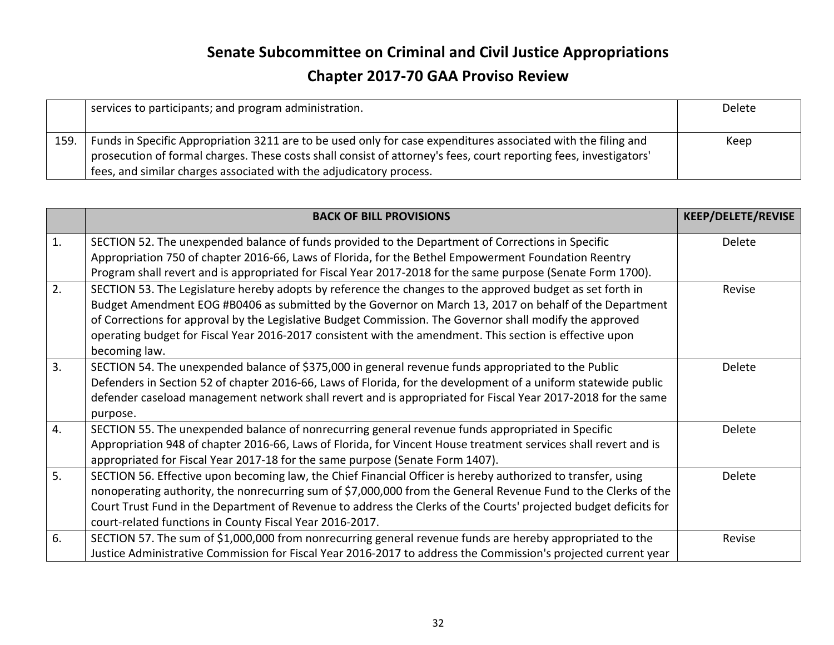|      | services to participants; and program administration.                                                                                                                                                                                                                                                     | Delete |
|------|-----------------------------------------------------------------------------------------------------------------------------------------------------------------------------------------------------------------------------------------------------------------------------------------------------------|--------|
| 159. | Funds in Specific Appropriation 3211 are to be used only for case expenditures associated with the filing and<br>prosecution of formal charges. These costs shall consist of attorney's fees, court reporting fees, investigators'<br>fees, and similar charges associated with the adjudicatory process. | Keep   |

|    | <b>BACK OF BILL PROVISIONS</b>                                                                                                                                                                                                                                                                                                                                                                                                                               | <b>KEEP/DELETE/REVISE</b> |
|----|--------------------------------------------------------------------------------------------------------------------------------------------------------------------------------------------------------------------------------------------------------------------------------------------------------------------------------------------------------------------------------------------------------------------------------------------------------------|---------------------------|
| 1. | SECTION 52. The unexpended balance of funds provided to the Department of Corrections in Specific<br>Appropriation 750 of chapter 2016-66, Laws of Florida, for the Bethel Empowerment Foundation Reentry<br>Program shall revert and is appropriated for Fiscal Year 2017-2018 for the same purpose (Senate Form 1700).                                                                                                                                     | Delete                    |
| 2. | SECTION 53. The Legislature hereby adopts by reference the changes to the approved budget as set forth in<br>Budget Amendment EOG #B0406 as submitted by the Governor on March 13, 2017 on behalf of the Department<br>of Corrections for approval by the Legislative Budget Commission. The Governor shall modify the approved<br>operating budget for Fiscal Year 2016-2017 consistent with the amendment. This section is effective upon<br>becoming law. | Revise                    |
| 3. | SECTION 54. The unexpended balance of \$375,000 in general revenue funds appropriated to the Public<br>Defenders in Section 52 of chapter 2016-66, Laws of Florida, for the development of a uniform statewide public<br>defender caseload management network shall revert and is appropriated for Fiscal Year 2017-2018 for the same<br>purpose.                                                                                                            | Delete                    |
| 4. | SECTION 55. The unexpended balance of nonrecurring general revenue funds appropriated in Specific<br>Appropriation 948 of chapter 2016-66, Laws of Florida, for Vincent House treatment services shall revert and is<br>appropriated for Fiscal Year 2017-18 for the same purpose (Senate Form 1407).                                                                                                                                                        | Delete                    |
| 5. | SECTION 56. Effective upon becoming law, the Chief Financial Officer is hereby authorized to transfer, using<br>nonoperating authority, the nonrecurring sum of \$7,000,000 from the General Revenue Fund to the Clerks of the<br>Court Trust Fund in the Department of Revenue to address the Clerks of the Courts' projected budget deficits for<br>court-related functions in County Fiscal Year 2016-2017.                                               | Delete                    |
| 6. | SECTION 57. The sum of \$1,000,000 from nonrecurring general revenue funds are hereby appropriated to the<br>Justice Administrative Commission for Fiscal Year 2016-2017 to address the Commission's projected current year                                                                                                                                                                                                                                  | Revise                    |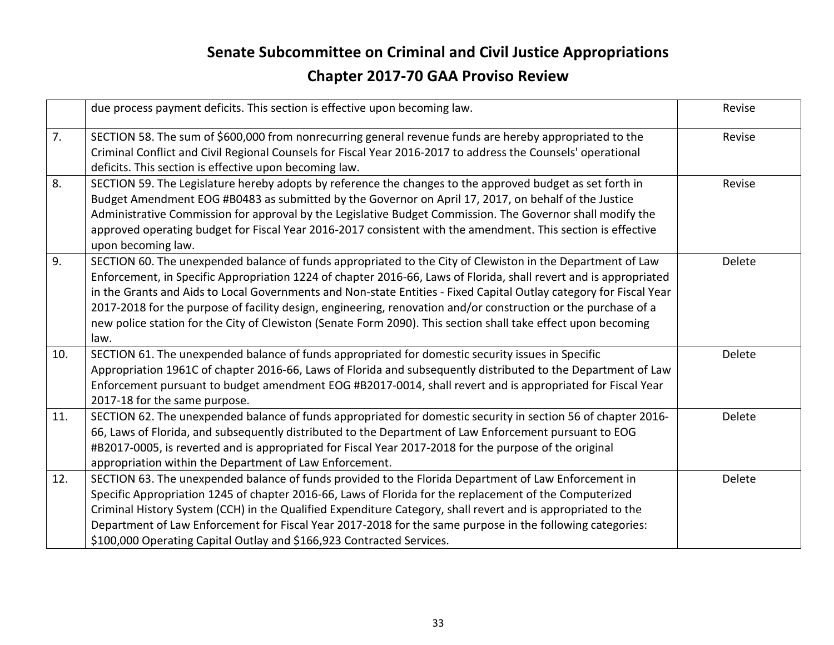|     | due process payment deficits. This section is effective upon becoming law.                                                                                                                                                                                                                                                                                                                                                                                                                                                                                                                       | Revise |
|-----|--------------------------------------------------------------------------------------------------------------------------------------------------------------------------------------------------------------------------------------------------------------------------------------------------------------------------------------------------------------------------------------------------------------------------------------------------------------------------------------------------------------------------------------------------------------------------------------------------|--------|
| 7.  | SECTION 58. The sum of \$600,000 from nonrecurring general revenue funds are hereby appropriated to the<br>Criminal Conflict and Civil Regional Counsels for Fiscal Year 2016-2017 to address the Counsels' operational<br>deficits. This section is effective upon becoming law.                                                                                                                                                                                                                                                                                                                | Revise |
| 8.  | SECTION 59. The Legislature hereby adopts by reference the changes to the approved budget as set forth in<br>Budget Amendment EOG #B0483 as submitted by the Governor on April 17, 2017, on behalf of the Justice<br>Administrative Commission for approval by the Legislative Budget Commission. The Governor shall modify the<br>approved operating budget for Fiscal Year 2016-2017 consistent with the amendment. This section is effective<br>upon becoming law.                                                                                                                            | Revise |
| 9.  | SECTION 60. The unexpended balance of funds appropriated to the City of Clewiston in the Department of Law<br>Enforcement, in Specific Appropriation 1224 of chapter 2016-66, Laws of Florida, shall revert and is appropriated<br>in the Grants and Aids to Local Governments and Non-state Entities - Fixed Capital Outlay category for Fiscal Year<br>2017-2018 for the purpose of facility design, engineering, renovation and/or construction or the purchase of a<br>new police station for the City of Clewiston (Senate Form 2090). This section shall take effect upon becoming<br>law. | Delete |
| 10. | SECTION 61. The unexpended balance of funds appropriated for domestic security issues in Specific<br>Appropriation 1961C of chapter 2016-66, Laws of Florida and subsequently distributed to the Department of Law<br>Enforcement pursuant to budget amendment EOG #B2017-0014, shall revert and is appropriated for Fiscal Year<br>2017-18 for the same purpose.                                                                                                                                                                                                                                | Delete |
| 11. | SECTION 62. The unexpended balance of funds appropriated for domestic security in section 56 of chapter 2016-<br>66, Laws of Florida, and subsequently distributed to the Department of Law Enforcement pursuant to EOG<br>#B2017-0005, is reverted and is appropriated for Fiscal Year 2017-2018 for the purpose of the original<br>appropriation within the Department of Law Enforcement.                                                                                                                                                                                                     | Delete |
| 12. | SECTION 63. The unexpended balance of funds provided to the Florida Department of Law Enforcement in<br>Specific Appropriation 1245 of chapter 2016-66, Laws of Florida for the replacement of the Computerized<br>Criminal History System (CCH) in the Qualified Expenditure Category, shall revert and is appropriated to the<br>Department of Law Enforcement for Fiscal Year 2017-2018 for the same purpose in the following categories:<br>\$100,000 Operating Capital Outlay and \$166,923 Contracted Services.                                                                            | Delete |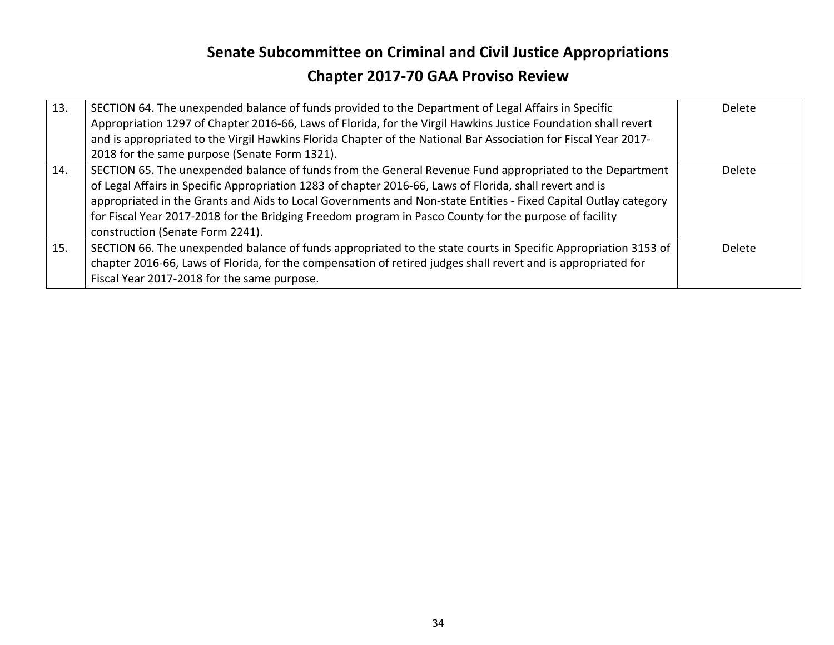| 13. | SECTION 64. The unexpended balance of funds provided to the Department of Legal Affairs in Specific<br>Appropriation 1297 of Chapter 2016-66, Laws of Florida, for the Virgil Hawkins Justice Foundation shall revert<br>and is appropriated to the Virgil Hawkins Florida Chapter of the National Bar Association for Fiscal Year 2017-<br>2018 for the same purpose (Senate Form 1321).                                                                                             | Delete        |
|-----|---------------------------------------------------------------------------------------------------------------------------------------------------------------------------------------------------------------------------------------------------------------------------------------------------------------------------------------------------------------------------------------------------------------------------------------------------------------------------------------|---------------|
| 14. | SECTION 65. The unexpended balance of funds from the General Revenue Fund appropriated to the Department<br>of Legal Affairs in Specific Appropriation 1283 of chapter 2016-66, Laws of Florida, shall revert and is<br>appropriated in the Grants and Aids to Local Governments and Non-state Entities - Fixed Capital Outlay category<br>for Fiscal Year 2017-2018 for the Bridging Freedom program in Pasco County for the purpose of facility<br>construction (Senate Form 2241). | <b>Delete</b> |
| 15. | SECTION 66. The unexpended balance of funds appropriated to the state courts in Specific Appropriation 3153 of<br>chapter 2016-66, Laws of Florida, for the compensation of retired judges shall revert and is appropriated for<br>Fiscal Year 2017-2018 for the same purpose.                                                                                                                                                                                                        | Delete        |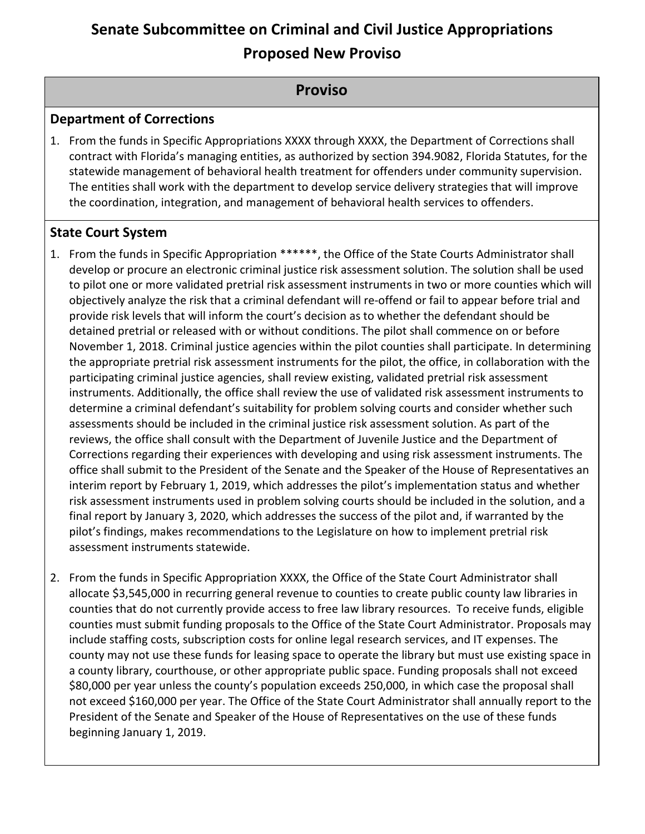#### **Senate Subcommittee on Criminal and Civil Justice Appropriations Proposed New Proviso**

#### **Proviso**

#### **Department of Corrections**

1. From the funds in Specific Appropriations XXXX through XXXX, the Department of Corrections shall contract with Florida's managing entities, as authorized by section 394.9082, Florida Statutes, for the statewide management of behavioral health treatment for offenders under community supervision. The entities shall work with the department to develop service delivery strategies that will improve the coordination, integration, and management of behavioral health services to offenders.

#### **State Court System**

- 1. From the funds in Specific Appropriation \*\*\*\*\*\*, the Office of the State Courts Administrator shall develop or procure an electronic criminal justice risk assessment solution. The solution shall be used to pilot one or more validated pretrial risk assessment instruments in two or more counties which will objectively analyze the risk that a criminal defendant will re-offend or fail to appear before trial and provide risk levels that will inform the court's decision as to whether the defendant should be detained pretrial or released with or without conditions. The pilot shall commence on or before November 1, 2018. Criminal justice agencies within the pilot counties shall participate. In determining the appropriate pretrial risk assessment instruments for the pilot, the office, in collaboration with the participating criminal justice agencies, shall review existing, validated pretrial risk assessment instruments. Additionally, the office shall review the use of validated risk assessment instruments to determine a criminal defendant's suitability for problem solving courts and consider whether such assessments should be included in the criminal justice risk assessment solution. As part of the reviews, the office shall consult with the Department of Juvenile Justice and the Department of Corrections regarding their experiences with developing and using risk assessment instruments. The office shall submit to the President of the Senate and the Speaker of the House of Representatives an interim report by February 1, 2019, which addresses the pilot's implementation status and whether risk assessment instruments used in problem solving courts should be included in the solution, and a final report by January 3, 2020, which addresses the success of the pilot and, if warranted by the pilot's findings, makes recommendations to the Legislature on how to implement pretrial risk assessment instruments statewide.
- 2. From the funds in Specific Appropriation XXXX, the Office of the State Court Administrator shall allocate \$3,545,000 in recurring general revenue to counties to create public county law libraries in counties that do not currently provide access to free law library resources. To receive funds, eligible counties must submit funding proposals to the Office of the State Court Administrator. Proposals may include staffing costs, subscription costs for online legal research services, and IT expenses. The county may not use these funds for leasing space to operate the library but must use existing space in a county library, courthouse, or other appropriate public space. Funding proposals shall not exceed \$80,000 per year unless the county's population exceeds 250,000, in which case the proposal shall not exceed \$160,000 per year. The Office of the State Court Administrator shall annually report to the President of the Senate and Speaker of the House of Representatives on the use of these funds beginning January 1, 2019.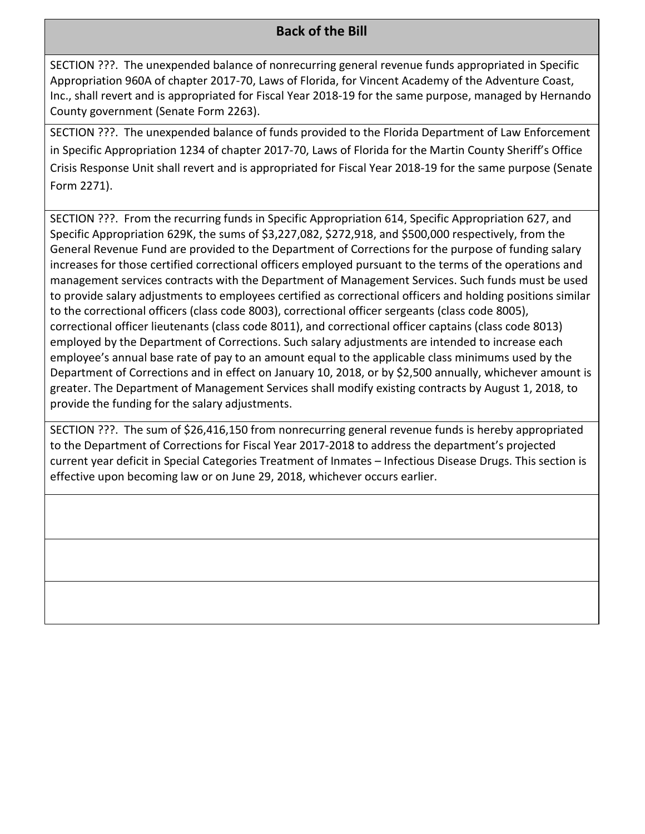#### **Back of the Bill**

SECTION ???. The unexpended balance of nonrecurring general revenue funds appropriated in Specific Appropriation 960A of chapter 2017-70, Laws of Florida, for Vincent Academy of the Adventure Coast, Inc., shall revert and is appropriated for Fiscal Year 2018-19 for the same purpose, managed by Hernando County government (Senate Form 2263).

SECTION ???. The unexpended balance of funds provided to the Florida Department of Law Enforcement in Specific Appropriation 1234 of chapter 2017-70, Laws of Florida for the Martin County Sheriff's Office Crisis Response Unit shall revert and is appropriated for Fiscal Year 2018-19 for the same purpose (Senate Form 2271).

SECTION ???. From the recurring funds in Specific Appropriation 614, Specific Appropriation 627, and Specific Appropriation 629K, the sums of \$3,227,082, \$272,918, and \$500,000 respectively, from the General Revenue Fund are provided to the Department of Corrections for the purpose of funding salary increases for those certified correctional officers employed pursuant to the terms of the operations and management services contracts with the Department of Management Services. Such funds must be used to provide salary adjustments to employees certified as correctional officers and holding positions similar to the correctional officers (class code 8003), correctional officer sergeants (class code 8005), correctional officer lieutenants (class code 8011), and correctional officer captains (class code 8013) employed by the Department of Corrections. Such salary adjustments are intended to increase each employee's annual base rate of pay to an amount equal to the applicable class minimums used by the Department of Corrections and in effect on January 10, 2018, or by \$2,500 annually, whichever amount is greater. The Department of Management Services shall modify existing contracts by August 1, 2018, to provide the funding for the salary adjustments.

SECTION ???. The sum of \$26,416,150 from nonrecurring general revenue funds is hereby appropriated to the Department of Corrections for Fiscal Year 2017-2018 to address the department's projected current year deficit in Special Categories Treatment of Inmates - Infectious Disease Drugs. This section is effective upon becoming law or on June 29, 2018, whichever occurs earlier.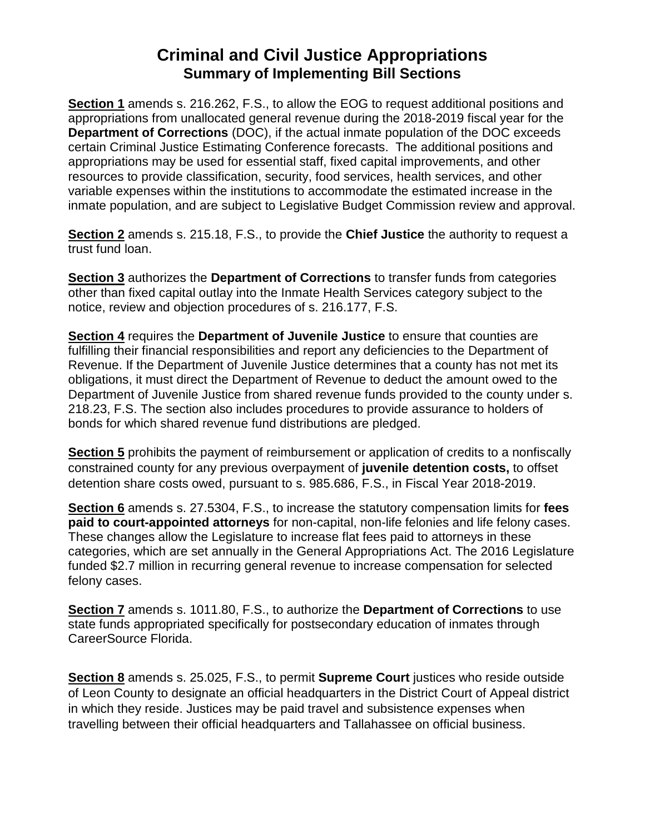#### **Criminal and Civil Justice Appropriations Summary of Implementing Bill Sections**

Section 1 amends s. 216.262, F.S., to allow the EOG to request additional positions and appropriations from unallocated general revenue during the 2018-2019 fiscal year for the **Department of Corrections** (DOC), if the actual inmate population of the DOC exceeds certain Criminal Justice Estimating Conference forecasts. The additional positions and appropriations may be used for essential staff, fixed capital improvements, and other resources to provide classification, security, food services, health services, and other variable expenses within the institutions to accommodate the estimated increase in the inmate population, and are subject to Legislative Budget Commission review and approval.

Section 2 amends s. 215.18, F.S., to provide the Chief Justice the authority to request a trust fund loan.

Section 3 authorizes the Department of Corrections to transfer funds from categories other than fixed capital outlay into the Inmate Health Services category subject to the notice, review and objection procedures of s. 216.177, F.S.

Section 4 requires the Department of Juvenile Justice to ensure that counties are fulfilling their financial responsibilities and report any deficiencies to the Department of Revenue. If the Department of Juvenile Justice determines that a county has not met its obligations, it must direct the Department of Revenue to deduct the amount owed to the Department of Juvenile Justice from shared revenue funds provided to the county under s. 218.23, F.S. The section also includes procedures to provide assurance to holders of bonds for which shared revenue fund distributions are pledged.

Section 5 prohibits the payment of reimbursement or application of credits to a nonfiscally constrained county for any previous overpayment of juvenile detention costs, to offset detention share costs owed, pursuant to s. 985.686, F.S., in Fiscal Year 2018-2019.

**Section 6** amends s. 27.5304, F.S., to increase the statutory compensation limits for fees paid to court-appointed attorneys for non-capital, non-life felonies and life felony cases. These changes allow the Legislature to increase flat fees paid to attorneys in these categories, which are set annually in the General Appropriations Act. The 2016 Legislature funded \$2.7 million in recurring general revenue to increase compensation for selected felony cases.

Section 7 amends s. 1011.80, F.S., to authorize the Department of Corrections to use state funds appropriated specifically for postsecondary education of inmates through CareerSource Florida.

Section 8 amends s. 25.025, F.S., to permit Supreme Court justices who reside outside of Leon County to designate an official headquarters in the District Court of Appeal district in which they reside. Justices may be paid travel and subsistence expenses when travelling between their official headquarters and Tallahassee on official business.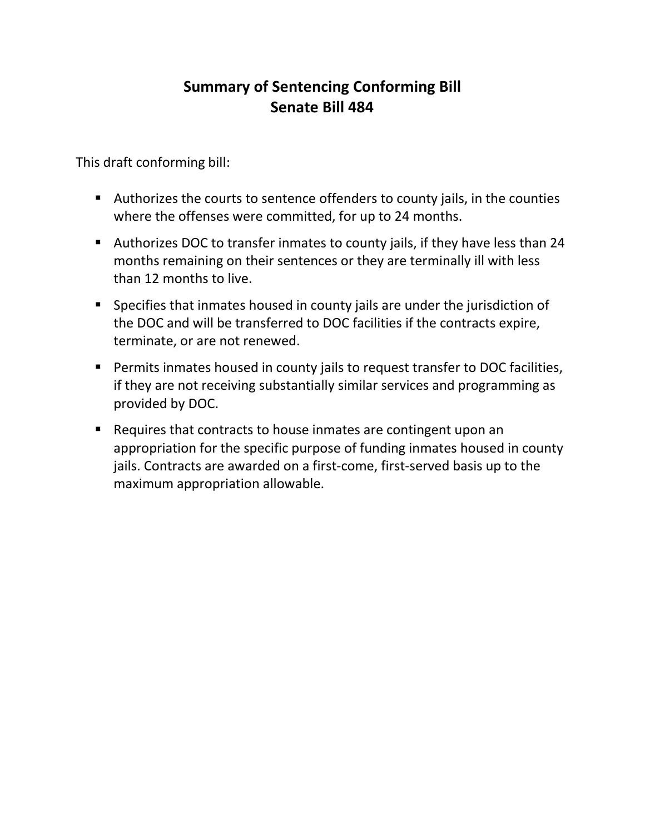#### **Summary of Sentencing Conforming Bill** Senate Bill 484

This draft conforming bill:

- Authorizes the courts to sentence offenders to county jails, in the counties where the offenses were committed, for up to 24 months.
- Authorizes DOC to transfer inmates to county jails, if they have less than 24 months remaining on their sentences or they are terminally ill with less than 12 months to live.
- Specifies that inmates housed in county jails are under the jurisdiction of the DOC and will be transferred to DOC facilities if the contracts expire, terminate, or are not renewed.
- Permits inmates housed in county jails to request transfer to DOC facilities, if they are not receiving substantially similar services and programming as provided by DOC.
- Requires that contracts to house inmates are contingent upon an appropriation for the specific purpose of funding inmates housed in county jails. Contracts are awarded on a first-come, first-served basis up to the maximum appropriation allowable.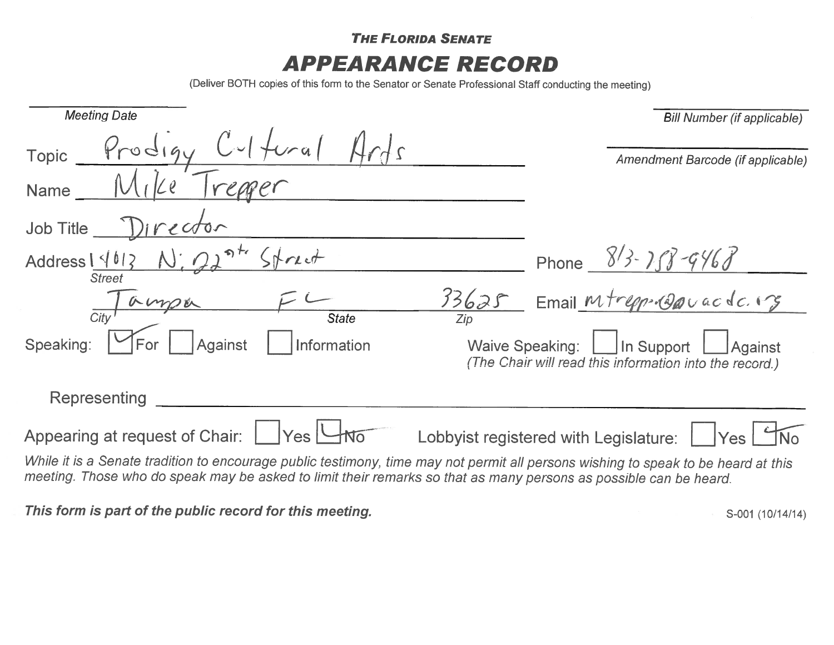**THE FLORIDA SENATE APPEARANCE RECORD** 

(Deliver BOTH copies of this form to the Senator or Senate Professional Staff conducting the meeting)

| <b>Meeting Date</b>                                                                                                                                                                                                                                     | <b>Bill Number (if applicable)</b>                                                                                |  |
|---------------------------------------------------------------------------------------------------------------------------------------------------------------------------------------------------------------------------------------------------------|-------------------------------------------------------------------------------------------------------------------|--|
| Prodigy Cultural<br>Topic                                                                                                                                                                                                                               | Amendment Barcode (if applicable)                                                                                 |  |
| Name                                                                                                                                                                                                                                                    |                                                                                                                   |  |
| Director<br>Job Title                                                                                                                                                                                                                                   |                                                                                                                   |  |
| Address $14013$ N; 22<br><b>Street</b>                                                                                                                                                                                                                  | Phone $8/3 - 1/3 - 9/6$                                                                                           |  |
| 13625<br>ampa<br>$\overline{Citv}$                                                                                                                                                                                                                      | Email Mtrepp-roavacdc.                                                                                            |  |
| <b>State</b><br>Speaking:<br>Against<br>Information<br>For                                                                                                                                                                                              | <b>Waive Speaking:</b><br>In Support<br><b>Against</b><br>(The Chair will read this information into the record.) |  |
| Representing                                                                                                                                                                                                                                            |                                                                                                                   |  |
| Appearing at request of Chair:<br> Yes                                                                                                                                                                                                                  | Lobbyist registered with Legislature:<br> Yes                                                                     |  |
| While it is a Senate tradition to encourage public testimony, time may not permit all persons wishing to speak to be heard at this<br>meeting. Those who do speak may be asked to limit their remarks so that as many persons as possible can be heard. |                                                                                                                   |  |

This form is part of the public record for this meeting.

S-001 (10/14/14)